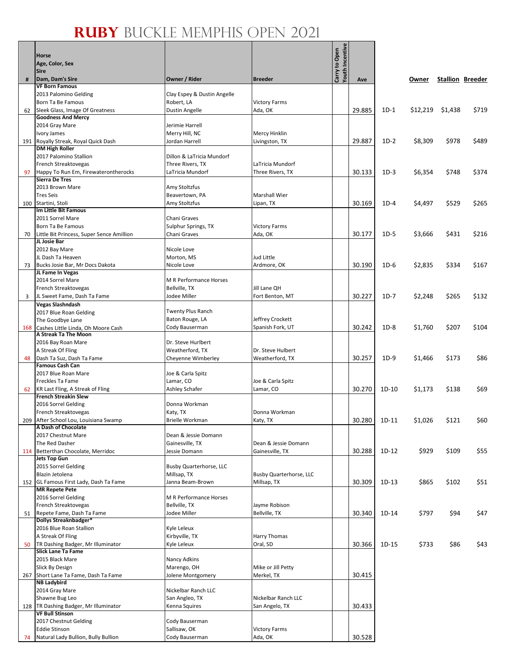/e

|     | <b>Horse</b><br>Age, Color, Sex<br><b>Sire</b>                     |                                        |                                      | Youth Incentive<br>Carry to Open |        |         |          |         |                         |
|-----|--------------------------------------------------------------------|----------------------------------------|--------------------------------------|----------------------------------|--------|---------|----------|---------|-------------------------|
| #   | Dam, Dam's Sire                                                    | Owner / Rider                          | <b>Breeder</b>                       |                                  | Ave    |         | Owner    |         | <b>Stallion Breeder</b> |
|     | <b>VF Born Famous</b><br>2013 Palomino Gelding                     | Clay Espey & Dustin Angelle            |                                      |                                  |        |         |          |         |                         |
|     | Born Ta Be Famous                                                  | Robert, LA                             | <b>Victory Farms</b>                 |                                  |        |         |          |         |                         |
| 62  | Sleek Glass, Image Of Greatness                                    | Dustin Angelle                         | Ada, OK                              |                                  | 29.885 | $1D-1$  | \$12,219 | \$1,438 | \$719                   |
|     | <b>Goodness And Mercy</b><br>2014 Gray Mare                        | Jerimie Harrell                        |                                      |                                  |        |         |          |         |                         |
|     | Ivory James                                                        | Merry Hill, NC                         | <b>Mercy Hinklin</b>                 |                                  |        |         |          |         |                         |
|     | 191 Royally Streak, Royal Quick Dash                               | Jordan Harrell                         | Livingston, TX                       |                                  | 29.887 | $1D-2$  | \$8,309  | \$978   | \$489                   |
|     | <b>DM High Roller</b>                                              |                                        |                                      |                                  |        |         |          |         |                         |
|     | 2017 Palomino Stallion                                             | Dillon & LaTricia Mundorf              |                                      |                                  |        |         |          |         |                         |
| 97  | French Streaktovegas<br>Happy To Run Em, Firewaterontherocks       | Three Rivers, TX<br>LaTricia Mundorf   | LaTricia Mundorf<br>Three Rivers, TX |                                  | 30.133 | $1D-3$  | \$6,354  | \$748   | \$374                   |
|     | <b>Sierra De Tres</b>                                              |                                        |                                      |                                  |        |         |          |         |                         |
|     | 2013 Brown Mare                                                    | Amy Stoltzfus                          |                                      |                                  |        |         |          |         |                         |
|     | <b>Tres Seis</b><br>100 Startini, Stoli                            | Beavertown, PA                         | Marshall Wier                        |                                  | 30.169 | $1D-4$  |          | \$529   | \$265                   |
|     | Im Little Bit Famous                                               | Amy Stoltzfus                          | Lipan, TX                            |                                  |        |         | \$4,497  |         |                         |
|     | 2011 Sorrel Mare                                                   | Chani Graves                           |                                      |                                  |        |         |          |         |                         |
|     | Born Ta Be Famous                                                  | Sulphur Springs, TX                    | <b>Victory Farms</b>                 |                                  |        |         |          |         |                         |
| 70  | Little Bit Princess, Super Sence Amillion<br>JL Josie Bar          | Chani Graves                           | Ada, OK                              |                                  | 30.177 | $1D-5$  | \$3,666  | \$431   | \$216                   |
|     | 2012 Bay Mare                                                      | Nicole Love                            |                                      |                                  |        |         |          |         |                         |
|     | JL Dash Ta Heaven                                                  | Morton, MS                             | Jud Little                           |                                  |        |         |          |         |                         |
| 73  | Bucks Josie Bar, Mr Docs Dakota                                    | Nicole Love                            | Ardmore, OK                          |                                  | 30.190 | $1D-6$  | \$2.835  | \$334   | \$167                   |
|     | JL Fame In Vegas<br>2014 Sorrel Mare                               | M R Performance Horses                 |                                      |                                  |        |         |          |         |                         |
|     | French Streaktovegas                                               | Bellville, TX                          | Jill Lane QH                         |                                  |        |         |          |         |                         |
| 3   | JL Sweet Fame, Dash Ta Fame                                        | Jodee Miller                           | Fort Benton, MT                      |                                  | 30.227 | $1D-7$  | \$2,248  | \$265   | \$132                   |
|     | <b>Vegas Slashndash</b>                                            |                                        |                                      |                                  |        |         |          |         |                         |
|     | 2017 Blue Roan Gelding                                             | Twenty Plus Ranch                      |                                      |                                  |        |         |          |         |                         |
| 168 | The Goodbye Lane<br>Cashes Little Linda, Oh Moore Cash             | Baton Rouge, LA<br>Cody Bauserman      | Jeffrey Crockett<br>Spanish Fork, UT |                                  | 30.242 | $1D-8$  | \$1,760  | \$207   | \$104                   |
|     | A Streak Ta The Moon                                               |                                        |                                      |                                  |        |         |          |         |                         |
|     | 2016 Bay Roan Mare                                                 | Dr. Steve Hurlbert                     |                                      |                                  |        |         |          |         |                         |
|     | A Streak Of Fling                                                  | Weatherford, TX                        | Dr. Steve Hulbert                    |                                  |        |         |          |         |                         |
| 48  | Dash Ta Suz, Dash Ta Fame<br><b>Famous Cash Can</b>                | Cheyenne Wimberley                     | Weatherford, TX                      |                                  | 30.257 | $1D-9$  | \$1,466  | \$173   | \$86                    |
|     | 2017 Blue Roan Mare                                                | Joe & Carla Spitz                      |                                      |                                  |        |         |          |         |                         |
|     | Freckles Ta Fame                                                   | Lamar, CO                              | Joe & Carla Spitz                    |                                  |        |         |          |         |                         |
|     | 62 KR Last Fling, A Streak of Fling<br><b>French Streakin Slew</b> | Ashley Schafer                         | Lamar, CO                            |                                  | 30.270 | $1D-10$ | \$1,173  | \$138   | \$69                    |
|     | 2016 Sorrel Gelding                                                | Donna Workman                          |                                      |                                  |        |         |          |         |                         |
|     | French Streaktovegas                                               | Katy, TX                               | Donna Workman                        |                                  |        |         |          |         |                         |
|     | 209   After School Lou, Louisiana Swamp                            | <b>Brielle Workman</b>                 | Katy, TX                             |                                  | 30.280 | 1D-11   | \$1,026  | \$121   | \$60                    |
|     | A Dash of Chocolate<br>2017 Chestnut Mare                          | Dean & Jessie Domann                   |                                      |                                  |        |         |          |         |                         |
|     | The Red Dasher                                                     | Gainesville, TX                        | Dean & Jessie Domann                 |                                  |        |         |          |         |                         |
|     | 114 Betterthan Chocolate, Merridoc                                 | Jessie Domann                          | Gainesville, TX                      |                                  | 30.288 | $1D-12$ | \$929    | \$109   | \$55                    |
|     | <b>Jets Top Gun</b>                                                |                                        |                                      |                                  |        |         |          |         |                         |
|     | 2015 Sorrel Gelding<br>Blazin Jetolena                             | Busby Quarterhorse, LLC<br>Millsap, TX | <b>Busby Quarterhorse, LLC</b>       |                                  |        |         |          |         |                         |
|     | 152 GL Famous First Lady, Dash Ta Fame                             | Janna Beam-Brown                       | Millsap, TX                          |                                  | 30.309 | $1D-13$ | \$865    | \$102   | \$51                    |
|     | <b>MR Repete Pete</b>                                              |                                        |                                      |                                  |        |         |          |         |                         |
|     | 2016 Sorrel Gelding<br>French Streaktovegas                        | M R Performance Horses                 |                                      |                                  |        |         |          |         |                         |
| 51  | Repete Fame, Dash Ta Fame                                          | Bellville, TX<br>Jodee Miller          | Jayme Robison<br>Bellville, TX       |                                  | 30.340 | 1D-14   | \$797    | \$94    | \$47                    |
|     | Dollys Streaknbadger*                                              |                                        |                                      |                                  |        |         |          |         |                         |
|     | 2016 Blue Roan Stallion                                            | Kyle Leleux                            |                                      |                                  |        |         |          |         |                         |
|     | A Streak Of Fling                                                  | Kirbyville, TX                         | Harry Thomas<br>Oral, SD             |                                  |        |         |          |         |                         |
| 50  | TR Dashing Badger, Mr Illuminator<br><b>Slick Lane Ta Fame</b>     | Kyle Leleux                            |                                      |                                  | 30.366 | 1D-15   | \$733    | \$86    | \$43                    |
|     | 2015 Black Mare                                                    | Nancy Adkins                           |                                      |                                  |        |         |          |         |                         |
|     | Slick By Design                                                    | Marengo, OH                            | Mike or Jill Petty                   |                                  |        |         |          |         |                         |
|     | 267 Short Lane Ta Fame, Dash Ta Fame<br><b>NB Ladybird</b>         | Jolene Montgomery                      | Merkel, TX                           |                                  | 30.415 |         |          |         |                         |
|     | 2014 Gray Mare                                                     | Nickelbar Ranch LLC                    |                                      |                                  |        |         |          |         |                         |
|     | Shawne Bug Leo                                                     | San Angleo, TX                         | Nickelbar Ranch LLC                  |                                  |        |         |          |         |                         |
|     | 128   TR Dashing Badger, Mr Illuminator                            | Kenna Squires                          | San Angelo, TX                       |                                  | 30.433 |         |          |         |                         |
|     | <b>VF Bull Stinson</b><br>2017 Chestnut Gelding                    | Cody Bauserman                         |                                      |                                  |        |         |          |         |                         |
|     | <b>Eddie Stinson</b>                                               | Sallisaw, OK                           | <b>Victory Farms</b>                 |                                  |        |         |          |         |                         |
| 74  | Natural Lady Bullion, Bully Bullion                                | Cody Bauserman                         | Ada, OK                              |                                  | 30.528 |         |          |         |                         |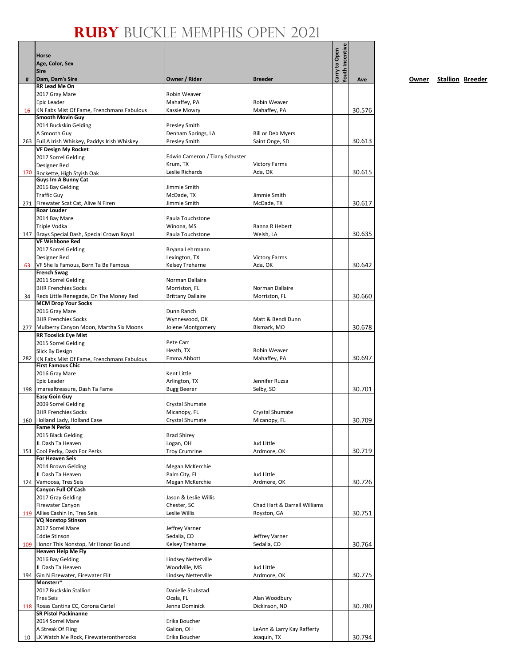|     | Horse<br>Age, Color, Sex<br><b>Sire</b>                              |                                      |                                 | Youth Incentive<br>Carry to Open |        |
|-----|----------------------------------------------------------------------|--------------------------------------|---------------------------------|----------------------------------|--------|
| #   | Dam, Dam's Sire                                                      | Owner / Rider                        | <b>Breeder</b>                  |                                  | Ave    |
|     | RR Lead Me On                                                        |                                      |                                 |                                  |        |
|     | 2017 Gray Mare                                                       | Robin Weaver                         |                                 |                                  |        |
|     | Epic Leader                                                          | Mahaffey, PA                         | Robin Weaver                    |                                  |        |
| 16  | KN Fabs Mist Of Fame, Frenchmans Fabulous<br><b>Smooth Movin Guy</b> | Kassie Mowry                         | Mahaffey, PA                    |                                  | 30.576 |
|     | 2014 Buckskin Gelding                                                | <b>Presley Smith</b>                 |                                 |                                  |        |
|     | A Smooth Guy                                                         | Denham Springs, LA                   | <b>Bill or Deb Myers</b>        |                                  |        |
|     | 263 Full A Irish Whiskey, Paddys Irish Whiskey                       | <b>Presley Smith</b>                 | Saint Onge, SD                  |                                  | 30.613 |
|     | <b>VF Design My Rocket</b>                                           |                                      |                                 |                                  |        |
|     | 2017 Sorrel Gelding                                                  | Edwin Cameron / Tiany Schuster       |                                 |                                  |        |
|     | Designer Red                                                         | Krum, TX<br>Leslie Richards          | <b>Victory Farms</b><br>Ada, OK |                                  | 30.615 |
|     | 170 Rockette, High Styish Oak<br>Guys Im A Bunny Cat                 |                                      |                                 |                                  |        |
|     | 2016 Bay Gelding                                                     | Jimmie Smith                         |                                 |                                  |        |
|     | <b>Traffic Guy</b>                                                   | McDade, TX                           | Jimmie Smith                    |                                  |        |
|     | 271 Firewater Scat Cat, Alive N Firen                                | Jimmie Smith                         | McDade, TX                      |                                  | 30.617 |
|     | <b>Roar Louder</b>                                                   |                                      |                                 |                                  |        |
|     | 2014 Bay Mare                                                        | Paula Touchstone                     |                                 |                                  |        |
|     | <b>Triple Vodka</b><br>147 Brays Special Dash, Special Crown Royal   | Winona, MS<br>Paula Touchstone       | Ranna R Hebert<br>Welsh, LA     |                                  | 30.635 |
|     | <b>VF Wishbone Red</b>                                               |                                      |                                 |                                  |        |
|     | 2017 Sorrel Gelding                                                  | Bryana Lehrmann                      |                                 |                                  |        |
|     | Designer Red                                                         | Lexington, TX                        | <b>Victory Farms</b>            |                                  |        |
| 63  | VF She Is Famous, Born Ta Be Famous                                  | Kelsey Treharne                      | Ada, OK                         |                                  | 30.642 |
|     | <b>French Swag</b>                                                   |                                      |                                 |                                  |        |
|     | 2011 Sorrel Gelding<br><b>BHR Frenchies Socks</b>                    | Norman Dallaire<br>Morriston, FL     | Norman Dallaire                 |                                  |        |
| 34  | Reds Little Renegade, On The Money Red                               | <b>Brittany Dallaire</b>             | Morriston, FL                   |                                  | 30.660 |
|     | <b>MCM Drop Your Socks</b>                                           |                                      |                                 |                                  |        |
|     | 2016 Gray Mare                                                       | Dunn Ranch                           |                                 |                                  |        |
|     | <b>BHR Frenchies Socks</b>                                           | Wynnewood, OK                        | Matt & Bendi Dunn               |                                  |        |
|     | 277 Mulberry Canyon Moon, Martha Six Moons                           | Jolene Montgomery                    | Bismark, MO                     |                                  | 30.678 |
|     | <b>RR Tooslick Eye Mist</b>                                          | Pete Carr                            |                                 |                                  |        |
|     | 2015 Sorrel Gelding<br><b>Slick By Design</b>                        | Heath, TX                            | Robin Weaver                    |                                  |        |
|     | 282 KN Fabs Mist Of Fame, Frenchmans Fabulous                        | Emma Abbott                          | Mahaffey, PA                    |                                  | 30.697 |
|     | <b>First Famous Chic</b>                                             |                                      |                                 |                                  |        |
|     | 2016 Gray Mare                                                       | Kent Little                          |                                 |                                  |        |
|     | Epic Leader                                                          | Arlington, TX                        | Jennifer Ruzsa                  |                                  |        |
|     | 198 Imarealtreasure, Dash Ta Fame<br><b>Easy Goin Guy</b>            | <b>Bugg Beerer</b>                   | Selby, SD                       |                                  | 30.701 |
|     | 2009 Sorrel Gelding                                                  | Crystal Shumate                      |                                 |                                  |        |
|     | <b>BHR Frenchies Socks</b>                                           | Micanopy, FL                         | Crystal Shumate                 |                                  |        |
|     | 160 Holland Lady, Holland Ease                                       | Crystal Shumate                      | Micanopy, FL                    |                                  | 30.709 |
|     | <b>Fame N Perks</b>                                                  |                                      |                                 |                                  |        |
|     | 2015 Black Gelding                                                   | <b>Brad Shirey</b>                   |                                 |                                  |        |
| 151 | JL Dash Ta Heaven<br>Cool Perky, Dash For Perks                      | Logan, OH<br><b>Troy Crumrine</b>    | Jud Little<br>Ardmore, OK       |                                  | 30.719 |
|     | <b>For Heaven Seis</b>                                               |                                      |                                 |                                  |        |
|     | 2014 Brown Gelding                                                   | Megan McKerchie                      |                                 |                                  |        |
|     | JL Dash Ta Heaven                                                    | Palm City, FL                        | Jud Little                      |                                  |        |
|     | 124 Vamoosa, Tres Seis                                               | Megan McKerchie                      | Ardmore, OK                     |                                  | 30.726 |
|     | <b>Canyon Full Of Cash</b>                                           |                                      |                                 |                                  |        |
|     | 2017 Gray Gelding<br>Firewater Canyon                                | Jason & Leslie Willis<br>Chester, SC | Chad Hart & Darrell Williams    |                                  |        |
| 119 | Allies Cashin In, Tres Seis                                          | Leslie Willis                        | Royston, GA                     |                                  | 30.751 |
|     | <b>VQ Nonstop Stinson</b>                                            |                                      |                                 |                                  |        |
|     | 2017 Sorrel Mare                                                     | Jeffrey Varner                       |                                 |                                  |        |
|     | <b>Eddie Stinson</b>                                                 | Sedalia, CO                          | Jeffrey Varner                  |                                  |        |
| 109 | Honor This Nonstop, Mr Honor Bound<br><b>Heaven Help Me Fly</b>      | Kelsey Treharne                      | Sedalia, CO                     |                                  | 30.764 |
|     | 2016 Bay Gelding                                                     | Lindsey Netterville                  |                                 |                                  |        |
|     | JL Dash Ta Heaven                                                    | Woodville, MS                        | Jud Little                      |                                  |        |
| 194 | Gin N Firewater, Firewater Flit                                      | Lindsey Netterville                  | Ardmore, OK                     |                                  | 30.775 |
|     | Monsterr*                                                            |                                      |                                 |                                  |        |
|     | 2017 Buckskin Stallion                                               | Danielle Stubstad                    |                                 |                                  |        |
|     | <b>Tres Seis</b>                                                     | Ocala, FL                            | Alan Woodbury                   |                                  |        |
| 118 | Rosas Cantina CC, Corona Cartel<br><b>SR Pistol Packinanne</b>       | Jenna Dominick                       | Dickinson, ND                   |                                  | 30.780 |
|     | 2014 Sorrel Mare                                                     | Erika Boucher                        |                                 |                                  |        |
|     | A Streak Of Fling                                                    | Galion, OH                           | LeAnn & Larry Kay Rafferty      |                                  |        |
| 10  | LK Watch Me Rock, Firewaterontherocks                                | Erika Boucher                        | Joaquin, TX                     |                                  | 30.794 |

**Owner Stallion Breeder**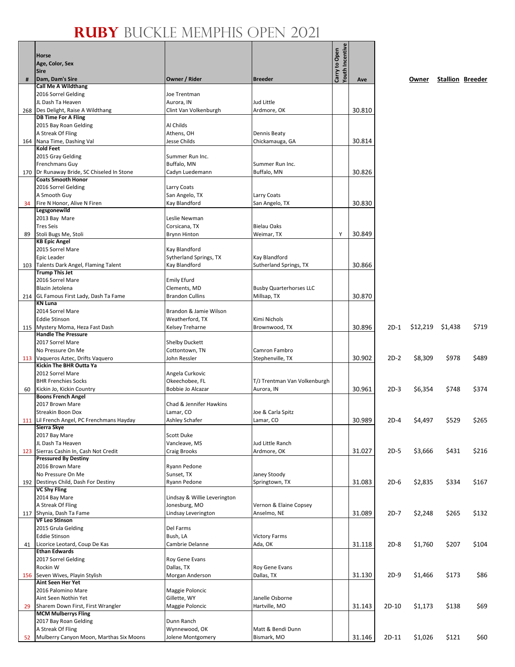|     | Horse                                                             |                                         |                                | <b>Youth Incentive</b><br>Carry to Open |        |        |                    |       |                         |
|-----|-------------------------------------------------------------------|-----------------------------------------|--------------------------------|-----------------------------------------|--------|--------|--------------------|-------|-------------------------|
|     | Age, Color, Sex                                                   |                                         |                                |                                         |        |        |                    |       |                         |
|     | <b>Sire</b>                                                       |                                         |                                |                                         |        |        |                    |       |                         |
| #   | Dam, Dam's Sire<br><b>Call Me A Wildthang</b>                     | Owner / Rider                           | <b>Breeder</b>                 |                                         | Ave    |        | Owner              |       | <b>Stallion Breeder</b> |
|     | 2016 Sorrel Gelding                                               | Joe Trentman                            |                                |                                         |        |        |                    |       |                         |
|     | JL Dash Ta Heaven                                                 | Aurora, IN                              | Jud Little                     |                                         |        |        |                    |       |                         |
| 268 | Des Delight, Raise A Wildthang                                    | Clint Van Volkenburgh                   | Ardmore, OK                    |                                         | 30.810 |        |                    |       |                         |
|     | <b>DB Time For A Fling</b>                                        |                                         |                                |                                         |        |        |                    |       |                         |
|     | 2015 Bay Roan Gelding                                             | Al Childs                               |                                |                                         |        |        |                    |       |                         |
|     | A Streak Of Fling                                                 | Athens, OH                              | Dennis Beaty                   |                                         |        |        |                    |       |                         |
|     | 164 Nana Time, Dashing Val<br><b>Kold Feet</b>                    | Jesse Childs                            | Chickamauga, GA                |                                         | 30.814 |        |                    |       |                         |
|     | 2015 Gray Gelding                                                 | Summer Run Inc.                         |                                |                                         |        |        |                    |       |                         |
|     | Frenchmans Guy                                                    | Buffalo, MN                             | Summer Run Inc.                |                                         |        |        |                    |       |                         |
|     | 170   Dr Runaway Bride, SC Chiseled In Stone                      | Cadyn Luedemann                         | Buffalo, MN                    |                                         | 30.826 |        |                    |       |                         |
|     | <b>Coats Smooth Honor</b>                                         |                                         |                                |                                         |        |        |                    |       |                         |
|     | 2016 Sorrel Gelding                                               | Larry Coats                             |                                |                                         |        |        |                    |       |                         |
|     | A Smooth Guy                                                      | San Angelo, TX                          | Larry Coats                    |                                         |        |        |                    |       |                         |
| 34  | Fire N Honor, Alive N Firen                                       | Kay Blandford                           | San Angelo, TX                 |                                         | 30.830 |        |                    |       |                         |
|     | Legsgonewild                                                      | Leslie Newman                           |                                |                                         |        |        |                    |       |                         |
|     | 2013 Bay Mare<br><b>Tres Seis</b>                                 | Corsicana, TX                           | <b>Bielau Oaks</b>             |                                         |        |        |                    |       |                         |
| 89  | Stoli Bugs Me, Stoli                                              | <b>Brynn Hinton</b>                     | Weimar, TX                     | Y                                       | 30.849 |        |                    |       |                         |
|     | <b>KB Epic Angel</b>                                              |                                         |                                |                                         |        |        |                    |       |                         |
|     | 2015 Sorrel Mare                                                  | <b>Kay Blandford</b>                    |                                |                                         |        |        |                    |       |                         |
|     | Epic Leader                                                       | Sytherland Springs, TX                  | Kay Blandford                  |                                         |        |        |                    |       |                         |
|     | 103 Talents Dark Angel, Flaming Talent                            | Kay Blandford                           | Sutherland Springs, TX         |                                         | 30.866 |        |                    |       |                         |
|     | <b>Trump This Jet</b>                                             |                                         |                                |                                         |        |        |                    |       |                         |
|     | 2016 Sorrel Mare<br>Blazin Jetolena                               | <b>Emily Efurd</b><br>Clements, MD      | <b>Busby Quarterhorses LLC</b> |                                         |        |        |                    |       |                         |
|     | 214 GL Famous First Lady, Dash Ta Fame                            | <b>Brandon Cullins</b>                  | Millsap, TX                    |                                         | 30.870 |        |                    |       |                         |
|     | <b>KN Luna</b>                                                    |                                         |                                |                                         |        |        |                    |       |                         |
|     | 2014 Sorrel Mare                                                  | Brandon & Jamie Wilson                  |                                |                                         |        |        |                    |       |                         |
|     | <b>Eddie Stinson</b>                                              | Weatherford, TX                         | Kimi Nichols                   |                                         |        |        |                    |       |                         |
|     | 115 Mystery Moma, Heza Fast Dash                                  | Kelsey Treharne                         | Brownwood, TX                  |                                         | 30.896 | 2D-1   | $$12,219$ $$1,438$ |       | \$719                   |
|     | <b>Handle The Pressure</b>                                        |                                         |                                |                                         |        |        |                    |       |                         |
|     | 2017 Sorrel Mare<br>No Pressure On Me                             | <b>Shelby Duckett</b><br>Cottontown, TN | Camron Fambro                  |                                         |        |        |                    |       |                         |
|     | 113 Vaqueros Aztec, Drifts Vaquero                                | John Ressler                            | Stephenville, TX               |                                         | 30.902 | $2D-2$ | \$8,309            | \$978 | \$489                   |
|     | Kickin The BHR Outta Ya                                           |                                         |                                |                                         |        |        |                    |       |                         |
|     | 2012 Sorrel Mare                                                  | Angela Curkovic                         |                                |                                         |        |        |                    |       |                         |
|     | <b>BHR Frenchies Socks</b>                                        | Okeechobee, FL                          | T/J Trentman Van Volkenburgh   |                                         |        |        |                    |       |                         |
| 60  | Kickin Jo, Kickin Country                                         | Bobbie Jo Alcazar                       | Aurora, IN                     |                                         | 30.961 | $2D-3$ | \$6,354            | \$748 | \$374                   |
|     | <b>Boons French Angel</b><br>2017 Brown Mare                      | Chad & Jennifer Hawkins                 |                                |                                         |        |        |                    |       |                         |
|     | Streakin Boon Dox                                                 | Lamar. CO                               | Joe & Carla Spitz              |                                         |        |        |                    |       |                         |
|     | 111 Lil French Angel, PC Frenchmans Hayday                        | Ashley Schafer                          | Lamar, CO                      |                                         | 30.989 | 2D-4   | \$4,497            | \$529 | \$265                   |
|     | Sierra Skye                                                       |                                         |                                |                                         |        |        |                    |       |                         |
|     | 2017 Bay Mare                                                     | Scott Duke                              |                                |                                         |        |        |                    |       |                         |
|     | JL Dash Ta Heaven                                                 | Vancleave, MS                           | Jud Little Ranch               |                                         |        |        |                    |       |                         |
| 123 | Sierras Cashin In, Cash Not Credit<br><b>Pressured By Destiny</b> | Craig Brooks                            | Ardmore, OK                    |                                         | 31.027 | $2D-5$ | \$3,666            | \$431 | \$216                   |
|     | 2016 Brown Mare                                                   | Ryann Pedone                            |                                |                                         |        |        |                    |       |                         |
|     | No Pressure On Me                                                 | Sunset, TX                              | Janey Stoody                   |                                         |        |        |                    |       |                         |
|     | 192 Destinys Child, Dash For Destiny                              | Ryann Pedone                            | Springtown, TX                 |                                         | 31.083 | $2D-6$ | \$2,835            | \$334 | \$167                   |
|     | <b>VC Shy Fling</b>                                               |                                         |                                |                                         |        |        |                    |       |                         |
|     | 2014 Bay Mare                                                     | Lindsay & Willie Leverington            |                                |                                         |        |        |                    |       |                         |
|     | A Streak Of Fling                                                 | Jonesburg, MO<br>Lindsay Leverington    | Vernon & Elaine Copsey         |                                         |        |        |                    |       |                         |
| 117 | Shynia, Dash Ta Fame<br><b>VF Leo Stinson</b>                     |                                         | Anselmo, NE                    |                                         | 31.089 | $2D-7$ | \$2,248            | \$265 | \$132                   |
|     | 2015 Grula Gelding                                                | Del Farms                               |                                |                                         |        |        |                    |       |                         |
|     | <b>Eddie Stinson</b>                                              | Bush, LA                                | <b>Victory Farms</b>           |                                         |        |        |                    |       |                         |
| 41  | Licorice Leotard, Coup De Kas                                     | Cambrie Delanne                         | Ada, OK                        |                                         | 31.118 | $2D-8$ | \$1,760            | \$207 | \$104                   |
|     | <b>Ethan Edwards</b>                                              |                                         |                                |                                         |        |        |                    |       |                         |
|     | 2017 Sorrel Gelding                                               | Roy Gene Evans                          |                                |                                         |        |        |                    |       |                         |
|     | Rockin W                                                          | Dallas, TX                              | Roy Gene Evans                 |                                         |        |        |                    | \$173 | \$86                    |
|     | 156 Seven Wives, Playin Stylish<br><b>Aint Seen Her Yet</b>       | Morgan Anderson                         | Dallas, TX                     |                                         | 31.130 | $2D-9$ | \$1,466            |       |                         |
|     | 2016 Palomino Mare                                                | Maggie Poloncic                         |                                |                                         |        |        |                    |       |                         |
|     | Aint Seen Nothin Yet                                              | Gillette, WY                            | Janelle Osborne                |                                         |        |        |                    |       |                         |
| 29  | Sharem Down First, First Wrangler                                 | Maggie Poloncic                         | Hartville, MO                  |                                         | 31.143 | 2D-10  | \$1,173            | \$138 | \$69                    |
|     | <b>MCM Mulberrys Fling</b>                                        |                                         |                                |                                         |        |        |                    |       |                         |
|     | 2017 Bay Roan Gelding<br>A Streak Of Fling                        | Dunn Ranch<br>Wynnewood, OK             | Matt & Bendi Dunn              |                                         |        |        |                    |       |                         |
| 52  | Mulberry Canyon Moon, Marthas Six Moons                           | Jolene Montgomery                       | Bismark, MO                    |                                         | 31.146 | 2D-11  | \$1,026            | \$121 | \$60                    |
|     |                                                                   |                                         |                                |                                         |        |        |                    |       |                         |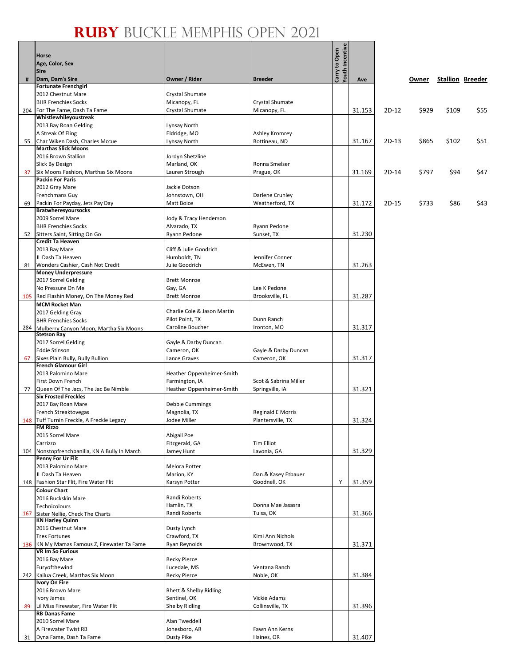$\frac{1}{2}$ 

|     | Horse                                                              |                                        |                                               | <b>Youth Incentive</b><br>Carry to Open |        |         |       |       |                         |
|-----|--------------------------------------------------------------------|----------------------------------------|-----------------------------------------------|-----------------------------------------|--------|---------|-------|-------|-------------------------|
|     | Age, Color, Sex<br><b>Sire</b>                                     |                                        |                                               |                                         |        |         |       |       |                         |
| #   | Dam, Dam's Sire                                                    | Owner / Rider                          | <b>Breeder</b>                                |                                         | Ave    |         | Owner |       | <b>Stallion Breeder</b> |
|     | <b>Fortunate Frenchgirl</b>                                        |                                        |                                               |                                         |        |         |       |       |                         |
|     | 2012 Chestnut Mare                                                 | Crystal Shumate                        |                                               |                                         |        |         |       |       |                         |
|     | <b>BHR Frenchies Socks</b>                                         | Micanopy, FL                           | Crystal Shumate                               |                                         |        |         |       |       |                         |
| 204 | For The Fame, Dash Ta Fame<br>Whistlewhileyoustreak                | Crystal Shumate                        | Micanopy, FL                                  |                                         | 31.153 | $2D-12$ | \$929 | \$109 | \$55                    |
|     | 2013 Bay Roan Gelding                                              | Lynsay North                           |                                               |                                         |        |         |       |       |                         |
|     | A Streak Of Fling                                                  | Eldridge, MO                           | Ashley Kromrey                                |                                         |        |         |       |       |                         |
| 55  | Char Wiken Dash, Charles Mccue                                     | Lynsay North                           | Bottineau, ND                                 |                                         | 31.167 | $2D-13$ | \$865 | \$102 | \$51                    |
|     | <b>Marthas Slick Moons</b>                                         |                                        |                                               |                                         |        |         |       |       |                         |
|     | 2016 Brown Stallion                                                | Jordyn Shetzline                       |                                               |                                         |        |         |       |       |                         |
|     | Slick By Design<br>Six Moons Fashion, Marthas Six Moons            | Marland, OK                            | Ronna Smelser                                 |                                         | 31.169 | 2D-14   |       | \$94  | \$47                    |
| 37  | <b>Packin For Paris</b>                                            | Lauren Strough                         | Prague, OK                                    |                                         |        |         | \$797 |       |                         |
|     | 2012 Gray Mare                                                     | Jackie Dotson                          |                                               |                                         |        |         |       |       |                         |
|     | <b>Frenchmans Guy</b>                                              | Johnstown, OH                          | Darlene Crunley                               |                                         |        |         |       |       |                         |
| 69  | Packin For Payday, Jets Pay Day                                    | Matt Boice                             | Weatherford, TX                               |                                         | 31.172 | $2D-15$ | \$733 | \$86  | \$43                    |
|     | <b>Bratwheresyoursocks</b>                                         |                                        |                                               |                                         |        |         |       |       |                         |
|     | 2009 Sorrel Mare<br><b>BHR Frenchies Socks</b>                     | Jody & Tracy Henderson<br>Alvarado, TX | Ryann Pedone                                  |                                         |        |         |       |       |                         |
| 52  | Sitters Saint, Sitting On Go                                       | Ryann Pedone                           | Sunset, TX                                    |                                         | 31.230 |         |       |       |                         |
|     | <b>Credit Ta Heaven</b>                                            |                                        |                                               |                                         |        |         |       |       |                         |
|     | 2013 Bay Mare                                                      | Cliff & Julie Goodrich                 |                                               |                                         |        |         |       |       |                         |
|     | JL Dash Ta Heaven                                                  | Humboldt, TN                           | Jennifer Conner                               |                                         |        |         |       |       |                         |
| 81  | Wonders Cashier, Cash Not Credit<br><b>Money Underpressure</b>     | Julie Goodrich                         | McEwen, TN                                    |                                         | 31.263 |         |       |       |                         |
|     | 2017 Sorrel Gelding                                                | <b>Brett Monroe</b>                    |                                               |                                         |        |         |       |       |                         |
|     | No Pressure On Me                                                  | Gay, GA                                | Lee K Pedone                                  |                                         |        |         |       |       |                         |
| 105 | Red Flashin Money, On The Money Red                                | <b>Brett Monroe</b>                    | Brooksville, FL                               |                                         | 31.287 |         |       |       |                         |
|     | <b>MCM Rocket Man</b>                                              |                                        |                                               |                                         |        |         |       |       |                         |
|     | 2017 Gelding Gray                                                  | Charlie Cole & Jason Martin            |                                               |                                         |        |         |       |       |                         |
| 284 | <b>BHR Frenchies Socks</b>                                         | Pilot Point, TX<br>Caroline Boucher    | Dunn Ranch<br>Ironton, MO                     |                                         | 31.317 |         |       |       |                         |
|     | Mulberry Canyon Moon, Martha Six Moons<br><b>Stetson Ray</b>       |                                        |                                               |                                         |        |         |       |       |                         |
|     | 2017 Sorrel Gelding                                                | Gayle & Darby Duncan                   |                                               |                                         |        |         |       |       |                         |
|     | <b>Eddie Stinson</b>                                               | Cameron, OK                            | Gayle & Darby Duncan                          |                                         |        |         |       |       |                         |
| 67  | Sixes Plain Bully, Bully Bullion                                   | Lance Graves                           | Cameron, OK                                   |                                         | 31.317 |         |       |       |                         |
|     | <b>French Glamour Girl</b><br>2013 Palomino Mare                   | Heather Oppenheimer-Smith              |                                               |                                         |        |         |       |       |                         |
|     | First Down French                                                  | Farmington, IA                         | Scot & Sabrina Miller                         |                                         |        |         |       |       |                         |
| 77  | Queen Of The Jacs, The Jac Be Nimble                               | Heather Oppenheimer-Smith              | Springville, IA                               |                                         | 31.321 |         |       |       |                         |
|     | <b>Six Frosted Freckles</b>                                        |                                        |                                               |                                         |        |         |       |       |                         |
|     | 2017 Bay Roan Mare                                                 | Debbie Cummings                        |                                               |                                         |        |         |       |       |                         |
|     | French Streaktovegas<br>148 Tuff Turnin Freckle, A Freckle Legacy  | Magnolia, TX<br>Jodee Miller           | <b>Reginald E Morris</b><br>Plantersville, TX |                                         | 31.324 |         |       |       |                         |
|     | <b>FM Rizzo</b>                                                    |                                        |                                               |                                         |        |         |       |       |                         |
|     | 2015 Sorrel Mare                                                   | Abigail Poe                            |                                               |                                         |        |         |       |       |                         |
|     | Carrizzo                                                           | Fitzgerald, GA                         | <b>Tim Elliot</b>                             |                                         |        |         |       |       |                         |
| 104 | Nonstopfrenchbanilla, KN A Bully In March                          | Jamey Hunt                             | Lavonia, GA                                   |                                         | 31.329 |         |       |       |                         |
|     | Penny For Ur Flit<br>2013 Palomino Mare                            | Melora Potter                          |                                               |                                         |        |         |       |       |                         |
|     | JL Dash Ta Heaven                                                  | Marion, KY                             | Dan & Kasey Etbauer                           |                                         |        |         |       |       |                         |
| 148 | Fashion Star Flit, Fire Water Flit                                 | Karsyn Potter                          | Goodnell, OK                                  | Υ                                       | 31.359 |         |       |       |                         |
|     | <b>Colour Chart</b>                                                |                                        |                                               |                                         |        |         |       |       |                         |
|     | 2016 Buckskin Mare                                                 | Randi Roberts                          |                                               |                                         |        |         |       |       |                         |
| 167 | Technicolours                                                      | Hamlin, TX<br>Randi Roberts            | Donna Mae Jasasra<br>Tulsa, OK                |                                         | 31.366 |         |       |       |                         |
|     | Sister Nellie, Check The Charts<br><b>KN Harley Quinn</b>          |                                        |                                               |                                         |        |         |       |       |                         |
|     | 2016 Chestnut Mare                                                 | Dusty Lynch                            |                                               |                                         |        |         |       |       |                         |
|     | <b>Tres Fortunes</b>                                               | Crawford, TX                           | Kimi Ann Nichols                              |                                         |        |         |       |       |                         |
| 136 | KN My Mamas Famous Z, Firewater Ta Fame<br><b>VR Im So Furious</b> | Ryan Reynolds                          | Brownwood, TX                                 |                                         | 31.371 |         |       |       |                         |
|     | 2016 Bay Mare                                                      | <b>Becky Pierce</b>                    |                                               |                                         |        |         |       |       |                         |
|     | Furyofthewind                                                      | Lucedale, MS                           | Ventana Ranch                                 |                                         |        |         |       |       |                         |
| 242 | Kailua Creek, Marthas Six Moon                                     | <b>Becky Pierce</b>                    | Noble, OK                                     |                                         | 31.384 |         |       |       |                         |
|     | <b>Ivory On Fire</b>                                               |                                        |                                               |                                         |        |         |       |       |                         |
|     | 2016 Brown Mare                                                    | Rhett & Shelby Ridling                 |                                               |                                         |        |         |       |       |                         |
| 89  | Ivory James<br>Lil Miss Firewater, Fire Water Flit                 | Sentinel, OK<br><b>Shelby Ridling</b>  | <b>Vickie Adams</b><br>Collinsville, TX       |                                         | 31.396 |         |       |       |                         |
|     | <b>RB Danas Fame</b>                                               |                                        |                                               |                                         |        |         |       |       |                         |
|     | 2010 Sorrel Mare                                                   | Alan Tweddell                          |                                               |                                         |        |         |       |       |                         |
|     | A Firewater Twist RB                                               | Jonesboro, AR                          | Fawn Ann Kerns                                |                                         |        |         |       |       |                         |
| 31  | Dyna Fame, Dash Ta Fame                                            | Dusty Pike                             | Haines, OR                                    |                                         | 31.407 |         |       |       |                         |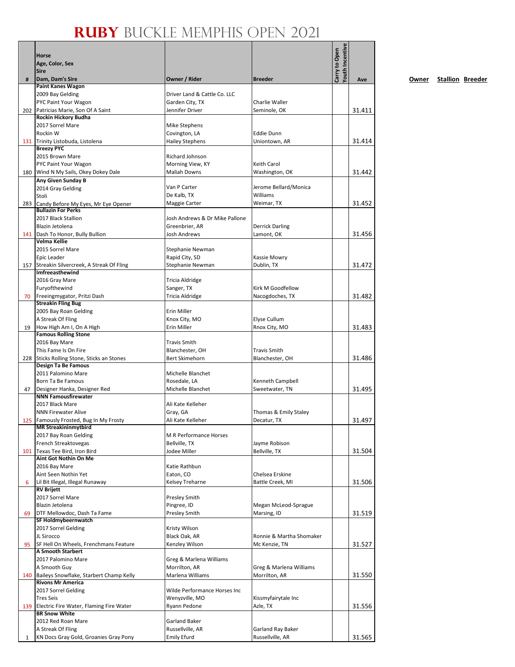|     | Horse                                                           |                                         |                                | Youth Incentive<br>Carry to Open |        |
|-----|-----------------------------------------------------------------|-----------------------------------------|--------------------------------|----------------------------------|--------|
|     | Age, Color, Sex                                                 |                                         |                                |                                  |        |
|     | <b>Sire</b>                                                     |                                         |                                |                                  |        |
| #   | Dam, Dam's Sire<br><b>Paint Kanes Wagon</b>                     | Owner / Rider                           | <b>Breeder</b>                 |                                  | Ave    |
|     | 2009 Bay Gelding                                                | Driver Land & Cattle Co. LLC            |                                |                                  |        |
|     | PYC Paint Your Wagon                                            | Garden City, TX                         | Charlie Waller                 |                                  |        |
|     | 202 Patricias Marie, Son Of A Saint                             | Jennifer Driver                         | Seminole, OK                   |                                  | 31.411 |
|     | Rockin Hickory Budha                                            |                                         |                                |                                  |        |
|     | 2017 Sorrel Mare                                                | Mike Stephens                           |                                |                                  |        |
|     | Rockin W                                                        | Covington, LA                           | <b>Eddie Dunn</b>              |                                  |        |
|     | 131 Trinity Listobuda, Listolena<br><b>Breezy PYC</b>           | <b>Hailey Stephens</b>                  | Uniontown, AR                  |                                  | 31.414 |
|     | 2015 Brown Mare                                                 | Richard Johnson                         |                                |                                  |        |
|     | PYC Paint Your Wagon                                            | Morning View, KY                        | Keith Carol                    |                                  |        |
|     | 180 Wind N My Sails, Okey Dokey Dale                            | <b>Maliah Downs</b>                     | Washington, OK                 |                                  | 31.442 |
|     | Any Given Sunday B                                              |                                         |                                |                                  |        |
|     | 2014 Gray Gelding                                               | Van P Carter                            | Jerome Bellard/Monica          |                                  |        |
|     | Stoli                                                           | De Kalb, TX                             | Williams                       |                                  |        |
| 283 | Candy Before My Eyes, Mr Eye Opener<br>Bullazin For Perks       | Maggie Carter                           | Weimar, TX                     |                                  | 31.452 |
|     | 2017 Black Stallion                                             | Josh Andrews & Dr Mike Pallone          |                                |                                  |        |
|     | Blazin Jetolena                                                 | Greenbrier, AR                          | <b>Derrick Darling</b>         |                                  |        |
|     | 141 Dash To Honor, Bully Bullion                                | Josh Andrews                            | Lamont, OK                     |                                  | 31.456 |
|     | Velma Kellie                                                    |                                         |                                |                                  |        |
|     | 2015 Sorrel Mare                                                | Stephanie Newman                        |                                |                                  |        |
|     | Epic Leader                                                     | Rapid City, SD                          | Kassie Mowry                   |                                  |        |
|     | 157 Streakin Silvercreek, A Streak Of Fling                     | Stephanie Newman                        | Dublin, TX                     |                                  | 31.472 |
|     | Imfreeasthewind                                                 |                                         |                                |                                  |        |
|     | 2016 Gray Mare<br>Furyofthewind                                 | Tricia Aldridge                         | Kirk M Goodfellow              |                                  |        |
| 70  | Freeingmygator, Pritzi Dash                                     | Sanger, TX<br>Tricia Aldridge           | Nacogdoches, TX                |                                  | 31.482 |
|     | <b>Streakin Fling Bug</b>                                       |                                         |                                |                                  |        |
|     | 2005 Bay Roan Gelding                                           | Erin Miller                             |                                |                                  |        |
|     | A Streak Of Fling                                               | Knox City, MO                           | Elyse Cullum                   |                                  |        |
| 19  | How High Am I, On A High                                        | Erin Miller                             | Rnox City, MO                  |                                  | 31.483 |
|     | <b>Famous Rolling Stone</b>                                     |                                         |                                |                                  |        |
|     | 2016 Bay Mare                                                   | <b>Travis Smith</b>                     |                                |                                  |        |
|     | This Fame Is On Fire                                            | Blanchester, OH                         | <b>Travis Smith</b>            |                                  |        |
|     | 228 Sticks Rolling Stone, Sticks an Stones                      | Bert Skimehorn                          | Blanchester, OH                |                                  | 31.486 |
|     | Design Ta Be Famous<br>2011 Palomino Mare                       | Michelle Blanchet                       |                                |                                  |        |
|     | Born Ta Be Famous                                               | Rosedale, LA                            | Kenneth Campbell               |                                  |        |
| 47  | Designer Hanka, Designer Red                                    | Michelle Blanchet                       | Sweetwater, TN                 |                                  | 31.495 |
|     | <b>NNN Famousfirewater</b>                                      |                                         |                                |                                  |        |
|     | 2017 Black Mare                                                 | Ali Kate Kelleher                       |                                |                                  |        |
|     | <b>NNN Firewater Alive</b>                                      | Gray, GA                                | Thomas & Emily Staley          |                                  |        |
|     | 125 Famously Frosted, Bug In My Frosty                          | Ali Kate Kelleher                       | Decatur, TX                    |                                  | 31.497 |
|     | <b>MR Streakininmytbird</b>                                     |                                         |                                |                                  |        |
|     | 2017 Bay Roan Gelding<br>French Streaktovegas                   | M R Performance Horses<br>Bellville, TX |                                |                                  |        |
|     | 101 Texas Tee Bird, Iron Bird                                   | Jodee Miller                            | Jayme Robison<br>Bellville, TX |                                  | 31.504 |
|     | Aint Got Nothin On Me                                           |                                         |                                |                                  |        |
|     | 2016 Bay Mare                                                   | Katie Rathbun                           |                                |                                  |        |
|     | Aint Seen Nothin Yet                                            | Eaton, CO                               | Chelsea Erskine                |                                  |        |
| 6   | Lil Bit Illegal, Illegal Runaway                                | Kelsey Treharne                         | Battle Creek, MI               |                                  | 31.506 |
|     | <b>RV Brijett</b>                                               |                                         |                                |                                  |        |
|     | 2017 Sorrel Mare                                                | Presley Smith                           |                                |                                  |        |
|     | Blazin Jetolena                                                 | Pingree, ID                             | Megan McLeod-Sprague           |                                  |        |
| 69  | DTF Mellowdoc, Dash Ta Fame<br>SF Holdmybeernwatch              | Presley Smith                           | Marsing, ID                    |                                  | 31.519 |
|     | 2017 Sorrel Gelding                                             | Kristy Wilson                           |                                |                                  |        |
|     | JL Sirocco                                                      | Black Oak, AR                           | Ronnie & Martha Shomaker       |                                  |        |
| 95  | SF Hell On Wheels, Frenchmans Feature                           | Kenzley Wilson                          | Mc Kenzie, TN                  |                                  | 31.527 |
|     | <b>A Smooth Starbert</b>                                        |                                         |                                |                                  |        |
|     | 2017 Palomino Mare                                              | Greg & Marlena Williams                 |                                |                                  |        |
|     | A Smooth Guy                                                    | Morrilton, AR                           | Greg & Marlena Williams        |                                  |        |
|     | 140 Baileys Snowflake, Starbert Champ Kelly                     | Marlena Williams                        | Morrilton, AR                  |                                  | 31.550 |
|     | <b>Rivons Mr America</b>                                        |                                         |                                |                                  |        |
|     | 2017 Sorrel Gelding                                             | Wilde Performance Horses Inc            |                                |                                  |        |
|     | <b>Tres Seis</b><br>139 Electric Fire Water, Flaming Fire Water | Wenyzville, MO                          | Kissmyfairytale Inc            |                                  | 31.556 |
|     | <b>BR Snow White</b>                                            | Ryann Pedone                            | Azle, TX                       |                                  |        |
|     | 2012 Red Roan Mare                                              | Garland Baker                           |                                |                                  |        |
|     | A Streak Of Fling                                               | Russellville, AR                        | Garland Ray Baker              |                                  |        |
| 1   | KN Docs Gray Gold, Groanies Gray Pony                           | <b>Emily Efurd</b>                      | Russellville, AR               |                                  | 31.565 |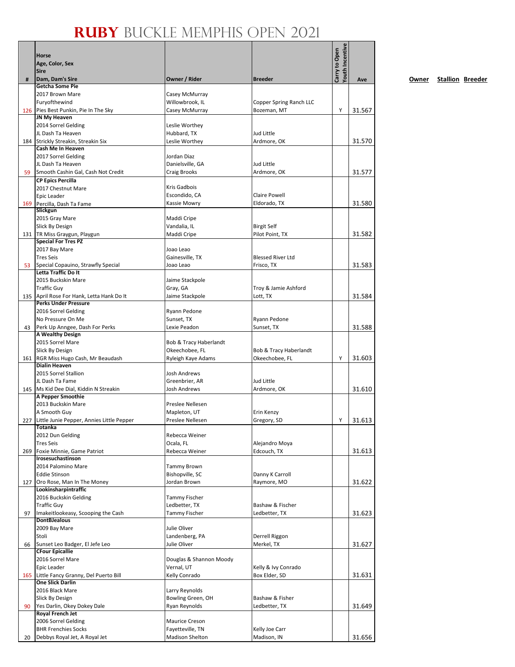|     | Horse                                                         |                                       |                                        | Youth Incentive<br>Carry to Open |        |
|-----|---------------------------------------------------------------|---------------------------------------|----------------------------------------|----------------------------------|--------|
|     | Age, Color, Sex<br><b>Sire</b>                                |                                       |                                        |                                  |        |
| #   | Dam, Dam's Sire                                               | Owner / Rider                         | <b>Breeder</b>                         |                                  | Ave    |
|     | Getcha Some Pie                                               |                                       |                                        |                                  |        |
|     | 2017 Brown Mare<br>Furyofthewind                              | Casey McMurray<br>Willowbrook, IL     |                                        |                                  |        |
|     | 126 Pies Best Punkin, Pie In The Sky                          | Casey McMurray                        | Copper Spring Ranch LLC<br>Bozeman, MT | Y                                | 31.567 |
|     | JN My Heaven                                                  |                                       |                                        |                                  |        |
|     | 2014 Sorrel Gelding                                           | Leslie Worthey                        |                                        |                                  |        |
|     | JL Dash Ta Heaven                                             | Hubbard, TX                           | Jud Little                             |                                  |        |
|     | 184 Strickly Streakin, Streakin Six<br>Cash Me In Heaven      | Leslie Worthey                        | Ardmore, OK                            |                                  | 31.570 |
|     | 2017 Sorrel Gelding                                           | Jordan Diaz                           |                                        |                                  |        |
|     | JL Dash Ta Heaven                                             | Danielsville, GA                      | Jud Little                             |                                  |        |
| 59  | Smooth Cashin Gal, Cash Not Credit                            | Craig Brooks                          | Ardmore, OK                            |                                  | 31.577 |
|     | <b>CP Epics Percilla</b>                                      |                                       |                                        |                                  |        |
|     | 2017 Chestnut Mare<br>Epic Leader                             | Kris Gadbois<br>Escondido, CA         | <b>Claire Powell</b>                   |                                  |        |
| 169 | Percilla, Dash Ta Fame                                        | Kassie Mowry                          | Eldorado, TX                           |                                  | 31.580 |
|     | Slickgun                                                      |                                       |                                        |                                  |        |
|     | 2015 Gray Mare                                                | Maddi Cripe                           |                                        |                                  |        |
|     | Slick By Design                                               | Vandalia, IL                          | <b>Birgit Self</b>                     |                                  |        |
|     | 131   TR Miss Graygun, Playgun<br><b>Special For Tres PZ</b>  | Maddi Cripe                           | Pilot Point, TX                        |                                  | 31.582 |
|     | 2017 Bay Mare                                                 | Joao Leao                             |                                        |                                  |        |
|     | <b>Tres Seis</b>                                              | Gainesville, TX                       | <b>Blessed River Ltd</b>               |                                  |        |
| 53  | Special Copauino, Strawfly Special                            | Joao Leao                             | Frisco, TX                             |                                  | 31.583 |
|     | Letta Traffic Do It<br>2015 Buckskin Mare                     |                                       |                                        |                                  |        |
|     | <b>Traffic Guy</b>                                            | Jaime Stackpole<br>Gray, GA           | Troy & Jamie Ashford                   |                                  |        |
|     | 135 April Rose For Hank, Letta Hank Do It                     | Jaime Stackpole                       | Lott, TX                               |                                  | 31.584 |
|     | <b>Perks Under Pressure</b>                                   |                                       |                                        |                                  |        |
|     | 2016 Sorrel Gelding                                           | Ryann Pedone                          |                                        |                                  |        |
|     | No Pressure On Me                                             | Sunset, TX                            | Ryann Pedone                           |                                  |        |
| 43  | Perk Up Anngee, Dash For Perks<br><b>A Wealthy Design</b>     | Lexie Peadon                          | Sunset, TX                             |                                  | 31.588 |
|     | 2015 Sorrel Mare                                              | Bob & Tracy Haberlandt                |                                        |                                  |        |
|     | Slick By Design                                               | Okeechobee, FL                        | Bob & Tracy Haberlandt                 |                                  |        |
|     | 161 RGR Miss Hugo Cash, Mr Beaudash                           | Ryleigh Kaye Adams                    | Okeechobee, FL                         | Υ                                | 31.603 |
|     | <b>Dialin Heaven</b><br>2015 Sorrel Stallion                  | Josh Andrews                          |                                        |                                  |        |
|     | JL Dash Ta Fame                                               | Greenbrier, AR                        | Jud Little                             |                                  |        |
|     | 145 Ms Kid Dee Dial, Kiddin N Streakin                        | Josh Andrews                          | Ardmore, OK                            |                                  | 31.610 |
|     | A Pepper Smoothie                                             |                                       |                                        |                                  |        |
|     | 2013 Buckskin Mare                                            | Preslee Nellesen                      |                                        |                                  |        |
|     | A Smooth Guy<br>227 Little Junie Pepper, Annies Little Pepper | Mapleton, UT<br>Preslee Nellesen      | Erin Kenzy<br>Gregory, SD              |                                  | 31.613 |
|     | Totanka                                                       |                                       |                                        | Y                                |        |
|     | 2012 Dun Gelding                                              | Rebecca Weiner                        |                                        |                                  |        |
|     | <b>Tres Seis</b>                                              | Ocala, FL                             | Alejandro Moya                         |                                  |        |
| 269 | Foxie Minnie, Game Patriot                                    | Rebecca Weiner                        | Edcouch, TX                            |                                  | 31.613 |
|     | Irosesuchastinson<br>2014 Palomino Mare                       | Tammy Brown                           |                                        |                                  |        |
|     | Eddie Stinson                                                 | Bishopville, SC                       | Danny K Carroll                        |                                  |        |
|     | 127 Oro Rose, Man In The Money                                | Jordan Brown                          | Raymore, MO                            |                                  | 31.622 |
|     | Lookinsharpintraffic                                          |                                       |                                        |                                  |        |
|     | 2016 Buckskin Gelding                                         | Tammy Fischer                         |                                        |                                  |        |
| 97  | <b>Traffic Guy</b><br>Imakeitlookeasy, Scooping the Cash      | Ledbetter, TX<br><b>Tammy Fischer</b> | Bashaw & Fischer<br>Ledbetter, TX      |                                  | 31.623 |
|     | <b>DontBJealous</b>                                           |                                       |                                        |                                  |        |
|     | 2009 Bay Mare                                                 | Julie Oliver                          |                                        |                                  |        |
|     | Stoli                                                         | Landenberg, PA                        | Derrell Riggon                         |                                  |        |
| 66  | Sunset Leo Badger, El Jefe Leo                                | Julie Oliver                          | Merkel, TX                             |                                  | 31.627 |
|     | <b>CFour Epicallie</b><br>2016 Sorrel Mare                    | Douglas & Shannon Moody               |                                        |                                  |        |
|     | Epic Leader                                                   | Vernal, UT                            | Kelly & Ivy Conrado                    |                                  |        |
|     | 165 Little Fancy Granny, Del Puerto Bill                      | Kelly Conrado                         | Box Elder, SD                          |                                  | 31.631 |
|     | <b>One Slick Darlin</b>                                       |                                       |                                        |                                  |        |
|     | 2016 Black Mare                                               | Larry Reynolds                        |                                        |                                  |        |
| 90  | Slick By Design<br>Yes Darlin, Okey Dokey Dale                | Bowling Green, OH<br>Ryan Reynolds    | Bashaw & Fisher<br>Ledbetter, TX       |                                  | 31.649 |
|     | <b>Royal French Jet</b>                                       |                                       |                                        |                                  |        |
|     | 2006 Sorrel Gelding                                           | Maurice Creson                        |                                        |                                  |        |
|     | <b>BHR Frenchies Socks</b>                                    | Fayetteville, TN                      | Kelly Joe Carr                         |                                  |        |
| 20  | Debbys Royal Jet, A Royal Jet                                 | <b>Madison Shelton</b>                | Madison, IN                            |                                  | 31.656 |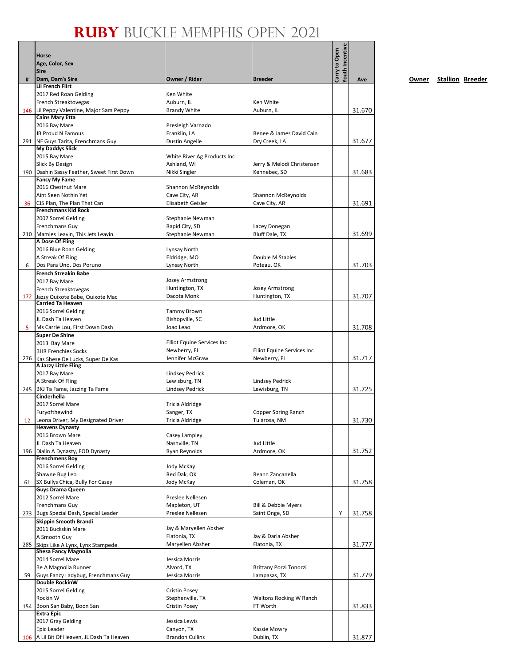|     | Horse<br>Age, Color, Sex<br><b>Sire</b>                            |                                                   |                                            | Youth Incentive<br>Carry to Open |        |
|-----|--------------------------------------------------------------------|---------------------------------------------------|--------------------------------------------|----------------------------------|--------|
| #   | Dam, Dam's Sire                                                    | Owner / Rider                                     | <b>Breeder</b>                             |                                  | Ave    |
|     | <b>Lil French Flirt</b><br>2017 Red Roan Gelding                   | Ken White                                         |                                            |                                  |        |
|     | <b>French Streaktovegas</b>                                        | Auburn, IL                                        | Ken White                                  |                                  |        |
|     | 146 Lil Peppy Valentine, Major Sam Peppy                           | <b>Brandy White</b>                               | Auburn, IL                                 |                                  | 31.670 |
|     | <b>Cains Mary Etta</b><br>2016 Bay Mare                            | Presleigh Varnado                                 |                                            |                                  |        |
|     | JB Proud N Famous                                                  | Franklin, LA                                      | Renee & James David Cain                   |                                  |        |
|     | 291 NF Guys Tarita, Frenchmans Guy                                 | <b>Dustin Angelle</b>                             | Dry Creek, LA                              |                                  | 31.677 |
|     | <b>My Daddys Slick</b>                                             |                                                   |                                            |                                  |        |
|     | 2015 Bay Mare                                                      | White River Ag Products Inc                       |                                            |                                  |        |
|     | Slick By Design<br>190 Dashin Sassy Feather, Sweet First Down      | Ashland, WI<br>Nikki Singler                      | Jerry & Melodi Christensen<br>Kennebec, SD |                                  | 31.683 |
|     | <b>Fancy My Fame</b>                                               |                                                   |                                            |                                  |        |
|     | 2016 Chestnut Mare                                                 | Shannon McReynolds                                |                                            |                                  |        |
|     | Aint Seen Nothin Yet                                               | Cave City, AR                                     | Shannon McReynolds                         |                                  |        |
| 36  | CJS Plan, The Plan That Can<br><b>Frenchmans Kid Rock</b>          | Elisabeth Geisler                                 | Cave City, AR                              |                                  | 31.691 |
|     | 2007 Sorrel Gelding                                                | Stephanie Newman                                  |                                            |                                  |        |
|     | Frenchmans Guy                                                     | Rapid City, SD                                    | Lacey Donegan                              |                                  |        |
|     | 210 Mamies Leavin, This Jets Leavin                                | Stephanie Newman                                  | Bluff Dale, TX                             |                                  | 31.699 |
|     | A Dose Of Fling                                                    |                                                   |                                            |                                  |        |
|     | 2016 Blue Roan Gelding<br>A Streak Of Fling                        | Lynsay North                                      | Double M Stables                           |                                  |        |
| 6   | Dos Para Uno, Dos Poruno                                           | Eldridge, MO<br>Lynsay North                      | Poteau, OK                                 |                                  | 31.703 |
|     | <b>French Streakin Babe</b>                                        |                                                   |                                            |                                  |        |
|     | 2017 Bay Mare                                                      | <b>Josey Armstrong</b>                            |                                            |                                  |        |
|     | French Streaktovegas                                               | Huntington, TX                                    | Josey Armstrong                            |                                  |        |
|     | 172 Jazzy Quixote Babe, Quixote Mac<br><b>Carried Ta Heaven</b>    | Dacota Monk                                       | Huntington, TX                             |                                  | 31.707 |
|     | 2016 Sorrel Gelding                                                | <b>Tammy Brown</b>                                |                                            |                                  |        |
|     | JL Dash Ta Heaven                                                  | Bishopville, SC                                   | Jud Little                                 |                                  |        |
| 5   | Ms Carrie Lou, First Down Dash                                     | Joao Leao                                         | Ardmore, OK                                |                                  | 31.708 |
|     | <b>Super De Shine</b>                                              |                                                   |                                            |                                  |        |
|     | 2013 Bay Mare                                                      | <b>Elliot Equine Services Inc</b><br>Newberry, FL | Elliot Equine Services Inc                 |                                  |        |
|     | <b>BHR Frenchies Socks</b><br>276 Kas Shese De Lucks, Super De Kas | Jennifer McGraw                                   | Newberry, FL                               |                                  | 31.717 |
|     | A Jazzy Little Fling                                               |                                                   |                                            |                                  |        |
|     | 2017 Bay Mare                                                      | <b>Lindsey Pedrick</b>                            |                                            |                                  |        |
|     | A Streak Of Fling                                                  | Lewisburg, TN                                     | <b>Lindsey Pedrick</b>                     |                                  |        |
|     | 245 BKJ Ta Fame, Jazzing Ta Fame<br>Cinderhella                    | <b>Lindsey Pedrick</b>                            | Lewisburg, TN                              |                                  | 31.725 |
|     | 2017 Sorrel Mare                                                   | Tricia Aldridge                                   |                                            |                                  |        |
|     | Furyofthewind                                                      | Sanger, TX                                        | Copper Spring Ranch                        |                                  |        |
| 12  | Leona Driver, My Designated Driver                                 | <b>Tricia Aldridge</b>                            | Tularosa, NM                               |                                  | 31.730 |
|     | <b>Heavens Dynasty</b><br>2016 Brown Mare                          | Casey Lampley                                     |                                            |                                  |        |
|     | JL Dash Ta Heaven                                                  | Nashville, TN                                     | Jud Little                                 |                                  |        |
|     | 196   Dialin A Dynasty, FOD Dynasty                                | Ryan Reynolds                                     | Ardmore, OK                                |                                  | 31.752 |
|     | <b>Frenchmens Boy</b>                                              |                                                   |                                            |                                  |        |
|     | 2016 Sorrel Gelding                                                | Jody McKay                                        |                                            |                                  |        |
| 61  | Shawne Bug Leo<br>SX Bullys Chica, Bully For Casey                 | Red Dak, OK<br>Jody McKay                         | Reann Zancanella<br>Coleman, OK            |                                  | 31.758 |
|     | <b>Guys Drama Queen</b>                                            |                                                   |                                            |                                  |        |
|     | 2012 Sorrel Mare                                                   | Preslee Nellesen                                  |                                            |                                  |        |
|     | Frenchmans Guy                                                     | Mapleton, UT                                      | Bill & Debbie Myers                        |                                  |        |
|     | 273 Bugs Special Dash, Special Leader                              | Preslee Nellesen                                  | Saint Onge, SD                             | Y                                | 31.758 |
|     | Skippin Smooth Brandi                                              | Jay & Maryellen Absher                            |                                            |                                  |        |
|     | 2011 Buckskin Mare<br>A Smooth Guy                                 | Flatonia, TX                                      | Jay & Darla Absher                         |                                  |        |
|     | 285 Skips Like A Lynx, Lynx Stampede                               | Maryellen Absher                                  | Flatonia, TX                               |                                  | 31.777 |
|     | <b>Shesa Fancy Magnolia</b>                                        |                                                   |                                            |                                  |        |
|     | 2014 Sorrel Mare                                                   | Jessica Morris                                    |                                            |                                  |        |
| 59  | Be A Magnolia Runner<br>Guys Fancy Ladybug, Frenchmans Guy         | Alvord, TX<br>Jessica Morris                      | Brittany Pozzi Tonozzi<br>Lampasas, TX     |                                  | 31.779 |
|     | <b>Double RockinW</b>                                              |                                                   |                                            |                                  |        |
|     | 2015 Sorrel Gelding                                                | <b>Cristin Posey</b>                              |                                            |                                  |        |
|     | Rockin W                                                           | Stephenville, TX                                  | Waltons Rocking W Ranch                    |                                  |        |
|     | 154 Boon San Baby, Boon San                                        | Cristin Posey                                     | FT Worth                                   |                                  | 31.833 |
|     | <b>Extra Epic</b><br>2017 Gray Gelding                             | Jessica Lewis                                     |                                            |                                  |        |
|     | Epic Leader                                                        | Canyon, TX                                        | Kassie Mowry                               |                                  |        |
| 106 | A Lil Bit Of Heaven, JL Dash Ta Heaven                             | <b>Brandon Cullins</b>                            | Dublin, TX                                 |                                  | 31.877 |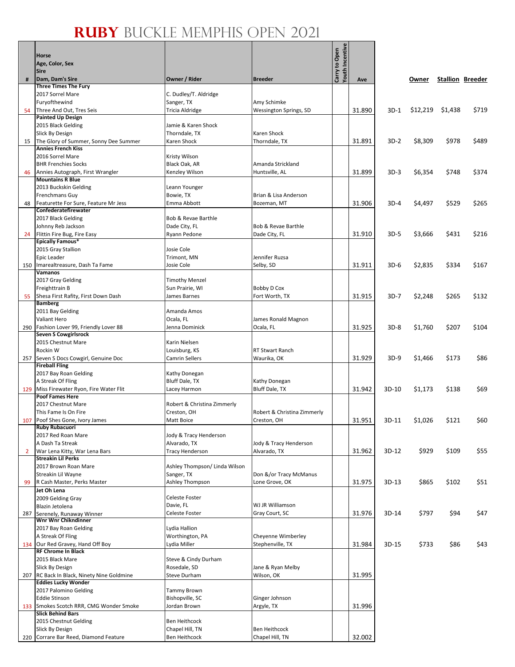$\frac{1}{2}$ 

|                | <b>Horse</b>                                                       |                                          |                                         | Youth Incentiv<br>Carry to Open |        |         |          |         |                         |
|----------------|--------------------------------------------------------------------|------------------------------------------|-----------------------------------------|---------------------------------|--------|---------|----------|---------|-------------------------|
|                | Age, Color, Sex                                                    |                                          |                                         |                                 |        |         |          |         |                         |
| #              | <b>Sire</b><br>Dam, Dam's Sire                                     | Owner / Rider                            | <b>Breeder</b>                          |                                 | Ave    |         | Owner    |         | <b>Stallion Breeder</b> |
|                | <b>Three Times The Fury</b>                                        |                                          |                                         |                                 |        |         |          |         |                         |
|                | 2017 Sorrel Mare                                                   | C. Dudley/T. Aldridge                    |                                         |                                 |        |         |          |         |                         |
| 54             | Furyofthewind<br>Three And Out, Tres Seis                          | Sanger, TX<br>Tricia Aldridge            | Amy Schimke<br>Wessington Springs, SD   |                                 | 31.890 | $3D-1$  | \$12,219 | \$1,438 | \$719                   |
|                | <b>Painted Up Design</b>                                           |                                          |                                         |                                 |        |         |          |         |                         |
|                | 2015 Black Gelding                                                 | Jamie & Karen Shock                      |                                         |                                 |        |         |          |         |                         |
|                | Slick By Design<br>The Glory of Summer, Sonny Dee Summer           | Thorndale, TX                            | Karen Shock                             |                                 |        |         |          |         |                         |
| 15             | <b>Annies French Kiss</b>                                          | Karen Shock                              | Thorndale, TX                           |                                 | 31.891 | $3D-2$  | \$8,309  | \$978   | \$489                   |
|                | 2016 Sorrel Mare                                                   | Kristy Wilson                            |                                         |                                 |        |         |          |         |                         |
|                | <b>BHR Frenchies Socks</b>                                         | Black Oak, AR                            | Amanda Strickland                       |                                 |        |         |          |         |                         |
| 46             | Annies Autograph, First Wrangler<br><b>Mountains R Blue</b>        | Kenzley Wilson                           | Huntsville, AL                          |                                 | 31.899 | $3D-3$  | \$6,354  | \$748   | \$374                   |
|                | 2013 Buckskin Gelding                                              | Leann Younger                            |                                         |                                 |        |         |          |         |                         |
|                | Frenchmans Guy                                                     | Bowie, TX                                | Brian & Lisa Anderson                   |                                 |        |         |          |         |                         |
| 48             | Featurette For Sure, Feature Mr Jess                               | Emma Abbott                              | Bozeman, MT                             |                                 | 31.906 | $3D-4$  | \$4,497  | \$529   | \$265                   |
|                | Confederatefirewater<br>2017 Black Gelding                         | Bob & Revae Barthle                      |                                         |                                 |        |         |          |         |                         |
|                | Johnny Reb Jackson                                                 | Dade City, FL                            | Bob & Revae Barthle                     |                                 |        |         |          |         |                         |
| 24             | Flittin Fire Bug, Fire Easy                                        | Ryann Pedone                             | Dade City, FL                           |                                 | 31.910 | $3D-5$  | \$3,666  | \$431   | \$216                   |
|                | <b>Epically Famous*</b>                                            |                                          |                                         |                                 |        |         |          |         |                         |
|                | 2015 Gray Stallion<br>Epic Leader                                  | Josie Cole<br>Trimont, MN                | Jennifer Ruzsa                          |                                 |        |         |          |         |                         |
|                | 150 Imarealtreasure, Dash Ta Fame                                  | Josie Cole                               | Selby, SD                               |                                 | 31.911 | $3D-6$  | \$2,835  | \$334   | \$167                   |
|                | Vamanos                                                            |                                          |                                         |                                 |        |         |          |         |                         |
|                | 2017 Gray Gelding<br>Freighttrain B                                | <b>Timothy Menzel</b><br>Sun Prairie, WI | <b>Bobby D Cox</b>                      |                                 |        |         |          |         |                         |
| 55             | Shesa First Rafity, First Down Dash                                | James Barnes                             | Fort Worth, TX                          |                                 | 31.915 | $3D-7$  | \$2,248  | \$265   | \$132                   |
|                | <b>Bamberg</b>                                                     |                                          |                                         |                                 |        |         |          |         |                         |
|                | 2011 Bay Gelding                                                   | Amanda Amos                              |                                         |                                 |        |         |          |         |                         |
|                | Valiant Hero<br>290 Fashion Lover 99, Friendly Lover 88            | Ocala, FL<br>Jenna Dominick              | James Ronald Magnon<br>Ocala, FL        |                                 | 31.925 | $3D-8$  | \$1,760  | \$207   | \$104                   |
|                | <b>Seven S Cowgirlsrock</b>                                        |                                          |                                         |                                 |        |         |          |         |                         |
|                | 2015 Chestnut Mare                                                 | Karin Nielsen                            |                                         |                                 |        |         |          |         |                         |
|                | Rockin W                                                           | Louisburg, KS                            | <b>RT Stwart Ranch</b>                  |                                 |        |         |          |         |                         |
|                | 257 Seven S Docs Cowgirl, Genuine Doc<br><b>Fireball Fling</b>     | <b>Camrin Sellers</b>                    | Waurika, OK                             |                                 | 31.929 | $3D-9$  | \$1,466  | \$173   | \$86                    |
|                | 2017 Bay Roan Gelding                                              | Kathy Donegan                            |                                         |                                 |        |         |          |         |                         |
|                | A Streak Of Fling                                                  | Bluff Dale, TX                           | Kathy Donegan                           |                                 |        |         |          |         |                         |
|                | 129 Miss Firewater Ryon, Fire Water Flit<br><b>Poof Fames Here</b> | Lacey Harmon                             | <b>Bluff Dale, TX</b>                   |                                 | 31.942 | 3D-10   | \$1,173  | \$138   | \$69                    |
|                | 2017 Chestnut Mare                                                 | Robert & Christina Zimmerly              |                                         |                                 |        |         |          |         |                         |
|                | This Fame Is On Fire                                               | Creston, OH                              | Robert & Christina Zimmerly             |                                 |        |         |          |         |                         |
|                | 107 Poof Shes Gone, Ivory James<br><b>Ruby Rubacuori</b>           | Matt Boice                               | Creston, OH                             |                                 | 31.951 | 3D-11   | \$1,026  | \$121   | \$60                    |
|                | 2017 Red Roan Mare                                                 | Jody & Tracy Henderson                   |                                         |                                 |        |         |          |         |                         |
|                | A Dash Ta Streak                                                   | Alvarado, TX                             | Jody & Tracy Henderson                  |                                 |        |         |          |         |                         |
| $\overline{2}$ | War Lena Kitty, War Lena Bars<br><b>Streakin Lil Perks</b>         | <b>Tracy Henderson</b>                   | Alvarado, TX                            |                                 | 31.962 | 3D-12   | \$929    | \$109   | \$55                    |
|                | 2017 Brown Roan Mare                                               | Ashley Thompson/ Linda Wilson            |                                         |                                 |        |         |          |         |                         |
|                | Streakin Lil Wayne                                                 | Sanger, TX                               | Don &/or Tracy McManus                  |                                 |        |         |          |         |                         |
| 99             | R Cash Master, Perks Master                                        | Ashley Thompson                          | Lone Grove, OK                          |                                 | 31.975 | $3D-13$ | \$865    | \$102   | \$51                    |
|                | Jet Oh Lena<br>2009 Gelding Gray                                   | Celeste Foster                           |                                         |                                 |        |         |          |         |                         |
|                | Blazin Jetolena                                                    | Davie, FL                                | WJ JR Williamson                        |                                 |        |         |          |         |                         |
| 287            | Serenely, Runaway Winner                                           | Celeste Foster                           | Gray Court, SC                          |                                 | 31.976 | 3D-14   | \$797    | \$94    | \$47                    |
|                | Wnr Wnr Chikndinner<br>2017 Bay Roan Gelding                       | Lydia Hallion                            |                                         |                                 |        |         |          |         |                         |
|                | A Streak Of Fling                                                  | Worthington, PA                          | Cheyenne Wimberley                      |                                 |        |         |          |         |                         |
|                | 134 Our Red Gravey, Hand Off Boy                                   | Lydia Miller                             | Stephenville, TX                        |                                 | 31.984 | 3D-15   | \$733    | \$86    | \$43                    |
|                | <b>RF Chrome In Black</b>                                          |                                          |                                         |                                 |        |         |          |         |                         |
|                | 2015 Black Mare<br>Slick By Design                                 | Steve & Cindy Durham<br>Rosedale, SD     | Jane & Ryan Melby                       |                                 |        |         |          |         |                         |
|                | 207 RC Back In Black, Ninety Nine Goldmine                         | <b>Steve Durham</b>                      | Wilson, OK                              |                                 | 31.995 |         |          |         |                         |
|                | <b>Eddies Lucky Wonder</b>                                         |                                          |                                         |                                 |        |         |          |         |                         |
|                | 2017 Palomino Gelding                                              | <b>Tammy Brown</b>                       |                                         |                                 |        |         |          |         |                         |
|                | <b>Eddie Stinson</b><br>133 Smokes Scotch RRR, CMG Wonder Smoke    | Bishopville, SC<br>Jordan Brown          | Ginger Johnson<br>Argyle, TX            |                                 | 31.996 |         |          |         |                         |
|                | <b>Slick Behind Bars</b>                                           |                                          |                                         |                                 |        |         |          |         |                         |
|                | 2015 Chestnut Gelding                                              | Ben Heithcock                            |                                         |                                 |        |         |          |         |                         |
|                | Slick By Design<br>220 Corrare Bar Reed, Diamond Feature           | Chapel Hill, TN<br>Ben Heithcock         | <b>Ben Heithcock</b><br>Chapel Hill, TN |                                 | 32.002 |         |          |         |                         |
|                |                                                                    |                                          |                                         |                                 |        |         |          |         |                         |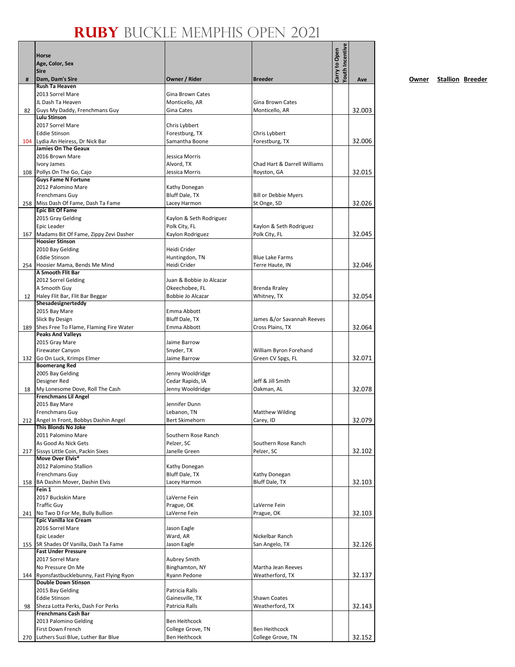|     | Horse                                                                  |                                        |                                           | Youth Incentive |        |
|-----|------------------------------------------------------------------------|----------------------------------------|-------------------------------------------|-----------------|--------|
|     | Age, Color, Sex                                                        |                                        |                                           | Carry to Open   |        |
|     | <b>Sire</b>                                                            |                                        |                                           |                 |        |
| #   | Dam, Dam's Sire<br><b>Rush Ta Heaven</b>                               | Owner / Rider                          | <b>Breeder</b>                            |                 | Ave    |
|     | 2013 Sorrel Mare                                                       | Gina Brown Cates                       |                                           |                 |        |
|     | JL Dash Ta Heaven                                                      | Monticello, AR                         | Gina Brown Cates                          |                 |        |
| 82  | Guys My Daddy, Frenchmans Guy                                          | Gina Cates                             | Monticello, AR                            |                 | 32.003 |
|     | <b>Lulu Stinson</b>                                                    |                                        |                                           |                 |        |
|     | 2017 Sorrel Mare<br><b>Eddie Stinson</b>                               | Chris Lybbert<br>Forestburg, TX        | Chris Lybbert                             |                 |        |
|     | 104 Lydia An Heiress, Dr Nick Bar                                      | Samantha Boone                         | Forestburg, TX                            |                 | 32.006 |
|     | <b>Jamies On The Geaux</b>                                             |                                        |                                           |                 |        |
|     | 2016 Brown Mare                                                        | Jessica Morris                         |                                           |                 |        |
|     | Ivory James                                                            | Alvord, TX                             | Chad Hart & Darrell Williams              |                 |        |
|     | 108 Pollys On The Go, Cajo<br><b>Guys Fame N Fortune</b>               | Jessica Morris                         | Royston, GA                               |                 | 32.015 |
|     | 2012 Palomino Mare                                                     | Kathy Donegan                          |                                           |                 |        |
|     | Frenchmans Guy                                                         | Bluff Dale, TX                         | <b>Bill or Debbie Myers</b>               |                 |        |
|     | 258 Miss Dash Of Fame, Dash Ta Fame                                    | Lacey Harmon                           | St Onge, SD                               |                 | 32.026 |
|     | <b>Epic Bit Of Fame</b><br>2015 Gray Gelding                           | Kaylon & Seth Rodriguez                |                                           |                 |        |
|     | Epic Leader                                                            | Polk City, FL                          | Kaylon & Seth Rodriguez                   |                 |        |
|     | 167 Madams Bit Of Fame, Zippy Zevi Dasher                              | Kaylon Rodriguez                       | Polk City, FL                             |                 | 32.045 |
|     | <b>Hoosier Stinson</b>                                                 |                                        |                                           |                 |        |
|     | 2010 Bay Gelding                                                       | Heidi Crider<br>Huntingdon, TN         |                                           |                 |        |
|     | <b>Eddie Stinson</b><br>254 Hoosier Mama, Bends Me Mind                | Heidi Crider                           | <b>Blue Lake Farms</b><br>Terre Haute, IN |                 | 32.046 |
|     | A Smooth Flit Bar                                                      |                                        |                                           |                 |        |
|     | 2012 Sorrel Gelding                                                    | Juan & Bobbie Jo Alcazar               |                                           |                 |        |
|     | A Smooth Guy                                                           | Okeechobee, FL                         | <b>Brenda Rraley</b>                      |                 |        |
| 12  | Haley Flit Bar, Flit Bar Beggar<br>Shesadesignerteddy                  | Bobbie Jo Alcazar                      | Whitney, TX                               |                 | 32.054 |
|     | 2015 Bay Mare                                                          | Emma Abbott                            |                                           |                 |        |
|     | Slick By Design                                                        | <b>Bluff Dale, TX</b>                  | James &/or Savannah Reeves                |                 |        |
|     | 189 Shes Free To Flame, Flaming Fire Water                             | Emma Abbott                            | Cross Plains, TX                          |                 | 32.064 |
|     | <b>Peaks And Valleys</b><br>2015 Gray Mare                             | Jaime Barrow                           |                                           |                 |        |
|     | Firewater Canyon                                                       | Snyder, TX                             | William Byron Forehand                    |                 |        |
|     | 132 Go On Luck, Krimps Elmer                                           | Jaime Barrow                           | Green CV Spgs, FL                         |                 | 32.071 |
|     | <b>Boomerang Red</b>                                                   |                                        |                                           |                 |        |
|     | 2005 Bay Gelding                                                       | Jenny Wooldridge                       |                                           |                 |        |
| 18  | Designer Red<br>My Lonesome Dove, Roll The Cash                        | Cedar Rapids, IA<br>Jenny Wooldridge   | Jeff & Jill Smith<br>Oakman, AL           |                 | 32.078 |
|     | <b>Frenchmans Lil Angel</b>                                            |                                        |                                           |                 |        |
|     | 2015 Bay Mare                                                          | Jennifer Dunn                          |                                           |                 |        |
|     | Frenchmans Guy                                                         | Lebanon, TN                            | <b>Matthew Wilding</b>                    |                 |        |
|     | 212 Angel In Front, Bobbys Dashin Angel<br>This Blonds No Joke         | Bert Skimehorn                         | Carey, ID                                 |                 | 32.079 |
|     | 2011 Palomino Mare                                                     | Southern Rose Ranch                    |                                           |                 |        |
|     | As Good As Nick Gets                                                   | Pelzer, SC                             | Southern Rose Ranch                       |                 |        |
|     | 217 Sissys Little Coin, Packin Sixes                                   | Janelle Green                          | Pelzer, SC                                |                 | 32.102 |
|     | Move Over Elvis*<br>2012 Palomino Stallion                             |                                        |                                           |                 |        |
|     | Frenchmans Guy                                                         | Kathy Donegan<br><b>Bluff Dale, TX</b> | Kathy Donegan                             |                 |        |
|     | 158 BA Dashin Mover, Dashin Elvis                                      | Lacey Harmon                           | Bluff Dale, TX                            |                 | 32.103 |
|     | Fein 1                                                                 |                                        |                                           |                 |        |
|     | 2017 Buckskin Mare                                                     | LaVerne Fein                           |                                           |                 |        |
|     | <b>Traffic Guy</b><br>241 No Two D For Me, Bully Bullion               | Prague, OK<br>LaVerne Fein             | LaVerne Fein<br>Prague, OK                |                 | 32.103 |
|     | <b>Epic Vanilla Ice Cream</b>                                          |                                        |                                           |                 |        |
|     | 2016 Sorrel Mare                                                       | Jason Eagle                            |                                           |                 |        |
|     | Epic Leader                                                            | Ward, AR                               | Nickelbar Ranch                           |                 |        |
|     | 155   SR Shades Of Vanilla, Dash Ta Fame<br><b>Fast Under Pressure</b> | Jason Eagle                            | San Angelo, TX                            |                 | 32.126 |
|     | 2017 Sorrel Mare                                                       | Aubrey Smith                           |                                           |                 |        |
|     | No Pressure On Me                                                      | Binghamton, NY                         | Martha Jean Reeves                        |                 |        |
|     | 144 Ryonsfastbucklebunny, Fast Flying Ryon                             | Ryann Pedone                           | Weatherford, TX                           |                 | 32.137 |
|     | <b>Double Down Stinson</b>                                             |                                        |                                           |                 |        |
|     | 2015 Bay Gelding<br><b>Eddie Stinson</b>                               | Patricia Ralls<br>Gainesville, TX      | <b>Shawn Coates</b>                       |                 |        |
| 98  | Sheza Lotta Perks, Dash For Perks                                      | Patricia Ralls                         | Weatherford, TX                           |                 | 32.143 |
|     | <b>Frenchmans Cash Bar</b>                                             |                                        |                                           |                 |        |
|     | 2013 Palomino Gelding                                                  | Ben Heithcock                          |                                           |                 |        |
|     | First Down French                                                      | College Grove, TN                      | <b>Ben Heithcock</b>                      |                 |        |
| 270 | Luthers Suzi Blue, Luther Bar Blue                                     | Ben Heithcock                          | College Grove, TN                         |                 | 32.152 |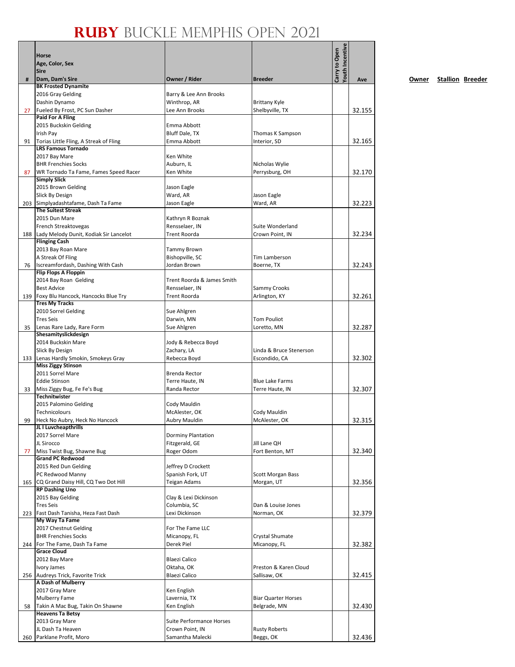|     | Horse                                                              |                                             |                                          | Youth Incentive |        |
|-----|--------------------------------------------------------------------|---------------------------------------------|------------------------------------------|-----------------|--------|
|     | Age, Color, Sex                                                    |                                             |                                          | Carry to Open   |        |
|     | <b>Sire</b>                                                        |                                             |                                          |                 |        |
| #   | Dam, Dam's Sire                                                    | Owner / Rider                               | <b>Breeder</b>                           |                 | Ave    |
|     | <b>BK Frosted Dynamite</b><br>2016 Gray Gelding                    | Barry & Lee Ann Brooks                      |                                          |                 |        |
|     | Dashin Dynamo                                                      | Winthrop, AR                                | Brittany Kyle                            |                 |        |
| 27  | Fueled By Frost, PC Sun Dasher                                     | Lee Ann Brooks                              | Shelbyville, TX                          |                 | 32.155 |
|     | <b>Paid For A Fling</b>                                            |                                             |                                          |                 |        |
|     | 2015 Buckskin Gelding<br>Irish Pay                                 | Emma Abbott<br>Bluff Dale, TX               | Thomas K Sampson                         |                 |        |
| 91  | Torias Little Fling, A Streak of Fling                             | Emma Abbott                                 | Interior, SD                             |                 | 32.165 |
|     | <b>LRS Famous Tornado</b>                                          |                                             |                                          |                 |        |
|     | 2017 Bay Mare                                                      | Ken White                                   |                                          |                 |        |
|     | <b>BHR Frenchies Socks</b>                                         | Auburn, IL                                  | Nicholas Wylie                           |                 |        |
| 87  | WR Tornado Ta Fame, Fames Speed Racer<br><b>Simply Slick</b>       | Ken White                                   | Perrysburg, OH                           |                 | 32.170 |
|     | 2015 Brown Gelding                                                 | Jason Eagle                                 |                                          |                 |        |
|     | <b>Slick By Design</b>                                             | Ward, AR                                    | Jason Eagle                              |                 |        |
|     | 203 Simplyadashtafame, Dash Ta Fame                                | Jason Eagle                                 | Ward, AR                                 |                 | 32.223 |
|     | <b>The Suitest Streak</b><br>2015 Dun Mare                         |                                             |                                          |                 |        |
|     | French Streaktovegas                                               | Kathryn R Boznak<br>Rensselaer, IN          | Suite Wonderland                         |                 |        |
| 188 | Lady Melody Dunit, Kodiak Sir Lancelot                             | <b>Trent Roorda</b>                         | Crown Point, IN                          |                 | 32.234 |
|     | <b>Flinging Cash</b>                                               |                                             |                                          |                 |        |
|     | 2013 Bay Roan Mare                                                 | Tammy Brown                                 |                                          |                 |        |
|     | A Streak Of Fling<br>Iscreamfordash, Dashing With Cash             | Bishopville, SC<br>Jordan Brown             | Tim Lamberson                            |                 | 32.243 |
| 76  | <b>Flip Flops A Floppin</b>                                        |                                             | Boerne, TX                               |                 |        |
|     | 2014 Bay Roan Gelding                                              | Trent Roorda & James Smith                  |                                          |                 |        |
|     | <b>Best Advice</b>                                                 | Rensselaer, IN                              | Sammy Crooks                             |                 |        |
| 139 | Foxy Blu Hancock, Hancocks Blue Try                                | <b>Trent Roorda</b>                         | Arlington, KY                            |                 | 32.261 |
|     | <b>Tres My Tracks</b><br>2010 Sorrel Gelding                       | Sue Ahlgren                                 |                                          |                 |        |
|     | <b>Tres Seis</b>                                                   | Darwin, MN                                  | <b>Tom Pouliot</b>                       |                 |        |
| 35  | Lenas Rare Lady, Rare Form                                         | Sue Ahlgren                                 | Loretto, MN                              |                 | 32.287 |
|     | Shesamityslickdesign                                               |                                             |                                          |                 |        |
|     | 2014 Buckskin Mare                                                 | Jody & Rebecca Boyd                         |                                          |                 |        |
|     | Slick By Design                                                    | Zachary, LA<br>Rebecca Boyd                 | Linda & Bruce Stenerson<br>Escondido, CA |                 | 32.302 |
|     | 133 Lenas Hardly Smokin, Smokeys Gray<br><b>Miss Ziggy Stinson</b> |                                             |                                          |                 |        |
|     | 2011 Sorrel Mare                                                   | Brenda Rector                               |                                          |                 |        |
|     | <b>Eddie Stinson</b>                                               | Terre Haute, IN                             | <b>Blue Lake Farms</b>                   |                 |        |
| 33  | Miss Ziggy Bug, Fe Fe's Bug<br>Technitwister                       | Randa Rector                                | Terre Haute, IN                          |                 | 32.307 |
|     | 2015 Palomino Gelding                                              | Cody Mauldin                                |                                          |                 |        |
|     | Technicolours                                                      | McAlester, OK                               | Cody Mauldin                             |                 |        |
| 99  | Heck No Aubry, Heck No Hancock                                     | <b>Aubry Mauldin</b>                        | McAlester, OK                            |                 | 32.315 |
|     | JL I Luvcheapthrills                                               |                                             |                                          |                 |        |
|     | 2017 Sorrel Mare<br>JL Sirocco                                     | Dorminy Plantation<br>Fitzgerald, GE        | Jill Lane QH                             |                 |        |
| 77  | Miss Twist Bug, Shawne Bug                                         | Roger Odom                                  | Fort Benton, MT                          |                 | 32.340 |
|     | <b>Grand PC Redwood</b>                                            |                                             |                                          |                 |        |
|     | 2015 Red Dun Gelding                                               | Jeffrey D Crockett                          |                                          |                 |        |
|     | PC Redwood Manny                                                   | Spanish Fork, UT                            | <b>Scott Morgan Bass</b>                 |                 |        |
| 165 | CQ Grand Daisy Hill, CQ Two Dot Hill<br><b>RP Dashing Uno</b>      | Teigan Adams                                | Morgan, UT                               |                 | 32.356 |
|     | 2015 Bay Gelding                                                   | Clay & Lexi Dickinson                       |                                          |                 |        |
|     | <b>Tres Seis</b>                                                   | Columbia, SC                                | Dan & Louise Jones                       |                 |        |
| 223 | Fast Dash Tanisha, Heza Fast Dash                                  | Lexi Dickinson                              | Norman, OK                               |                 | 32.379 |
|     | My Way Ta Fame                                                     |                                             |                                          |                 |        |
|     | 2017 Chestnut Gelding<br><b>BHR Frenchies Socks</b>                | For The Fame LLC<br>Micanopy, FL            | Crystal Shumate                          |                 |        |
| 244 | For The Fame, Dash Ta Fame                                         | Derek Piel                                  | Micanopy, FL                             |                 | 32.382 |
|     | <b>Grace Cloud</b>                                                 |                                             |                                          |                 |        |
|     | 2012 Bay Mare                                                      | <b>Blaezi Calico</b>                        |                                          |                 |        |
|     | Ivory James                                                        | Oktaha, OK                                  | Preston & Karen Cloud                    |                 |        |
|     | 256 Audreys Trick, Favorite Trick<br>A Dash of Mulberry            | <b>Blaezi Calico</b>                        | Sallisaw, OK                             |                 | 32.415 |
|     | 2017 Gray Mare                                                     | Ken English                                 |                                          |                 |        |
|     | <b>Mulberry Fame</b>                                               | Lavernia, TX                                | <b>Biar Quarter Horses</b>               |                 |        |
| 58  | Takin A Mac Bug, Takin On Shawne                                   | Ken English                                 | Belgrade, MN                             |                 | 32.430 |
|     | <b>Heavens Ta Betsy</b>                                            |                                             |                                          |                 |        |
|     | 2013 Gray Mare<br>JL Dash Ta Heaven                                | Suite Performance Horses<br>Crown Point, IN | <b>Rusty Roberts</b>                     |                 |        |
| 260 | Parklane Profit, Moro                                              | Samantha Malecki                            | Beggs, OK                                |                 | 32.436 |
|     |                                                                    |                                             |                                          |                 |        |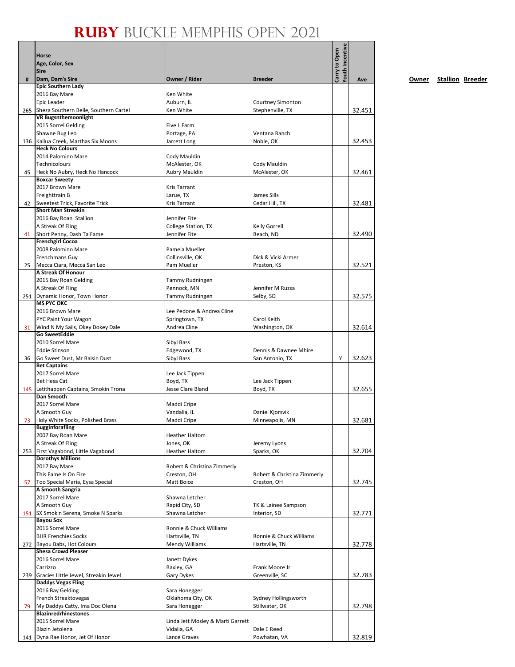|     | Horse<br>Age, Color, Sex<br><b>Sire</b>                       |                                   |                               | <b>Youth Incentive</b><br>Carry to Open |        |
|-----|---------------------------------------------------------------|-----------------------------------|-------------------------------|-----------------------------------------|--------|
| #   | Dam, Dam's Sire                                               | Owner / Rider                     | <b>Breeder</b>                |                                         | Ave    |
|     | <b>Epic Southern Lady</b><br>2016 Bay Mare                    | Ken White                         |                               |                                         |        |
|     | Epic Leader                                                   | Auburn, IL                        | <b>Courtney Simonton</b>      |                                         |        |
|     | 265 Sheza Southern Belle, Southern Cartel                     | Ken White                         | Stephenville, TX              |                                         | 32.451 |
|     | <b>VR Bugsnthemoonlight</b>                                   |                                   |                               |                                         |        |
|     | 2015 Sorrel Gelding                                           | Five L Farm                       |                               |                                         |        |
|     | Shawne Bug Leo                                                | Portage, PA                       | Ventana Ranch                 |                                         |        |
|     | 136 Kailua Creek, Marthas Six Moons<br><b>Heck No Colours</b> | Jarrett Long                      | Noble, OK                     |                                         | 32.453 |
|     | 2014 Palomino Mare                                            | Cody Mauldin                      |                               |                                         |        |
|     | Technicolours                                                 | McAlester, OK                     | Cody Mauldin                  |                                         |        |
| 45  | Heck No Aubry, Heck No Hancock                                | Aubry Mauldin                     | McAlester, OK                 |                                         | 32.461 |
|     | <b>Boxcar Sweety</b>                                          |                                   |                               |                                         |        |
|     | 2017 Brown Mare                                               | <b>Kris Tarrant</b>               |                               |                                         |        |
|     | Freighttrain B<br>Sweetest Trick, Favorite Trick              | Larue, TX                         | James Sills                   |                                         |        |
| 42  | <b>Short Man Streakin</b>                                     | <b>Kris Tarrant</b>               | Cedar Hill, TX                |                                         | 32.481 |
|     | 2016 Bay Roan Stallion                                        | Jennifer Fite                     |                               |                                         |        |
|     | A Streak Of Fling                                             | College Station, TX               | <b>Kelly Gorrell</b>          |                                         |        |
| 41  | Short Penny, Dash Ta Fame                                     | Jennifer Fite                     | Beach, ND                     |                                         | 32.490 |
|     | <b>Frenchgirl Cocoa</b>                                       |                                   |                               |                                         |        |
|     | 2008 Palomino Mare                                            | Pamela Mueller                    |                               |                                         |        |
|     | <b>Frenchmans Guy</b>                                         | Collinsville, OK<br>Pam Mueller   | Dick & Vicki Armer            |                                         | 32.521 |
| 25  | Mecca Ciara, Mecca San Leo<br>A Streak Of Honour              |                                   | Preston, KS                   |                                         |        |
|     | 2015 Bay Roan Gelding                                         | Tammy Rudningen                   |                               |                                         |        |
|     | A Streak Of Fling                                             | Pennock, MN                       | Jennifer M Ruzsa              |                                         |        |
|     | 251 Dynamic Honor, Town Honor                                 | Tammy Rudningen                   | Selby, SD                     |                                         | 32.575 |
|     | <b>MS PYC OKC</b>                                             |                                   |                               |                                         |        |
|     | 2016 Brown Mare                                               | Lee Pedone & Andrea Cline         |                               |                                         |        |
| 31  | PYC Paint Your Wagon<br>Wind N My Sails, Okey Dokey Dale      | Springtown, TX<br>Andrea Cline    | Carol Keith<br>Washington, OK |                                         | 32.614 |
|     | <b>Go SweetEddie</b>                                          |                                   |                               |                                         |        |
|     | 2010 Sorrel Mare                                              | Sibyl Bass                        |                               |                                         |        |
|     | <b>Eddie Stinson</b>                                          | Edgewood, TX                      | Dennis & Dawnee Mhire         |                                         |        |
| 36  | Go Sweet Dust, Mr Raisin Dust                                 | Sibyl Bass                        | San Antonio, TX               | Υ                                       | 32.623 |
|     | <b>Bet Captains</b>                                           |                                   |                               |                                         |        |
|     | 2017 Sorrel Mare<br>Bet Hesa Cat                              | Lee Jack Tippen<br>Boyd, TX       | Lee Jack Tippen               |                                         |        |
|     | 145 Letithappen Captains, Smokin Trona                        | Jesse Clare Bland                 | Boyd, TX                      |                                         | 32.655 |
|     | <b>Dan Smooth</b>                                             |                                   |                               |                                         |        |
|     | 2017 Sorrel Mare                                              | Maddi Cripe                       |                               |                                         |        |
|     | A Smooth Guy                                                  | Vandalia, IL                      | Daniel Kjorsvik               |                                         |        |
| 73  | Holy White Socks, Polished Brass                              | Maddi Cripe                       | Minneapolis, MN               |                                         | 32.681 |
|     | <b>Bugginforafling</b><br>2007 Bay Roan Mare                  | Heather Haltom                    |                               |                                         |        |
|     | A Streak Of Fling                                             | Jones, OK                         | Jeremy Lyons                  |                                         |        |
|     | 253 First Vagabond, Little Vagabond                           | <b>Heather Haltom</b>             | Sparks, OK                    |                                         | 32.704 |
|     | <b>Dorothys Millions</b>                                      |                                   |                               |                                         |        |
|     | 2017 Bay Mare                                                 | Robert & Christina Zimmerly       |                               |                                         |        |
|     | This Fame Is On Fire                                          | Creston, OH                       | Robert & Christina Zimmerly   |                                         |        |
| 57  | Too Special Maria, Eysa Special<br>A Smooth Sangria           | Matt Boice                        | Creston, OH                   |                                         | 32.745 |
|     | 2017 Sorrel Mare                                              | Shawna Letcher                    |                               |                                         |        |
|     | A Smooth Guy                                                  | Rapid City, SD                    | TK & Lainee Sampson           |                                         |        |
|     | 151 SX Smokin Serena, Smoke N Sparks                          | Shawna Letcher                    | Interior, SD                  |                                         | 32.771 |
|     | <b>Bayou Sox</b>                                              |                                   |                               |                                         |        |
|     | 2016 Sorrel Mare                                              | Ronnie & Chuck Williams           |                               |                                         |        |
|     | <b>BHR Frenchies Socks</b>                                    | Hartsville, TN                    | Ronnie & Chuck Williams       |                                         |        |
| 272 | Bayou Babs, Hot Colours<br><b>Shesa Crowd Pleaser</b>         | Mendy Williams                    | Hartsville, TN                |                                         | 32.778 |
|     | 2016 Sorrel Mare                                              | Janett Dykes                      |                               |                                         |        |
|     | Carrizzo                                                      | Baxley, GA                        | Frank Moore Jr                |                                         |        |
| 239 | Gracies Little Jewel, Streakin Jewel                          | Gary Dykes                        | Greenville, SC                |                                         | 32.783 |
|     | <b>Daddys Vegas Fling</b>                                     |                                   |                               |                                         |        |
|     | 2016 Bay Gelding                                              | Sara Honegger                     |                               |                                         |        |
|     | French Streaktovegas                                          | Oklahoma City, OK                 | Sydney Hollingsworth          |                                         |        |
| 79  | My Daddys Catty, Ima Doc Olena<br><b>Blazinredrhinestones</b> | Sara Honegger                     | Stillwater, OK                |                                         | 32.798 |
|     | 2015 Sorrel Mare                                              | Linda Jett Mosley & Marti Garrett |                               |                                         |        |
|     | Blazin Jetolena                                               | Vidalia, GA                       | Dale E Reed                   |                                         |        |
|     | 141   Dyna Rae Honor, Jet Of Honor                            | Lance Graves                      | Powhatan, VA                  |                                         | 32.819 |

**Owner Stallion Breeder**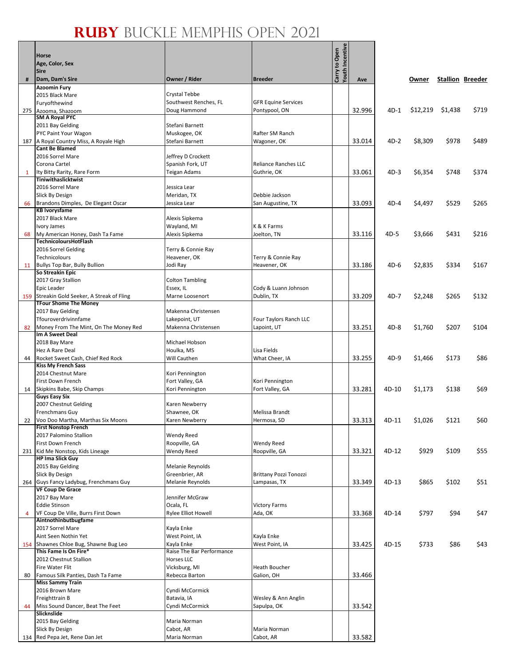/e

|                | <b>Horse</b><br>Age, Color, Sex<br><b>Sire</b>                  |                                         |                                            | <b>Youth Incentiv</b><br>Carry to Open |        |        |          |         |                         |
|----------------|-----------------------------------------------------------------|-----------------------------------------|--------------------------------------------|----------------------------------------|--------|--------|----------|---------|-------------------------|
| #              | Dam, Dam's Sire                                                 | Owner / Rider                           | <b>Breeder</b>                             |                                        | Ave    |        | Owner    |         | <b>Stallion Breeder</b> |
|                | <b>Azoomin Fury</b>                                             |                                         |                                            |                                        |        |        |          |         |                         |
|                | 2015 Black Mare<br>Furyofthewind                                | Crystal Tebbe<br>Southwest Renches, FL  | <b>GFR Equine Services</b>                 |                                        |        |        |          |         |                         |
| 275            | Azooma, Shazoom                                                 | Doug Hammond                            | Pontypool, ON                              |                                        | 32.996 | $4D-1$ | \$12,219 | \$1,438 | \$719                   |
|                | <b>SM A Royal PYC</b>                                           |                                         |                                            |                                        |        |        |          |         |                         |
|                | 2011 Bay Gelding<br>PYC Paint Your Wagon                        | Stefani Barnett<br>Muskogee, OK         | Rafter SM Ranch                            |                                        |        |        |          |         |                         |
|                | 187   A Royal Country Miss, A Royale High                       | Stefani Barnett                         | Wagoner, OK                                |                                        | 33.014 | $4D-2$ | \$8,309  | \$978   | \$489                   |
|                | <b>Cant Be Blamed</b>                                           |                                         |                                            |                                        |        |        |          |         |                         |
|                | 2016 Sorrel Mare                                                | Jeffrey D Crockett                      |                                            |                                        |        |        |          |         |                         |
| $\mathbf{1}$   | Corona Cartel<br>Ity Bitty Rarity, Rare Form                    | Spanish Fork, UT<br>Teigan Adams        | <b>Reliance Ranches LLC</b><br>Guthrie, OK |                                        | 33.061 | $4D-3$ | \$6,354  | \$748   | \$374                   |
|                | <b>Tiniwithaslicktwist</b>                                      |                                         |                                            |                                        |        |        |          |         |                         |
|                | 2016 Sorrel Mare                                                | Jessica Lear                            |                                            |                                        |        |        |          |         |                         |
|                | Slick By Design<br>Brandons Dimples, De Elegant Oscar           | Meridan, TX<br>Jessica Lear             | Debbie Jackson<br>San Augustine, TX        |                                        | 33.093 | $4D-4$ | \$4,497  | \$529   | \$265                   |
| 66             | <b>KB Ivorysfame</b>                                            |                                         |                                            |                                        |        |        |          |         |                         |
|                | 2017 Black Mare                                                 | Alexis Sipkema                          |                                            |                                        |        |        |          |         |                         |
|                | Ivory James                                                     | Wayland, MI                             | K & K Farms                                |                                        |        |        |          |         |                         |
| 68             | My American Honey, Dash Ta Fame<br><b>TechnicoloursHotFlash</b> | Alexis Sipkema                          | Joelton, TN                                |                                        | 33.116 | 4D-5   | \$3,666  | \$431   | \$216                   |
|                | 2016 Sorrel Gelding                                             | Terry & Connie Ray                      |                                            |                                        |        |        |          |         |                         |
|                | Technicolours                                                   | Heavener, OK                            | Terry & Connie Ray                         |                                        |        |        |          |         |                         |
| 11             | Bullys Top Bar, Bully Bullion<br>So Streakin Epic               | Jodi Ray                                | Heavener, OK                               |                                        | 33.186 | $4D-6$ | \$2,835  | \$334   | \$167                   |
|                | 2017 Gray Stallion                                              | <b>Colton Tambling</b>                  |                                            |                                        |        |        |          |         |                         |
|                | Epic Leader                                                     | Essex, IL                               | Cody & Luann Johnson                       |                                        |        |        |          |         |                         |
| 159            | Streakin Gold Seeker, A Streak of Fling                         | Marne Loosenort                         | Dublin, TX                                 |                                        | 33.209 | $4D-7$ | \$2,248  | \$265   | \$132                   |
|                | <b>TFour Shome The Money</b><br>2017 Bay Gelding                | Makenna Christensen                     |                                            |                                        |        |        |          |         |                         |
|                | Tfouroverdrivinnfame                                            | Lakepoint, UT                           | Four Taylors Ranch LLC                     |                                        |        |        |          |         |                         |
| 82             | Money From The Mint, On The Money Red                           | Makenna Christensen                     | Lapoint, UT                                |                                        | 33.251 | $4D-8$ | \$1,760  | \$207   | \$104                   |
|                | Im A Sweet Deal<br>2018 Bay Mare                                | Michael Hobson                          |                                            |                                        |        |        |          |         |                         |
|                | Hez A Rare Deal                                                 | Houlka, MS                              | Lisa Fields                                |                                        |        |        |          |         |                         |
| 44             | Rocket Sweet Cash, Chief Red Rock                               | Will Cauthen                            | What Cheer, IA                             |                                        | 33.255 | $4D-9$ | \$1,466  | \$173   | \$86                    |
|                | <b>Kiss My French Sass</b>                                      |                                         |                                            |                                        |        |        |          |         |                         |
|                | 2014 Chestnut Mare<br>First Down French                         | Kori Pennington<br>Fort Valley, GA      | Kori Pennington                            |                                        |        |        |          |         |                         |
| 14             | Skipkins Babe, Skip Champs                                      | Kori Pennington                         | Fort Valley, GA                            |                                        | 33.281 | 4D-10  | \$1,173  | \$138   | \$69                    |
|                | <b>Guys Easy Six</b>                                            |                                         |                                            |                                        |        |        |          |         |                         |
|                | 2007 Chestnut Gelding<br>Frenchmans Guy                         | Karen Newberry<br>Shawnee, OK           | Melissa Brandt                             |                                        |        |        |          |         |                         |
|                | 22 Voo Doo Martha, Marthas Six Moons                            | Karen Newberry                          | Hermosa, SD                                |                                        | 33.313 | 4D-11  | \$1,026  | \$121   | \$60                    |
|                | <b>First Nonstop French</b>                                     |                                         |                                            |                                        |        |        |          |         |                         |
|                | 2017 Palomino Stallion                                          | <b>Wendy Reed</b>                       |                                            |                                        |        |        |          |         |                         |
| 231            | First Down French<br>Kid Me Nonstop, Kids Lineage               | Roopville, GA<br>Wendy Reed             | Wendy Reed<br>Roopville, GA                |                                        | 33.321 | 4D-12  | \$929    | \$109   | \$55                    |
|                | <b>HP Ima Slick Guy</b>                                         |                                         |                                            |                                        |        |        |          |         |                         |
|                | 2015 Bay Gelding                                                | Melanie Reynolds                        |                                            |                                        |        |        |          |         |                         |
|                | Slick By Design<br>264 Guys Fancy Ladybug, Frenchmans Guy       | Greenbrier, AR<br>Melanie Reynolds      | Brittany Pozzi Tonozzi<br>Lampasas, TX     |                                        | 33.349 | 4D-13  | \$865    | \$102   | \$51                    |
|                | <b>VF Coup De Grace</b>                                         |                                         |                                            |                                        |        |        |          |         |                         |
|                | 2017 Bay Mare                                                   | Jennifer McGraw                         |                                            |                                        |        |        |          |         |                         |
| $\overline{a}$ | <b>Eddie Stinson</b><br>VF Coup De Ville, Burrs First Down      | Ocala, FL<br><b>Rylee Elliot Howell</b> | <b>Victory Farms</b><br>Ada, OK            |                                        | 33.368 | 4D-14  | \$797    | \$94    | \$47                    |
|                | Aintnothinbutbugfame                                            |                                         |                                            |                                        |        |        |          |         |                         |
|                | 2017 Sorrel Mare                                                | Kayla Enke                              |                                            |                                        |        |        |          |         |                         |
|                | Aint Seen Nothin Yet                                            | West Point, IA                          | Kayla Enke                                 |                                        |        |        |          |         |                         |
|                | 154 Shawnes Chloe Bug, Shawne Bug Leo<br>This Fame Is On Fire*  | Kayla Enke<br>Raise The Bar Performance | West Point, IA                             |                                        | 33.425 | 4D-15  | \$733    | \$86    | \$43                    |
|                | 2012 Chestnut Stallion                                          | Horses LLC                              |                                            |                                        |        |        |          |         |                         |
|                | Fire Water Flit                                                 | Vicksburg, MI                           | <b>Heath Boucher</b>                       |                                        |        |        |          |         |                         |
| 80             | Famous Silk Panties, Dash Ta Fame<br><b>Miss Sammy Train</b>    | Rebecca Barton                          | Galion, OH                                 |                                        | 33.466 |        |          |         |                         |
|                | 2016 Brown Mare                                                 | Cyndi McCormick                         |                                            |                                        |        |        |          |         |                         |
|                | Freighttrain B                                                  | Batavia, IA                             | Wesley & Ann Anglin                        |                                        |        |        |          |         |                         |
| 44             | Miss Sound Dancer, Beat The Feet                                | Cyndi McCormick                         | Sapulpa, OK                                |                                        | 33.542 |        |          |         |                         |
|                | Slicknslide<br>2015 Bay Gelding                                 | Maria Norman                            |                                            |                                        |        |        |          |         |                         |
|                | Slick By Design                                                 | Cabot, AR                               | Maria Norman                               |                                        |        |        |          |         |                         |
|                | 134 Red Pepa Jet, Rene Dan Jet                                  | Maria Norman                            | Cabot, AR                                  |                                        | 33.582 |        |          |         |                         |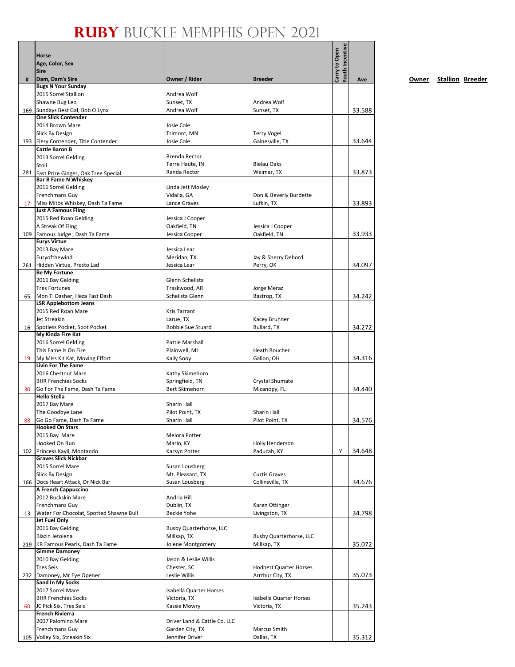|     | Horse                                                          |                                    |                                          |                                  |        |
|-----|----------------------------------------------------------------|------------------------------------|------------------------------------------|----------------------------------|--------|
|     | Age, Color, Sex                                                |                                    |                                          |                                  |        |
|     | <b>Sire</b>                                                    |                                    |                                          | Youth Incentive<br>Carry to Open |        |
| #   | Dam, Dam's Sire<br><b>Bugs N Your Sunday</b>                   | Owner / Rider                      | <b>Breeder</b>                           |                                  | Ave    |
|     | 2015 Sorrel Stallion                                           | Andrea Wolf                        |                                          |                                  |        |
|     | Shawne Bug Leo                                                 | Sunset, TX                         | Andrea Wolf                              |                                  |        |
| 169 | Sundays Best Gal, Bob O Lynx                                   | Andrea Wolf                        | Sunset, TX                               |                                  | 33.588 |
|     | <b>One Slick Contender</b>                                     |                                    |                                          |                                  |        |
|     | 2014 Brown Mare                                                | Josie Cole                         |                                          |                                  |        |
|     | Slick By Design                                                | Trimont, MN                        | <b>Terry Vogel</b>                       |                                  |        |
|     | 193 Fiery Contender, Title Contender                           | Josie Cole                         | Gainesville, TX                          |                                  | 33.644 |
|     | <b>Cattle Baron B</b><br>2013 Sorrel Gelding                   | Brenda Rector                      |                                          |                                  |        |
|     | Stoli                                                          | Terre Haute, IN                    | <b>Bielau Oaks</b>                       |                                  |        |
| 281 | Fast Prize Ginger, Oak Tree Special                            | Randa Rector                       | Weimar, TX                               |                                  | 33.873 |
|     | <b>Bar B Fame N Whiskey</b>                                    |                                    |                                          |                                  |        |
|     | 2016 Sorrel Gelding                                            | Linda Jett Mosley                  |                                          |                                  |        |
|     | <b>Frenchmans Guy</b>                                          | Vidalia, GA                        | Don & Beverly Burdette                   |                                  |        |
| 17  | Miss Mitos Whiskey, Dash Ta Fame<br><b>Just A Famous Fling</b> | Lance Graves                       | Lufkin, TX                               |                                  | 33.893 |
|     | 2015 Red Roan Gelding                                          | Jessica J Cooper                   |                                          |                                  |        |
|     | A Streak Of Fling                                              | Oakfield, TN                       | Jessica J Cooper                         |                                  |        |
| 109 | Famous Judge, Dash Ta Fame                                     | Jessica Cooper                     | Oakfield, TN                             |                                  | 33.933 |
|     | <b>Furys Virtue</b>                                            |                                    |                                          |                                  |        |
|     | 2013 Bay Mare                                                  | Jessica Lear                       |                                          |                                  |        |
|     | Furyofthewind                                                  | Meridan, TX                        | Jay & Sherry Debord                      |                                  |        |
|     | 261 Hidden Virtue, Presto Lad                                  | Jessica Lear                       | Perry, OK                                |                                  | 34.097 |
|     | <b>Be My Fortune</b><br>2011 Bay Gelding                       | Glenn Schelista                    |                                          |                                  |        |
|     | <b>Tres Fortunes</b>                                           | Traskwood, AR                      | Jorge Meraz                              |                                  |        |
| 65  | Mon Ti Dasher, Heza Fast Dash                                  | Schelista Glenn                    | Bastrop, TX                              |                                  | 34.242 |
|     | <b>LSR Applebottom Jeans</b>                                   |                                    |                                          |                                  |        |
|     | 2015 Red Roan Mare                                             | <b>Kris Tarrant</b>                |                                          |                                  |        |
|     | Jet Streakin                                                   | Larue, TX                          | Kacey Brunner                            |                                  |        |
| 16  | Spotless Pocket, Spot Pocket                                   | <b>Bobbie Sue Stuard</b>           | Bullard, TX                              |                                  | 34.272 |
|     | My Kinda Fire Kat                                              |                                    |                                          |                                  |        |
|     | 2016 Sorrel Gelding<br>This Fame Is On Fire                    | Pattie Marshall<br>Plainwell, MI   | <b>Heath Boucher</b>                     |                                  |        |
| 19  | My Miss Kit Kat, Moving Effort                                 | Kaily Sooy                         | Galion, OH                               |                                  | 34.316 |
|     | <b>Livin For The Fame</b>                                      |                                    |                                          |                                  |        |
|     | 2016 Chestnut Mare                                             | Kathy Skimehorn                    |                                          |                                  |        |
|     | <b>BHR Frenchies Socks</b>                                     | Springfield, TN                    | Crystal Shumate                          |                                  |        |
| 30  | Go For The Fame, Dash Ta Fame                                  | <b>Bert Skimehorn</b>              | Micanopy, FL                             |                                  | 34.440 |
|     | <b>Hello Stella</b>                                            |                                    |                                          |                                  |        |
|     | 2017 Bay Mare                                                  | Sharin Hall<br>Pilot Point, TX     | <b>Sharin Hall</b>                       |                                  |        |
| 88  | The Goodbye Lane<br>Go Go Fame, Dash Ta Fame                   | Sharin Hall                        | Pilot Point, TX                          |                                  | 34.576 |
|     | <b>Hooked On Stars</b>                                         |                                    |                                          |                                  |        |
|     | 2015 Bay Mare                                                  | Melora Potter                      |                                          |                                  |        |
|     | Hooked On Run                                                  | Marin, KY                          | <b>Holly Henderson</b>                   |                                  |        |
| 102 | Princess Kayli, Montando                                       | Karsyn Potter                      | Paducah, KY                              | Y                                | 34.648 |
|     | <b>Graves Slick Nickbar</b>                                    |                                    |                                          |                                  |        |
|     | 2015 Sorrel Mare                                               | Susan Lousberg                     |                                          |                                  |        |
|     | Slick By Design<br>166 Docs Heart Attack, Dr Nick Bar          | Mt. Pleasant, TX<br>Susan Lousberg | <b>Curtis Graves</b><br>Collinsville, TX |                                  | 34.676 |
|     | A French Cappuccino                                            |                                    |                                          |                                  |        |
|     | 2012 Buckskin Mare                                             | Andria Hill                        |                                          |                                  |        |
|     | Frenchmans Guy                                                 | Dublin, TX                         | Karen Ottinger                           |                                  |        |
| 13  | Water For Chocolat, Spotted Shawne Bull                        | <b>Beckie Yohe</b>                 | Livingston, TX                           |                                  | 34.798 |
|     | Jet Fuel Only                                                  |                                    |                                          |                                  |        |
|     | 2016 Bay Gelding                                               | <b>Busby Quarterhorse, LLC</b>     |                                          |                                  |        |
|     | Blazin Jetolena                                                | Millsap, TX                        | <b>Busby Quarterhorse, LLC</b>           |                                  |        |
| 219 | KR Famous Pearls, Dash Ta Fame<br><b>Gimme Damoney</b>         | Jolene Montgomery                  | Millsap, TX                              |                                  | 35.072 |
|     | 2010 Bay Gelding                                               | Jason & Leslie Willis              |                                          |                                  |        |
|     | <b>Tres Seis</b>                                               | Chester, SC                        | <b>Hodnett Quarter Horses</b>            |                                  |        |
|     | 232 Damoney, Mr Eye Opener                                     | Leslie Willis                      | Arrthur City, TX                         |                                  | 35.073 |
|     | Sand In My Socks                                               |                                    |                                          |                                  |        |
|     | 2017 Sorrel Mare                                               | <b>Isabella Quarter Horses</b>     |                                          |                                  |        |
|     | <b>BHR Frenchies Socks</b>                                     | Victoria, TX                       | Isabella Quarter Horses                  |                                  |        |
| 60  | JC Pick Six, Tres Seis                                         | Kassie Mowry                       | Victoria, TX                             |                                  | 35.243 |
|     | <b>French Rivierra</b><br>2007 Palomino Mare                   | Driver Land & Cattle Co. LLC       |                                          |                                  |        |
|     | Frenchmans Guy                                                 | Garden City, TX                    | Marcus Smith                             |                                  |        |
| 105 | Volley Six, Streakin Six                                       | Jennifer Driver                    | Dallas, TX                               |                                  | 35.312 |
|     |                                                                |                                    |                                          |                                  |        |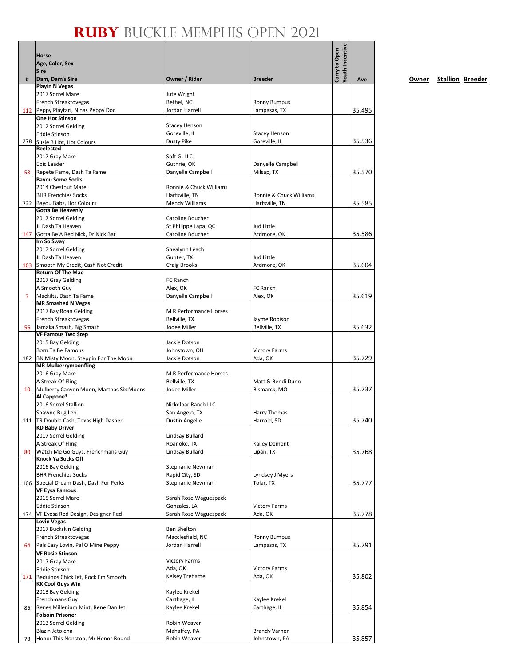|     | Horse                                                          |                                       |                                 | Youth Incentive<br>Carry to Open |        |
|-----|----------------------------------------------------------------|---------------------------------------|---------------------------------|----------------------------------|--------|
|     | Age, Color, Sex                                                |                                       |                                 |                                  |        |
|     | <b>Sire</b>                                                    |                                       |                                 |                                  |        |
| #   | Dam, Dam's Sire                                                | Owner / Rider                         | <b>Breeder</b>                  |                                  | Ave    |
|     | <b>Playin N Vegas</b><br>2017 Sorrel Mare                      | Jute Wright                           |                                 |                                  |        |
|     | French Streaktovegas                                           | Bethel, NC                            | <b>Ronny Bumpus</b>             |                                  |        |
|     | 112 Peppy Playtari, Ninas Peppy Doc                            | Jordan Harrell                        | Lampasas, TX                    |                                  | 35.495 |
|     | <b>One Hot Stinson</b>                                         |                                       |                                 |                                  |        |
|     | 2012 Sorrel Gelding                                            | <b>Stacey Henson</b>                  |                                 |                                  |        |
|     | <b>Eddie Stinson</b>                                           | Goreville, IL                         | <b>Stacey Henson</b>            |                                  |        |
|     | 278 Susie B Hot, Hot Colours                                   | Dusty Pike                            | Goreville, IL                   |                                  | 35.536 |
|     | Reelected                                                      |                                       |                                 |                                  |        |
|     | 2017 Gray Mare                                                 | Soft G, LLC                           |                                 |                                  |        |
|     | Epic Leader                                                    | Guthrie, OK                           | Danyelle Campbell               |                                  |        |
| 58  | Repete Fame, Dash Ta Fame<br><b>Bayou Some Socks</b>           | Danyelle Campbell                     | Milsap, TX                      |                                  | 35.570 |
|     | 2014 Chestnut Mare                                             | Ronnie & Chuck Williams               |                                 |                                  |        |
|     | <b>BHR Frenchies Socks</b>                                     | Hartsville, TN                        | Ronnie & Chuck Williams         |                                  |        |
|     | 222 Bayou Babs, Hot Colours                                    | Mendy Williams                        | Hartsville, TN                  |                                  | 35.585 |
|     | <b>Gotta Be Heavenly</b>                                       |                                       |                                 |                                  |        |
|     | 2017 Sorrel Gelding                                            | Caroline Boucher                      |                                 |                                  |        |
|     | JL Dash Ta Heaven                                              | St Philippe Lapa, QC                  | Jud Little                      |                                  |        |
| 147 | Gotta Be A Red Nick, Dr Nick Bar                               | <b>Caroline Boucher</b>               | Ardmore, OK                     |                                  | 35.586 |
|     | Im So Sway                                                     |                                       |                                 |                                  |        |
|     | 2017 Sorrel Gelding<br>JL Dash Ta Heaven                       | Shealynn Leach                        | Jud Little                      |                                  |        |
| 103 | Smooth My Credit, Cash Not Credit                              | Gunter, TX<br>Craig Brooks            | Ardmore, OK                     |                                  | 35.604 |
|     | <b>Return Of The Mac</b>                                       |                                       |                                 |                                  |        |
|     | 2017 Gray Gelding                                              | FC Ranch                              |                                 |                                  |        |
|     | A Smooth Guy                                                   | Alex, OK                              | FC Ranch                        |                                  |        |
| 7   | Mackilts, Dash Ta Fame                                         | Danyelle Campbell                     | Alex, OK                        |                                  | 35.619 |
|     | <b>MR Smashed N Vegas</b>                                      |                                       |                                 |                                  |        |
|     | 2017 Bay Roan Gelding                                          | <b>M R Performance Horses</b>         |                                 |                                  |        |
|     | French Streaktovegas                                           | Bellville, TX                         | Jayme Robison                   |                                  |        |
| 56  | Jamaka Smash, Big Smash                                        | Jodee Miller                          | Bellville, TX                   |                                  | 35.632 |
|     | <b>VF Famous Two Step</b><br>2015 Bay Gelding                  | Jackie Dotson                         |                                 |                                  |        |
|     | Born Ta Be Famous                                              | Johnstown, OH                         | <b>Victory Farms</b>            |                                  |        |
|     | 182 BN Misty Moon, Steppin For The Moon                        | Jackie Dotson                         | Ada, OK                         |                                  | 35.729 |
|     | <b>MR Mulberrymoonfling</b>                                    |                                       |                                 |                                  |        |
|     | 2016 Gray Mare                                                 | <b>M R Performance Horses</b>         |                                 |                                  |        |
|     | A Streak Of Fling                                              | Bellville, TX                         | Matt & Bendi Dunn               |                                  |        |
| 10  | Mulberry Canyon Moon, Marthas Six Moons                        | Jodee Miller                          | Bismarck, MO                    |                                  | 35.737 |
|     | Al Cappone*                                                    |                                       |                                 |                                  |        |
|     | 2016 Sorrel Stallion                                           | Nickelbar Ranch LLC                   |                                 |                                  |        |
|     | Shawne Bug Leo                                                 | San Angelo, TX                        | <b>Harry Thomas</b>             |                                  |        |
|     | 111 TR Double Cash, Texas High Dasher<br><b>KD Baby Driver</b> | <b>Dustin Angelle</b>                 | Harrold, SD                     |                                  | 35.740 |
|     | 2017 Sorrel Gelding                                            | Lindsay Bullard                       |                                 |                                  |        |
|     | A Streak Of Fling                                              | Roanoke, TX                           | Kailey Dement                   |                                  |        |
| 80  | Watch Me Go Guys, Frenchmans Guy                               | Lindsay Bullard                       | Lipan, TX                       |                                  | 35.768 |
|     | Knock Ya Socks Off                                             |                                       |                                 |                                  |        |
|     | 2016 Bay Gelding                                               | Stephanie Newman                      |                                 |                                  |        |
|     | <b>BHR Frenchies Socks</b>                                     | Rapid City, SD                        | Lyndsey J Myers                 |                                  |        |
|     | 106 Special Dream Dash, Dash For Perks                         | Stephanie Newman                      | Tolar, TX                       |                                  | 35.777 |
|     | <b>VF Eysa Famous</b>                                          |                                       |                                 |                                  |        |
|     | 2015 Sorrel Mare                                               | Sarah Rose Waguespack                 |                                 |                                  |        |
|     | <b>Eddie Stinson</b><br>174 VF Eyesa Red Design, Designer Red  | Gonzales, LA<br>Sarah Rose Waguespack | <b>Victory Farms</b><br>Ada, OK |                                  | 35.778 |
|     | <b>Lovin Vegas</b>                                             |                                       |                                 |                                  |        |
|     | 2017 Buckskin Gelding                                          | <b>Ben Shelton</b>                    |                                 |                                  |        |
|     | French Streaktovegas                                           | Macclesfield, NC                      | <b>Ronny Bumpus</b>             |                                  |        |
| 64  | Pals Easy Lovin, Pal O Mine Peppy                              | Jordan Harrell                        | Lampasas, TX                    |                                  | 35.791 |
|     | <b>VF Rosie Stinson</b>                                        |                                       |                                 |                                  |        |
|     | 2017 Gray Mare                                                 | <b>Victory Farms</b>                  |                                 |                                  |        |
|     | <b>Eddie Stinson</b>                                           | Ada, OK                               | <b>Victory Farms</b>            |                                  |        |
|     | 171 Beduinos Chick Jet, Rock Em Smooth                         | Kelsey Trehame                        | Ada, OK                         |                                  | 35.802 |
|     | <b>KK Cool Guys Win</b>                                        |                                       |                                 |                                  |        |
|     | 2013 Bay Gelding<br>Frenchmans Guy                             | Kaylee Krekel<br>Carthage, IL         | Kaylee Krekel                   |                                  |        |
| 86  | Renes Millenium Mint, Rene Dan Jet                             | Kaylee Krekel                         | Carthage, IL                    |                                  | 35.854 |
|     | <b>Folsom Prisoner</b>                                         |                                       |                                 |                                  |        |
|     | 2013 Sorrel Gelding                                            | Robin Weaver                          |                                 |                                  |        |
|     | Blazin Jetolena                                                | Mahaffey, PA                          | <b>Brandy Varner</b>            |                                  |        |
| 78  | Honor This Nonstop, Mr Honor Bound                             | Robin Weaver                          | Johnstown, PA                   |                                  | 35.857 |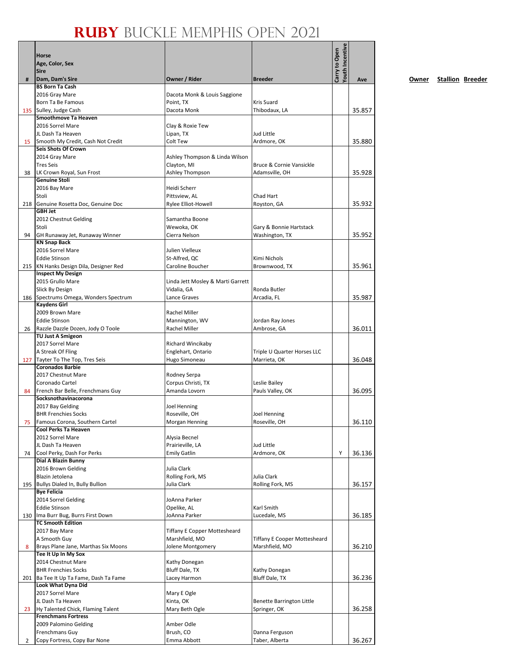|     | Horse                                                         |                                       |                                     | Youth Incentive |        |
|-----|---------------------------------------------------------------|---------------------------------------|-------------------------------------|-----------------|--------|
|     | Age, Color, Sex                                               |                                       |                                     | Carry to Open   |        |
|     | <b>Sire</b>                                                   |                                       |                                     |                 |        |
| #   | Dam, Dam's Sire                                               | Owner / Rider                         | <b>Breeder</b>                      |                 | Ave    |
|     | <b>BS Born Ta Cash</b>                                        |                                       |                                     |                 |        |
|     | 2016 Gray Mare                                                | Dacota Monk & Louis Saggione          |                                     |                 |        |
|     | Born Ta Be Famous<br>Sulley, Judge Cash                       | Point, TX<br>Dacota Monk              | <b>Kris Suard</b><br>Thibodaux, LA  |                 | 35.857 |
| 135 | Smoothmove Ta Heaven                                          |                                       |                                     |                 |        |
|     | 2016 Sorrel Mare                                              | Clay & Roxie Tew                      |                                     |                 |        |
|     | JL Dash Ta Heaven                                             | Lipan, TX                             | Jud Little                          |                 |        |
| 15  | Smooth My Credit, Cash Not Credit                             | Colt Tew                              | Ardmore, OK                         |                 | 35.880 |
|     | Seis Shots Of Crown                                           |                                       |                                     |                 |        |
|     | 2014 Gray Mare                                                | Ashley Thompson & Linda Wilson        |                                     |                 |        |
|     | <b>Tres Seis</b>                                              | Clayton, MI                           | Bruce & Cornie Vansickle            |                 |        |
| 38  | LK Crown Royal, Sun Frost<br><b>Genuine Stoli</b>             | Ashley Thompson                       | Adamsville, OH                      |                 | 35.928 |
|     | 2016 Bay Mare                                                 | Heidi Scherr                          |                                     |                 |        |
|     | Stoli                                                         | Pittsview, AL                         | Chad Hart                           |                 |        |
| 218 | Genuine Rosetta Doc, Genuine Doc                              | Rylee Elliot-Howell                   | Royston, GA                         |                 | 35.932 |
|     | <b>GBH Jet</b>                                                |                                       |                                     |                 |        |
|     | 2012 Chestnut Gelding                                         | Samantha Boone                        |                                     |                 |        |
|     | Stoli                                                         | Wewoka, OK                            | Gary & Bonnie Hartstack             |                 |        |
| 94  | GH Runaway Jet, Runaway Winner                                | Cierra Nelson                         | Washington, TX                      |                 | 35.952 |
|     | <b>KN Snap Back</b><br>2016 Sorrel Mare                       | Julien Vielleux                       |                                     |                 |        |
|     | <b>Eddie Stinson</b>                                          | St-Alfred, QC                         | Kimi Nichols                        |                 |        |
|     | 215   KN Hanks Design Dila, Designer Red                      | Caroline Boucher                      | Brownwood, TX                       |                 | 35.961 |
|     | <b>Inspect My Design</b>                                      |                                       |                                     |                 |        |
|     | 2015 Grullo Mare                                              | Linda Jett Mosley & Marti Garrett     |                                     |                 |        |
|     | Slick By Design                                               | Vidalia, GA                           | Ronda Butler                        |                 |        |
| 186 | Spectrums Omega, Wonders Spectrum                             | Lance Graves                          | Arcadia, FL                         |                 | 35.987 |
|     | <b>Kaydens Girl</b>                                           |                                       |                                     |                 |        |
|     | 2009 Brown Mare                                               | Rachel Miller                         |                                     |                 |        |
|     | <b>Eddie Stinson</b>                                          | Mannington, WV                        | Jordan Ray Jones                    |                 |        |
| 26  | Razzle Dazzle Dozen, Jody O Toole<br><b>TU Just A Smigeon</b> | Rachel Miller                         | Ambrose, GA                         |                 | 36.011 |
|     | 2017 Sorrel Mare                                              | Richard Wincikaby                     |                                     |                 |        |
|     | A Streak Of Fling                                             | Englehart, Ontario                    | Triple U Quarter Horses LLC         |                 |        |
|     | 127 Tayter To The Top, Tres Seis                              | Hugo Simoneau                         | Marrieta, OK                        |                 | 36.048 |
|     | <b>Coronados Barbie</b>                                       |                                       |                                     |                 |        |
|     | 2017 Chestnut Mare                                            | Rodney Serpa                          |                                     |                 |        |
|     | Coronado Cartel                                               | Corpus Christi, TX                    | Leslie Bailey                       |                 |        |
| 84  | French Bar Belle, Frenchmans Guy                              | Amanda Lovorn                         | Pauls Valley, OK                    |                 | 36.095 |
|     | Socksnothavinacorona                                          |                                       |                                     |                 |        |
|     | 2017 Bay Gelding<br><b>BHR Frenchies Socks</b>                | Joel Henning                          |                                     |                 |        |
| 75  | Famous Corona, Southern Cartel                                | Roseville, OH<br>Morgan Henning       | Joel Henning<br>Roseville, OH       |                 | 36.110 |
|     | Cool Perks Ta Heaven                                          |                                       |                                     |                 |        |
|     | 2012 Sorrel Mare                                              | Alysia Becnel                         |                                     |                 |        |
|     | JL Dash Ta Heaven                                             | Prairieville, LA                      | Jud Little                          |                 |        |
| 74  | Cool Perky, Dash For Perks                                    | <b>Emily Gatlin</b>                   | Ardmore, OK                         | Υ               | 36.136 |
|     | Dial A Blazin Bunny                                           |                                       |                                     |                 |        |
|     | 2016 Brown Gelding                                            | Julia Clark                           |                                     |                 |        |
|     | Blazin Jetolena                                               | Rolling Fork, MS                      | Julia Clark                         |                 |        |
| 195 | Bullys Dialed In, Bully Bullion                               | Julia Clark                           | Rolling Fork, MS                    |                 | 36.157 |
|     | <b>Bye Felicia</b><br>2014 Sorrel Gelding                     | JoAnna Parker                         |                                     |                 |        |
|     | <b>Eddie Stinson</b>                                          | Opelike, AL                           | Karl Smith                          |                 |        |
|     | 130 Ima Burr Bug, Burrs First Down                            | JoAnna Parker                         | Lucedale, MS                        |                 | 36.185 |
|     | <b>TC Smooth Edition</b>                                      |                                       |                                     |                 |        |
|     | 2017 Bay Mare                                                 | <b>Tiffany E Copper Mottesheard</b>   |                                     |                 |        |
|     | A Smooth Guy                                                  | Marshfield, MO                        | <b>Tiffany E Cooper Mottesheard</b> |                 |        |
| 8   | Brays Plane Jane, Marthas Six Moons                           | Jolene Montgomery                     | Marshfield, MO                      |                 | 36.210 |
|     | Tee It Up In My Sox                                           |                                       |                                     |                 |        |
|     | 2014 Chestnut Mare                                            | Kathy Donegan                         |                                     |                 |        |
|     | <b>BHR Frenchies Socks</b>                                    | <b>Bluff Dale, TX</b><br>Lacey Harmon | Kathy Donegan<br>Bluff Dale, TX     |                 | 36.236 |
| 201 | Ba Tee It Up Ta Fame, Dash Ta Fame<br>Look What Dyna Did      |                                       |                                     |                 |        |
|     | 2017 Sorrel Mare                                              | Mary E Ogle                           |                                     |                 |        |
|     | JL Dash Ta Heaven                                             | Kinta, OK                             | Benette Barrington Little           |                 |        |
| 23  | Hy Talented Chick, Flaming Talent                             | Mary Beth Ogle                        | Springer, OK                        |                 | 36.258 |
|     | <b>Frenchmans Fortress</b>                                    |                                       |                                     |                 |        |
|     | 2009 Palomino Gelding                                         | Amber Odle                            |                                     |                 |        |
|     | Frenchmans Guy                                                | Brush, CO                             | Danna Ferguson                      |                 |        |
| 2   | Copy Fortress, Copy Bar None                                  | Emma Abbott                           | Taber, Alberta                      |                 | 36.267 |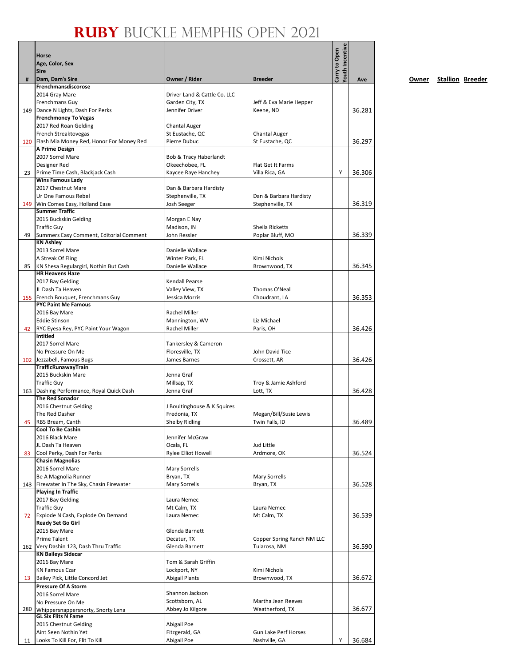|     | Horse                                                               |                                   |                                     | Youth Incentive<br>Carry to Open |        |
|-----|---------------------------------------------------------------------|-----------------------------------|-------------------------------------|----------------------------------|--------|
|     | Age, Color, Sex<br><b>Sire</b>                                      |                                   |                                     |                                  |        |
| #   | Dam, Dam's Sire                                                     | Owner / Rider                     | <b>Breeder</b>                      |                                  | Ave    |
|     | Frenchmansdiscorose                                                 |                                   |                                     |                                  |        |
|     | 2014 Gray Mare                                                      | Driver Land & Cattle Co. LLC      |                                     |                                  |        |
|     | Frenchmans Guy                                                      | Garden City, TX                   | Jeff & Eva Marie Hepper             |                                  |        |
| 149 | Dance N Lights, Dash For Perks                                      | Jennifer Driver                   | Keene, ND                           |                                  | 36.281 |
|     | <b>Frenchmoney To Vegas</b><br>2017 Red Roan Gelding                | Chantal Auger                     |                                     |                                  |        |
|     | French Streaktovegas                                                | St Eustache, QC                   | <b>Chantal Auger</b>                |                                  |        |
| 120 | Flash Mia Money Red, Honor For Money Red                            | Pierre Dubuc                      | St Eustache, QC                     |                                  | 36.297 |
|     | A Prime Design                                                      |                                   |                                     |                                  |        |
|     | 2007 Sorrel Mare                                                    | Bob & Tracy Haberlandt            |                                     |                                  |        |
|     | Designer Red                                                        | Okeechobee, FL                    | Flat Get It Farms                   |                                  |        |
| 23  | Prime Time Cash, Blackjack Cash<br><b>Wins Famous Lady</b>          | Kaycee Raye Hanchey               | Villa Rica, GA                      | Y                                | 36.306 |
|     | 2017 Chestnut Mare                                                  | Dan & Barbara Hardisty            |                                     |                                  |        |
|     | Ur One Famous Rebel                                                 | Stephenville, TX                  | Dan & Barbara Hardisty              |                                  |        |
| 149 | Win Comes Easy, Holland Ease                                        | Josh Seeger                       | Stephenville, TX                    |                                  | 36.319 |
|     | <b>Summer Traffic</b>                                               |                                   |                                     |                                  |        |
|     | 2015 Buckskin Gelding                                               | Morgan E Nay                      |                                     |                                  |        |
| 49  | <b>Traffic Guy</b><br>Summers Easy Comment, Editorial Comment       | Madison, IN<br>John Ressler       | Sheila Ricketts<br>Poplar Bluff, MO |                                  | 36.339 |
|     | <b>KN Ashley</b>                                                    |                                   |                                     |                                  |        |
|     | 2013 Sorrel Mare                                                    | Danielle Wallace                  |                                     |                                  |        |
|     | A Streak Of Fling                                                   | Winter Park, FL                   | Kimi Nichols                        |                                  |        |
| 85  | KN Shesa Regulargirl, Nothin But Cash                               | Danielle Wallace                  | Brownwood, TX                       |                                  | 36.345 |
|     | <b>HR Heavens Haze</b>                                              |                                   |                                     |                                  |        |
|     | 2017 Bay Gelding<br>JL Dash Ta Heaven                               | Kendall Pearse<br>Valley View, TX | Thomas O'Neal                       |                                  |        |
|     | 155 French Bouquet, Frenchmans Guy                                  | Jessica Morris                    | Choudrant, LA                       |                                  | 36.353 |
|     | <b>PYC Paint Me Famous</b>                                          |                                   |                                     |                                  |        |
|     | 2016 Bay Mare                                                       | Rachel Miller                     |                                     |                                  |        |
|     | <b>Eddie Stinson</b>                                                | Mannington, WV                    | Liz Michael                         |                                  |        |
| 42  | RYC Eyesa Rey, PYC Paint Your Wagon                                 | Rachel Miller                     | Paris, OH                           |                                  | 36.426 |
|     | Intitled<br>2017 Sorrel Mare                                        | Tankersley & Cameron              |                                     |                                  |        |
|     | No Pressure On Me                                                   | Floresville, TX                   | John David Tice                     |                                  |        |
|     | 102 Jezzabell, Famous Bugs                                          | James Barnes                      | Crossett, AR                        |                                  | 36.426 |
|     | <b>TrafficRunawayTrain</b>                                          |                                   |                                     |                                  |        |
|     | 2015 Buckskin Mare                                                  | Jenna Graf                        |                                     |                                  |        |
|     | <b>Traffic Guy</b>                                                  | Millsap, TX                       | Troy & Jamie Ashford                |                                  |        |
|     | 163 Dashing Performance, Royal Quick Dash<br><b>The Red Sonador</b> | Jenna Graf                        | Lott, TX                            |                                  | 36.428 |
|     | 2016 Chestnut Gelding                                               | J Boultinghouse & K Squires       |                                     |                                  |        |
|     | The Red Dasher                                                      | Fredonia, TX                      | Megan/Bill/Susie Lewis              |                                  |        |
|     | 45 RBS Bream, Canth                                                 | <b>Shelby Ridling</b>             | Twin Falls, ID                      |                                  | 36.489 |
|     | Cool To Be Cashin                                                   |                                   |                                     |                                  |        |
|     | 2016 Black Mare                                                     | Jennifer McGraw                   |                                     |                                  |        |
| 83  | JL Dash Ta Heaven<br>Cool Perky, Dash For Perks                     | Ocala, FL<br>Rylee Elliot Howell  | Jud Little<br>Ardmore, OK           |                                  | 36.524 |
|     | <b>Chasin Magnolias</b>                                             |                                   |                                     |                                  |        |
|     | 2016 Sorrel Mare                                                    | <b>Mary Sorrells</b>              |                                     |                                  |        |
|     | Be A Magnolia Runner                                                | Bryan, TX                         | Mary Sorrells                       |                                  |        |
|     | 143 Firewater In The Sky, Chasin Firewater                          | <b>Mary Sorrells</b>              | Bryan, TX                           |                                  | 36.528 |
|     | <b>Playing In Traffic</b>                                           |                                   |                                     |                                  |        |
|     | 2017 Bay Gelding<br><b>Traffic Guy</b>                              | Laura Nemec<br>Mt Calm, TX        | Laura Nemec                         |                                  |        |
| 72  | Explode N Cash, Explode On Demand                                   | Laura Nemec                       | Mt Calm, TX                         |                                  | 36.539 |
|     | <b>Ready Set Go Girl</b>                                            |                                   |                                     |                                  |        |
|     | 2015 Bay Mare                                                       | Glenda Barnett                    |                                     |                                  |        |
|     | Prime Talent                                                        | Decatur, TX                       | Copper Spring Ranch NM LLC          |                                  |        |
|     | 162 Very Dashin 123, Dash Thru Traffic                              | Glenda Barnett                    | Tularosa, NM                        |                                  | 36.590 |
|     | <b>KN Baileys Sidecar</b><br>2016 Bay Mare                          | Tom & Sarah Griffin               |                                     |                                  |        |
|     | <b>KN Famous Czar</b>                                               | Lockport, NY                      | Kimi Nichols                        |                                  |        |
| 13  | Bailey Pick, Little Concord Jet                                     | <b>Abigail Plants</b>             | Brownwood, TX                       |                                  | 36.672 |
|     | <b>Pressure Of A Storm</b>                                          |                                   |                                     |                                  |        |
|     | 2016 Sorrel Mare                                                    | Shannon Jackson                   |                                     |                                  |        |
|     | No Pressure On Me                                                   | Scottsborn, AL                    | Martha Jean Reeves                  |                                  |        |
| 280 | Whippersnappersnorty, Snorty Lena<br><b>GL Six Flits N Fame</b>     | Abbey Jo Kilgore                  | Weatherford, TX                     |                                  | 36.677 |
|     | 2015 Chestnut Gelding                                               | Abigail Poe                       |                                     |                                  |        |
|     | Aint Seen Nothin Yet                                                | Fitzgerald, GA                    | Gun Lake Perf Horses                |                                  |        |
| 11  | Looks To Kill For, Flit To Kill                                     | Abigail Poe                       | Nashville, GA                       | Υ                                | 36.684 |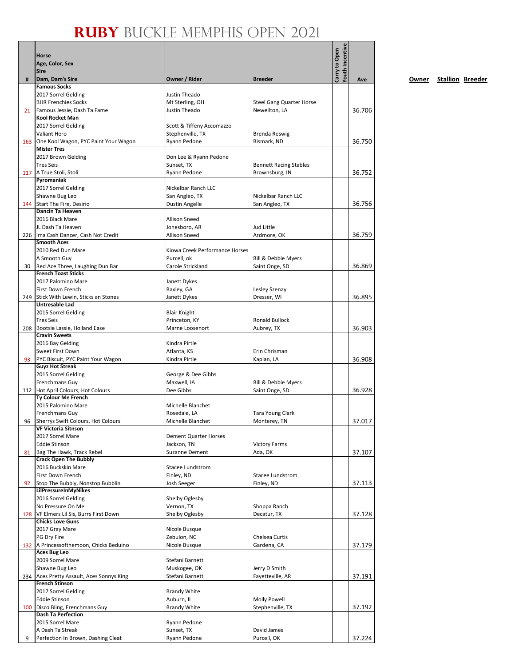|     | Horse                                                           |                                  |                                                 | Youth Incentive<br>Carry to Open |        |
|-----|-----------------------------------------------------------------|----------------------------------|-------------------------------------------------|----------------------------------|--------|
|     | Age, Color, Sex                                                 |                                  |                                                 |                                  |        |
|     | <b>Sire</b>                                                     |                                  |                                                 |                                  |        |
| #   | Dam, Dam's Sire                                                 | Owner / Rider                    | <b>Breeder</b>                                  |                                  | Ave    |
|     | <b>Famous Socks</b>                                             |                                  |                                                 |                                  |        |
|     | 2017 Sorrel Gelding<br><b>BHR Frenchies Socks</b>               | Justin Theado<br>Mt Sterling, OH | <b>Steel Gang Quarter Horse</b>                 |                                  |        |
| 21  | Famous Jessie, Dash Ta Fame                                     | Justin Theado                    | Newellton, LA                                   |                                  | 36.706 |
|     | Kool Rocket Man                                                 |                                  |                                                 |                                  |        |
|     | 2017 Sorrel Gelding                                             | Scott & Tiffeny Accomazzo        |                                                 |                                  |        |
|     | Valiant Hero                                                    | Stephenville, TX                 | <b>Brenda Reswig</b>                            |                                  |        |
| 163 | One Kool Wagon, PYC Paint Your Wagon                            | Ryann Pedone                     | Bismark, ND                                     |                                  | 36.750 |
|     | <b>Mister Tres</b>                                              |                                  |                                                 |                                  |        |
|     | 2017 Brown Gelding<br><b>Tres Seis</b>                          | Don Lee & Ryann Pedone           |                                                 |                                  |        |
|     | 117   A True Stoli, Stoli                                       | Sunset, TX<br>Ryann Pedone       | <b>Bennett Racing Stables</b><br>Brownsburg, IN |                                  | 36.752 |
|     | Pyromaniak                                                      |                                  |                                                 |                                  |        |
|     | 2017 Sorrel Gelding                                             | Nickelbar Ranch LLC              |                                                 |                                  |        |
|     | Shawne Bug Leo                                                  | San Angleo, TX                   | Nickelbar Ranch LLC                             |                                  |        |
|     | 144 Start The Fire, Desirio                                     | Dustin Angelle                   | San Angleo, TX                                  |                                  | 36.756 |
|     | <b>Dancin Ta Heaven</b>                                         |                                  |                                                 |                                  |        |
|     | 2016 Black Mare                                                 | <b>Allison Sneed</b>             |                                                 |                                  |        |
|     | JL Dash Ta Heaven                                               | Jonesboro, AR                    | Jud Little                                      |                                  |        |
|     | 226 Ima Cash Dancer, Cash Not Credit<br><b>Smooth Aces</b>      | <b>Allison Sneed</b>             | Ardmore, OK                                     |                                  | 36.759 |
|     | 2010 Red Dun Mare                                               | Kiowa Creek Performance Horses   |                                                 |                                  |        |
|     | A Smooth Guy                                                    | Purcell, ok                      | Bill & Debbie Myers                             |                                  |        |
| 30  | Red Ace Three, Laughing Dun Bar                                 | Carole Strickland                | Saint Onge, SD                                  |                                  | 36.869 |
|     | <b>French Toast Sticks</b>                                      |                                  |                                                 |                                  |        |
|     | 2017 Palomino Mare                                              | Janett Dykes                     |                                                 |                                  |        |
|     | First Down French                                               | Baxley, GA                       | Lesley Szenay                                   |                                  |        |
| 249 | Stick With Lewin, Sticks an Stones<br><b>Untresable Lad</b>     | Janett Dykes                     | Dresser, WI                                     |                                  | 36.895 |
|     | 2015 Sorrel Gelding                                             | <b>Blair Knight</b>              |                                                 |                                  |        |
|     | <b>Tres Seis</b>                                                | Princeton, KY                    | Ronald Bullock                                  |                                  |        |
|     | 208 Bootsie Lassie, Holland Ease                                | Marne Loosenort                  | Aubrey, TX                                      |                                  | 36.903 |
|     | <b>Cravin Sweets</b>                                            |                                  |                                                 |                                  |        |
|     | 2016 Bay Gelding                                                | Kindra Pirtle                    |                                                 |                                  |        |
|     | Sweet First Down                                                | Atlanta, KS                      | Erin Chrisman                                   |                                  |        |
| 93  | PYC Biscuit, PYC Paint Your Wagon<br><b>Guyz Hot Streak</b>     | Kindra Pirtle                    | Kaplan, LA                                      |                                  | 36.908 |
|     | 2015 Sorrel Gelding                                             | George & Dee Gibbs               |                                                 |                                  |        |
|     | Frenchmans Guy                                                  | Maxwell, IA                      | Bill & Debbie Myers                             |                                  |        |
|     | 112 Hot April Colours, Hot Colours                              | Dee Gibbs                        | Saint Onge, SD                                  |                                  | 36.928 |
|     | Ty Colour Me French                                             |                                  |                                                 |                                  |        |
|     | 2015 Palomino Mare                                              | Michelle Blanchet                |                                                 |                                  |        |
|     | <b>Frenchmans Guy</b>                                           | Rosedale, LA                     | Tara Young Clark                                |                                  |        |
| 96  | Sherrys Swift Colours, Hot Colours<br>VF Victoria Sitnson       | Michelle Blanchet                | Monterey, TN                                    |                                  | 37.017 |
|     | 2017 Sorrel Mare                                                | <b>Dement Quarter Horses</b>     |                                                 |                                  |        |
|     | <b>Eddie Stinson</b>                                            | Jackson, TN                      | <b>Victory Farms</b>                            |                                  |        |
| 81  | Bag The Hawk, Track Rebel                                       | <b>Suzanne Dement</b>            | Ada, OK                                         |                                  | 37.107 |
|     | <b>Crack Open The Bubbly</b>                                    |                                  |                                                 |                                  |        |
|     | 2016 Buckskin Mare                                              | Stacee Lundstrom                 |                                                 |                                  |        |
|     | First Down French                                               | Finley, ND                       | Stacee Lundstrom                                |                                  |        |
| 92  | Stop The Bubbly, Nonstop Bubblin<br><b>LilPressureInMyNikes</b> | Josh Seeger                      | Finley, ND                                      |                                  | 37.113 |
|     | 2016 Sorrel Gelding                                             | Shelby Oglesby                   |                                                 |                                  |        |
|     | No Pressure On Me                                               | Vernon, TX                       | Shoppa Ranch                                    |                                  |        |
| 128 | VF Elmers Lil Sis, Burrs First Down                             | Shelby Oglesby                   | Decatur, TX                                     |                                  | 37.128 |
|     | <b>Chicks Love Guns</b>                                         |                                  |                                                 |                                  |        |
|     | 2017 Gray Mare                                                  | Nicole Busque                    |                                                 |                                  |        |
|     | PG Dry Fire                                                     | Zebulon, NC                      | Chelsea Curtis                                  |                                  |        |
|     | 132 A Princessofthemoon, Chicks Beduino                         | Nicole Busque                    | Gardena, CA                                     |                                  | 37.179 |
|     | <b>Aces Bug Leo</b><br>2009 Sorrel Mare                         | Stefani Barnett                  |                                                 |                                  |        |
|     | Shawne Bug Leo                                                  | Muskogee, OK                     | Jerry D Smith                                   |                                  |        |
|     | 234 Aces Pretty Assault, Aces Sonnys King                       | Stefani Barnett                  | Fayetteville, AR                                |                                  | 37.191 |
|     | <b>French Stinson</b>                                           |                                  |                                                 |                                  |        |
|     | 2017 Sorrel Gelding                                             | <b>Brandy White</b>              |                                                 |                                  |        |
|     | <b>Eddie Stinson</b>                                            | Auburn, IL                       | Molly Powell                                    |                                  |        |
|     | 100 Disco Bling, Frenchmans Guy                                 | <b>Brandy White</b>              | Stephenville, TX                                |                                  | 37.192 |
|     | <b>Dash Ta Perfection</b>                                       |                                  |                                                 |                                  |        |
|     | 2015 Sorrel Mare<br>A Dash Ta Streak                            | Ryann Pedone<br>Sunset, TX       | David James                                     |                                  |        |
| 9   | Perfection In Brown, Dashing Cleat                              | Ryann Pedone                     | Purcell, OK                                     |                                  | 37.224 |
|     |                                                                 |                                  |                                                 |                                  |        |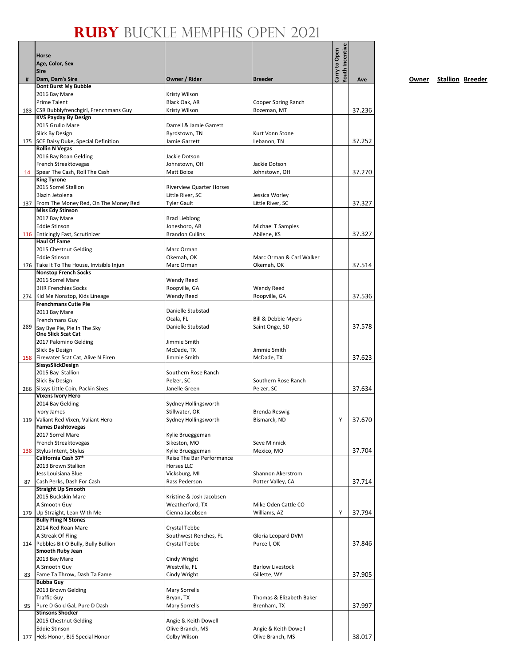|     | Horse                                                           |                                 |                                    | Youth Incentive<br>Carry to Open |        |
|-----|-----------------------------------------------------------------|---------------------------------|------------------------------------|----------------------------------|--------|
|     | Age, Color, Sex                                                 |                                 |                                    |                                  |        |
|     | <b>Sire</b>                                                     |                                 |                                    |                                  |        |
| #   | Dam, Dam's Sire<br>Dont Burst My Bubble                         | Owner / Rider                   | <b>Breeder</b>                     |                                  | Ave    |
|     | 2016 Bay Mare                                                   | Kristy Wilson                   |                                    |                                  |        |
|     | <b>Prime Talent</b>                                             | Black Oak, AR                   | Cooper Spring Ranch                |                                  |        |
| 183 | CSR Bubblyfrenchgirl, Frenchmans Guy                            | Kristy Wilson                   | Bozeman, MT                        |                                  | 37.236 |
|     | <b>KVS Payday By Design</b>                                     |                                 |                                    |                                  |        |
|     | 2015 Grullo Mare                                                | Darrell & Jamie Garrett         |                                    |                                  |        |
|     | Slick By Design                                                 | Byrdstown, TN                   | Kurt Vonn Stone                    |                                  |        |
|     | 175 SCF Daisy Duke, Special Definition<br><b>Rollin N Vegas</b> | Jamie Garrett                   | Lebanon, TN                        |                                  | 37.252 |
|     | 2016 Bay Roan Gelding                                           | Jackie Dotson                   |                                    |                                  |        |
|     | French Streaktovegas                                            | Johnstown, OH                   | Jackie Dotson                      |                                  |        |
| 14  | Spear The Cash, Roll The Cash                                   | Matt Boice                      | Johnstown, OH                      |                                  | 37.270 |
|     | <b>King Tyrone</b>                                              |                                 |                                    |                                  |        |
|     | 2015 Sorrel Stallion                                            | <b>Riverview Quarter Horses</b> |                                    |                                  |        |
|     | Blazin Jetolena                                                 | Little River, SC                | Jessica Worley                     |                                  |        |
| 137 | From The Money Red, On The Money Red                            | <b>Tyler Gault</b>              | Little River, SC                   |                                  | 37.327 |
|     | <b>Miss Edy Stinson</b><br>2017 Bay Mare                        | <b>Brad Lieblong</b>            |                                    |                                  |        |
|     | <b>Eddie Stinson</b>                                            | Jonesboro, AR                   | Michael T Samples                  |                                  |        |
| 116 | <b>Enticingly Fast, Scrutinizer</b>                             | <b>Brandon Cullins</b>          | Abilene, KS                        |                                  | 37.327 |
|     | <b>Haul Of Fame</b>                                             |                                 |                                    |                                  |        |
|     | 2015 Chestnut Gelding                                           | Marc Orman                      |                                    |                                  |        |
|     | <b>Eddie Stinson</b>                                            | Okemah, OK                      | Marc Orman & Carl Walker           |                                  |        |
| 176 | Take It To The House, Invisible Injun                           | Marc Orman                      | Okemah, OK                         |                                  | 37.514 |
|     | <b>Nonstop French Socks</b>                                     |                                 |                                    |                                  |        |
|     | 2016 Sorrel Mare<br><b>BHR Frenchies Socks</b>                  | Wendy Reed                      |                                    |                                  |        |
| 274 | Kid Me Nonstop, Kids Lineage                                    | Roopville, GA<br>Wendy Reed     | <b>Wendy Reed</b><br>Roopville, GA |                                  | 37.536 |
|     | <b>Frenchmans Cutie Pie</b>                                     |                                 |                                    |                                  |        |
|     | 2013 Bay Mare                                                   | Danielle Stubstad               |                                    |                                  |        |
|     | Frenchmans Guy                                                  | Ocala, FL                       | Bill & Debbie Myers                |                                  |        |
| 289 | Say Bye Pie, Pie In The Sky                                     | Danielle Stubstad               | Saint Onge, SD                     |                                  | 37.578 |
|     | <b>One Slick Scat Cat</b>                                       |                                 |                                    |                                  |        |
|     | 2017 Palomino Gelding                                           | Jimmie Smith                    |                                    |                                  |        |
|     | Slick By Design                                                 | McDade, TX                      | Jimmie Smith                       |                                  |        |
| 158 | Firewater Scat Cat, Alive N Firen<br>SissysSlickDesign          | Jimmie Smith                    | McDade, TX                         |                                  | 37.623 |
|     | 2015 Bay Stallion                                               | Southern Rose Ranch             |                                    |                                  |        |
|     | Slick By Design                                                 | Pelzer, SC                      | Southern Rose Ranch                |                                  |        |
|     | 266 Sissys Little Coin, Packin Sixes                            | Janelle Green                   | Pelzer, SC                         |                                  | 37.634 |
|     | <b>Vixens Ivory Hero</b>                                        |                                 |                                    |                                  |        |
|     | 2014 Bay Gelding                                                | Sydney Hollingsworth            |                                    |                                  |        |
|     | <b>Ivory James</b>                                              | Stillwater, OK                  | Brenda Reswig                      |                                  |        |
|     | 119 Valiant Red Vixen, Valiant Hero<br><b>Fames Dashtovegas</b> | Sydney Hollingsworth            | Bismarck, ND                       | Υ                                | 37.670 |
|     | 2017 Sorrel Mare                                                | Kylie Brueggeman                |                                    |                                  |        |
|     | French Streaktovegas                                            | Sikeston, MO                    | Seve Minnick                       |                                  |        |
|     | 138 Stylus Intent, Stylus                                       | Kylie Brueggeman                | Mexico, MO                         |                                  | 37.704 |
|     | California Cash 37*                                             | Raise The Bar Performance       |                                    |                                  |        |
|     | 2013 Brown Stallion                                             | <b>Horses LLC</b>               |                                    |                                  |        |
|     | Jess Louisiana Blue                                             | Vicksburg, MI                   | Shannon Akerstrom                  |                                  |        |
| 87  | Cash Perks, Dash For Cash                                       | Rass Pederson                   | Potter Valley, CA                  |                                  | 37.714 |
|     | <b>Straight Up Smooth</b>                                       | Kristine & Josh Jacobsen        |                                    |                                  |        |
|     | 2015 Buckskin Mare<br>A Smooth Guy                              | Weatherford, TX                 | Mike Oden Cattle CO                |                                  |        |
| 179 | Up Straight, Lean With Me                                       | Cienna Jacobsen                 | Williams, AZ                       | Υ                                | 37.794 |
|     | <b>Bully Fling N Stones</b>                                     |                                 |                                    |                                  |        |
|     | 2014 Red Roan Mare                                              | Crystal Tebbe                   |                                    |                                  |        |
|     | A Streak Of Fling                                               | Southwest Renches, FL           | Gloria Leopard DVM                 |                                  |        |
| 114 | Pebbles Bit O Bully, Bully Bullion                              | Crystal Tebbe                   | Purcell, OK                        |                                  | 37.846 |
|     | Smooth Ruby Jean                                                |                                 |                                    |                                  |        |
|     | 2013 Bay Mare                                                   | Cindy Wright                    |                                    |                                  |        |
|     | A Smooth Guy                                                    | Westville, FL                   | <b>Barlow Livestock</b>            |                                  |        |
| 83  | Fame Ta Throw, Dash Ta Fame<br><b>Bubba Guy</b>                 | Cindy Wright                    | Gillette, WY                       |                                  | 37.905 |
|     | 2013 Brown Gelding                                              | Mary Sorrells                   |                                    |                                  |        |
|     | <b>Traffic Guy</b>                                              | Bryan, TX                       | Thomas & Elizabeth Baker           |                                  |        |
| 95  | Pure D Gold Gal, Pure D Dash                                    | Mary Sorrells                   | Brenham, TX                        |                                  | 37.997 |
|     | <b>Stinsons Shocker</b>                                         |                                 |                                    |                                  |        |
|     | 2015 Chestnut Gelding                                           | Angie & Keith Dowell            |                                    |                                  |        |
|     | <b>Eddie Stinson</b>                                            | Olive Branch, MS                | Angie & Keith Dowell               |                                  |        |
| 177 | Hels Honor, BJS Special Honor                                   | Colby Wilson                    | Olive Branch, MS                   |                                  | 38.017 |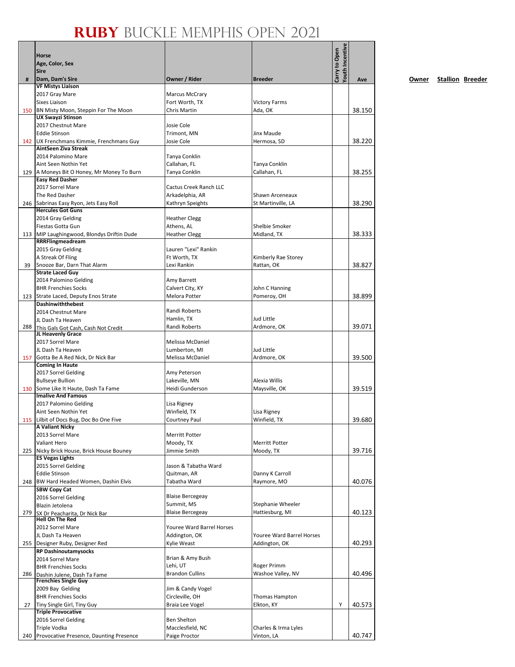|       | Horse                                                            |                               |                                    | Youth Incentive<br>Carry to Open |        |
|-------|------------------------------------------------------------------|-------------------------------|------------------------------------|----------------------------------|--------|
|       | Age, Color, Sex                                                  |                               |                                    |                                  |        |
|       | <b>Sire</b>                                                      |                               | <b>Breeder</b>                     |                                  |        |
| #     | Dam, Dam's Sire<br><b>VF Mistys Liaison</b>                      | Owner / Rider                 |                                    |                                  | Ave    |
|       | 2017 Gray Mare                                                   | <b>Marcus McCrary</b>         |                                    |                                  |        |
|       | <b>Sixes Liaison</b>                                             | Fort Worth, TX                | <b>Victory Farms</b>               |                                  |        |
| 150   | BN Misty Moon, Steppin For The Moon                              | Chris Martin                  | Ada, OK                            |                                  | 38.150 |
|       | <b>UX Swayzi Stinson</b>                                         |                               |                                    |                                  |        |
|       | 2017 Chestnut Mare                                               | Josie Cole                    |                                    |                                  |        |
|       | <b>Eddie Stinson</b>                                             | Trimont, MN                   | Jinx Maude                         |                                  |        |
|       | 142 UX Frenchmans Kimmie, Frenchmans Guy<br>AintSeen Ziva Streak | Josie Cole                    | Hermosa, SD                        |                                  | 38.220 |
|       | 2014 Palomino Mare                                               | Tanya Conklin                 |                                    |                                  |        |
|       | Aint Seen Nothin Yet                                             | Callahan, FL                  | Tanya Conklin                      |                                  |        |
|       | 129 A Moneys Bit O Honey, Mr Money To Burn                       | Tanya Conklin                 | Callahan, FL                       |                                  | 38.255 |
|       | <b>Easy Red Dasher</b>                                           |                               |                                    |                                  |        |
|       | 2017 Sorrel Mare                                                 | Cactus Creek Ranch LLC        |                                    |                                  |        |
|       | The Red Dasher                                                   | Arkadelphia, AR               | Shawn Arceneaux                    |                                  |        |
|       | 246 Sabrinas Easy Ryon, Jets Easy Roll                           | Kathryn Speights              | St Martinville, LA                 |                                  | 38.290 |
|       | <b>Hercules Got Guns</b><br>2014 Gray Gelding                    | <b>Heather Clegg</b>          |                                    |                                  |        |
|       | Fiestas Gotta Gun                                                | Athens, AL                    | Shelbie Smoker                     |                                  |        |
|       | 113 MIP Laughingwood, Blondys Driftin Dude                       | <b>Heather Clegg</b>          | Midland, TX                        |                                  | 38.333 |
|       | RRRFlingmeadream                                                 |                               |                                    |                                  |        |
|       | 2015 Gray Gelding                                                | Lauren "Lexi" Rankin          |                                    |                                  |        |
|       | A Streak Of Fling                                                | Ft Worth, TX                  | Kimberly Rae Storey                |                                  |        |
| 39    | Snooze Bar, Darn That Alarm                                      | Lexi Rankin                   | Rattan, OK                         |                                  | 38.827 |
|       | <b>Strate Laced Guy</b>                                          |                               |                                    |                                  |        |
|       | 2014 Palomino Gelding                                            | Amy Barrett                   |                                    |                                  |        |
|       | <b>BHR Frenchies Socks</b>                                       | Calvert City, KY              | John C Hanning                     |                                  |        |
|       | 123 Strate Laced, Deputy Enos Strate<br>Dashinwiththebest        | Melora Potter                 | Pomeroy, OH                        |                                  | 38.899 |
|       | 2014 Chestnut Mare                                               | Randi Roberts                 |                                    |                                  |        |
|       | JL Dash Ta Heaven                                                | Hamlin, TX                    | Jud Little                         |                                  |        |
|       | 288 This Gals Got Cash, Cash Not Credit                          | Randi Roberts                 | Ardmore, OK                        |                                  | 39.071 |
|       | JL Heavenly Grace                                                |                               |                                    |                                  |        |
|       | 2017 Sorrel Mare                                                 | Melissa McDaniel              |                                    |                                  |        |
|       | JL Dash Ta Heaven                                                | Lumberton, MI                 | Jud Little                         |                                  |        |
| 157   | Gotta Be A Red Nick, Dr Nick Bar                                 | Melissa McDaniel              | Ardmore, OK                        |                                  | 39.500 |
|       | <b>Coming In Haute</b><br>2017 Sorrel Gelding                    |                               |                                    |                                  |        |
|       | <b>Bullseye Bullion</b>                                          | Amy Peterson<br>Lakeville, MN | Alexia Willis                      |                                  |        |
|       | 130 Some Like It Haute, Dash Ta Fame                             | Heidi Gunderson               | Maysville, OK                      |                                  | 39.519 |
|       | <b>Imalive And Famous</b>                                        |                               |                                    |                                  |        |
|       | 2017 Palomino Gelding                                            | Lisa Rigney                   |                                    |                                  |        |
|       | Aint Seen Nothin Yet                                             | Winfield, TX                  | Lisa Rigney                        |                                  |        |
|       | 115 Lilbit of Docs Bug, Doc Bo One Five                          | <b>Courtney Paul</b>          | Winfield, TX                       |                                  | 39.680 |
|       | <b>A Valiant Nicky</b>                                           |                               |                                    |                                  |        |
|       | 2013 Sorrel Mare                                                 | <b>Merritt Potter</b>         |                                    |                                  |        |
|       | Valiant Hero<br>225 Nicky Brick House, Brick House Bouney        | Moody, TX<br>Jimmie Smith     | <b>Merritt Potter</b><br>Moody, TX |                                  | 39.716 |
|       | <b>ES Vegas Lights</b>                                           |                               |                                    |                                  |        |
|       | 2015 Sorrel Gelding                                              | Jason & Tabatha Ward          |                                    |                                  |        |
|       | <b>Eddie Stinson</b>                                             | Quitman, AR                   | Danny K Carroll                    |                                  |        |
|       | 248 BW Hard Headed Women, Dashin Elvis                           | Tabatha Ward                  | Raymore, MO                        |                                  | 40.076 |
|       | <b>SBW Copy Cat</b>                                              |                               |                                    |                                  |        |
|       | 2016 Sorrel Gelding                                              | <b>Blaise Bercegeay</b>       |                                    |                                  |        |
|       | Blazin Jetolena                                                  | Summit, MS                    | Stephanie Wheeler                  |                                  |        |
| 279   | SX Dr Peacharita, Dr Nick Bar<br><b>Hell On The Red</b>          | <b>Blaise Bercegeay</b>       | Hattiesburg, MI                    |                                  | 40.123 |
|       | 2012 Sorrel Mare                                                 | Youree Ward Barrel Horses     |                                    |                                  |        |
|       | JL Dash Ta Heaven                                                | Addington, OK                 | Youree Ward Barrel Horses          |                                  |        |
|       | 255 Designer Ruby, Designer Red                                  | Kylie Weast                   | Addington, OK                      |                                  | 40.293 |
|       | <b>RP Dashinoutamysocks</b>                                      |                               |                                    |                                  |        |
|       | 2014 Sorrel Mare                                                 | Brian & Amy Bush              |                                    |                                  |        |
|       | <b>BHR Frenchies Socks</b>                                       | Lehi, UT                      | Roger Primm                        |                                  |        |
| 286 I | Dashin Julene, Dash Ta Fame<br><b>Frenchies Single Guy</b>       | <b>Brandon Cullins</b>        | Washoe Valley, NV                  |                                  | 40.496 |
|       | 2009 Bay Gelding                                                 | Jim & Candy Vogel             |                                    |                                  |        |
|       | <b>BHR Frenchies Socks</b>                                       | Circleville, OH               | Thomas Hampton                     |                                  |        |
| 27    | Tiny Single Girl, Tiny Guy                                       | Braia Lee Vogel               | Elkton, KY                         | Υ                                | 40.573 |
|       | <b>Triple Provocative</b>                                        |                               |                                    |                                  |        |
|       | 2016 Sorrel Gelding                                              | <b>Ben Shelton</b>            |                                    |                                  |        |
|       | Triple Vodka                                                     | Macclesfield, NC              | Charles & Irma Lyles               |                                  |        |
| 240   | Provocative Presence, Daunting Presence                          | Paige Proctor                 | Vinton, LA                         |                                  | 40.747 |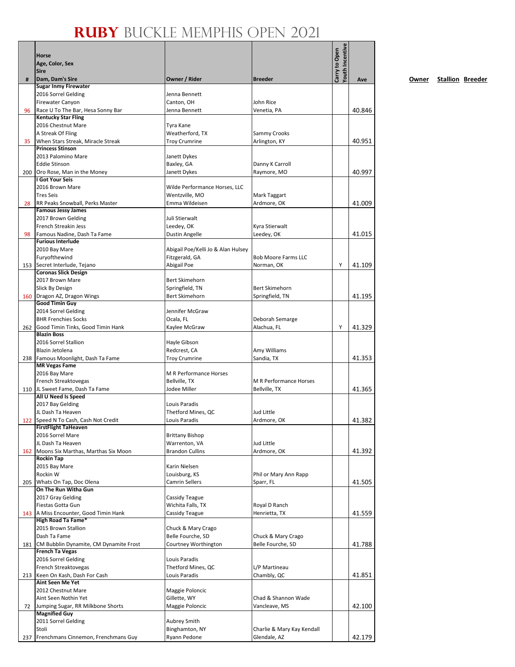|     | Horse<br>Age, Color, Sex                                         |                                     |                                      | Youth Incentive<br>Carry to Open |        |
|-----|------------------------------------------------------------------|-------------------------------------|--------------------------------------|----------------------------------|--------|
| #   | <b>Sire</b><br>Dam, Dam's Sire                                   | Owner / Rider                       | <b>Breeder</b>                       |                                  | Ave    |
|     | <b>Sugar Inmy Firewater</b>                                      |                                     |                                      |                                  |        |
|     | 2016 Sorrel Gelding                                              | Jenna Bennett                       |                                      |                                  |        |
|     | <b>Firewater Canyon</b>                                          | Canton, OH                          | John Rice                            |                                  |        |
| 96  | Race U To The Bar, Hesa Sonny Bar<br><b>Kentucky Star Fling</b>  | Jenna Bennett                       | Venetia, PA                          |                                  | 40.846 |
|     | 2016 Chestnut Mare                                               | Tyra Kane                           |                                      |                                  |        |
|     | A Streak Of Fling                                                | Weatherford, TX                     | Sammy Crooks                         |                                  |        |
| 35  | When Stars Streak, Miracle Streak                                | <b>Troy Crumrine</b>                | Arlington, KY                        |                                  | 40.951 |
|     | <b>Princess Stinson</b>                                          |                                     |                                      |                                  |        |
|     | 2013 Palomino Mare                                               | Janett Dykes                        |                                      |                                  |        |
|     | <b>Eddie Stinson</b><br>Oro Rose, Man in the Money               | Baxley, GA<br>Janett Dykes          | Danny K Carroll<br>Raymore, MO       |                                  | 40.997 |
| 200 | I Got Your Seis                                                  |                                     |                                      |                                  |        |
|     | 2016 Brown Mare                                                  | Wilde Performance Horses, LLC       |                                      |                                  |        |
|     | <b>Tres Seis</b>                                                 | Wentzville, MO                      | Mark Taggart                         |                                  |        |
| 28  | RR Peaks Snowball, Perks Master                                  | Emma Wildeisen                      | Ardmore, OK                          |                                  | 41.009 |
|     | <b>Famous Jessy James</b>                                        |                                     |                                      |                                  |        |
|     | 2017 Brown Gelding<br>French Streakin Jess                       | Juli Stierwalt<br>Leedey, OK        | Kyra Stierwalt                       |                                  |        |
| 98  | Famous Nadine, Dash Ta Fame                                      | Dustin Angelle                      | Leedey, OK                           |                                  | 41.015 |
|     | <b>Furious Interlude</b>                                         |                                     |                                      |                                  |        |
|     | 2010 Bay Mare                                                    | Abigail Poe/Kelli Jo & Alan Hulsey  |                                      |                                  |        |
|     | Furyofthewind                                                    | Fitzgerald, GA                      | <b>Bob Moore Farms LLC</b>           |                                  |        |
| 153 | Secret Interlude, Tejano<br><b>Coronas Slick Design</b>          | Abigail Poe                         | Norman, OK                           | Y                                | 41.109 |
|     | 2017 Brown Mare                                                  | <b>Bert Skimehorn</b>               |                                      |                                  |        |
|     | Slick By Design                                                  | Springfield, TN                     | <b>Bert Skimehorn</b>                |                                  |        |
| 160 | Dragon AZ, Dragon Wings                                          | <b>Bert Skimehorn</b>               | Springfield, TN                      |                                  | 41.195 |
|     | Good Timin Guy                                                   |                                     |                                      |                                  |        |
|     | 2014 Sorrel Gelding<br><b>BHR Frenchies Socks</b>                | Jennifer McGraw<br>Ocala, FL        |                                      |                                  |        |
| 262 | Good Timin Tinks, Good Timin Hank                                | Kaylee McGraw                       | Deborah Semarge<br>Alachua, FL       | Υ                                | 41.329 |
|     | <b>Blazin Boss</b>                                               |                                     |                                      |                                  |        |
|     | 2016 Sorrel Stallion                                             | Hayle Gibson                        |                                      |                                  |        |
|     | Blazin Jetolena                                                  | Redcrest, CA                        | Amy Williams                         |                                  |        |
|     | 238 Famous Moonlight, Dash Ta Fame                               | <b>Troy Crumrine</b>                | Sandia, TX                           |                                  | 41.353 |
|     | <b>MR Vegas Fame</b><br>2016 Bay Mare                            | M R Performance Horses              |                                      |                                  |        |
|     | French Streaktovegas                                             | Bellville, TX                       | M R Performance Horses               |                                  |        |
| 110 | JL Sweet Fame, Dash Ta Fame                                      | Jodee Miller                        | Bellville, TX                        |                                  | 41.365 |
|     | All U Need Is Speed                                              |                                     |                                      |                                  |        |
|     | 2017 Bay Gelding                                                 | Louis Paradis                       |                                      |                                  |        |
|     | JL Dash Ta Heaven<br>122 Speed N To Cash, Cash Not Credit        | Thetford Mines, QC<br>Louis Paradis | Jud Little<br>Ardmore, OK            |                                  | 41.382 |
|     | <b>FirstFlight TaHeaven</b>                                      |                                     |                                      |                                  |        |
|     | 2016 Sorrel Mare                                                 | <b>Brittany Bishop</b>              |                                      |                                  |        |
|     | JL Dash Ta Heaven                                                | Warrenton, VA                       | Jud Little                           |                                  |        |
|     | 162 Moons Six Marthas, Marthas Six Moon                          | <b>Brandon Cullins</b>              | Ardmore, OK                          |                                  | 41.392 |
|     | <b>Rockin Tap</b><br>2015 Bay Mare                               | Karin Nielsen                       |                                      |                                  |        |
|     | Rockin W                                                         | Louisburg, KS                       | Phil or Mary Ann Rapp                |                                  |        |
| 205 | Whats On Tap, Doc Olena                                          | <b>Camrin Sellers</b>               | Sparr, FL                            |                                  | 41.505 |
|     | On The Run Witha Gun                                             |                                     |                                      |                                  |        |
|     | 2017 Gray Gelding<br>Fiestas Gotta Gun                           | Cassidy Teague<br>Wichita Falls, TX |                                      |                                  |        |
| 143 | A Miss Encounter, Good Timin Hank                                | Cassidy Teague                      | Royal D Ranch<br>Henrietta, TX       |                                  | 41.559 |
|     | <b>High Road Ta Fame*</b>                                        |                                     |                                      |                                  |        |
|     | 2015 Brown Stallion                                              | Chuck & Mary Crago                  |                                      |                                  |        |
|     | Dash Ta Fame                                                     | Belle Fourche, SD                   | Chuck & Mary Crago                   |                                  |        |
| 181 | CM Bubblin Dynamite, CM Dynamite Frost<br><b>French Ta Vegas</b> | Courtney Worthington                | Belle Fourche, SD                    |                                  | 41.788 |
|     | 2016 Sorrel Gelding                                              | Louis Paradis                       |                                      |                                  |        |
|     | French Streaktovegas                                             | Thetford Mines, QC                  | L/P Martineau                        |                                  |        |
| 213 | Keen On Kash, Dash For Cash                                      | Louis Paradis                       | Chambly, QC                          |                                  | 41.851 |
|     | Aint Seen Me Yet                                                 |                                     |                                      |                                  |        |
|     | 2012 Chestnut Mare                                               | Maggie Poloncic                     |                                      |                                  |        |
| 72  | Aint Seen Nothin Yet<br>Jumping Sugar, RR Milkbone Shorts        | Gillette, WY<br>Maggie Poloncic     | Chad & Shannon Wade<br>Vancleave, MS |                                  | 42.100 |
|     | <b>Magnified Guy</b>                                             |                                     |                                      |                                  |        |
|     | 2011 Sorrel Gelding                                              | <b>Aubrey Smith</b>                 |                                      |                                  |        |
|     | Stoli                                                            | Binghamton, NY                      | Charlie & Mary Kay Kendall           |                                  |        |
| 237 | Frenchmans Cinnemon, Frenchmans Guy                              | Ryann Pedone                        | Glendale, AZ                         |                                  | 42.179 |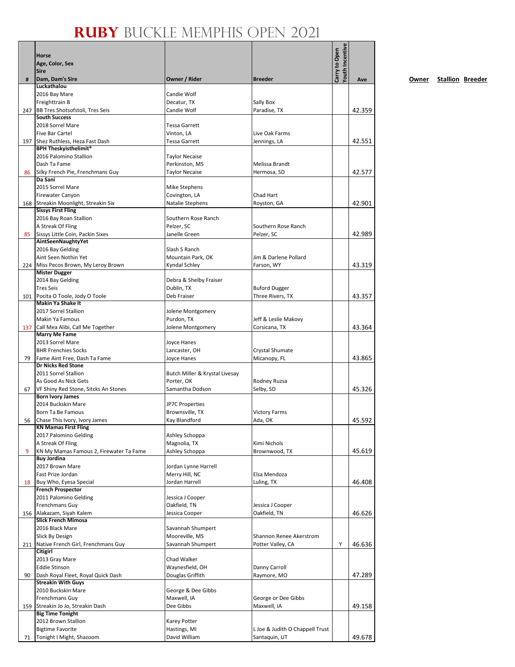|     | Horse<br>Age, Color, Sex<br>Sire                                  |                                           |                                          | Youth Incentive<br>Carry to Open |        |
|-----|-------------------------------------------------------------------|-------------------------------------------|------------------------------------------|----------------------------------|--------|
| #   | Dam, Dam's Sire                                                   | Owner / Rider                             | <b>Breeder</b>                           |                                  | Ave    |
|     | Luckathalou<br>2016 Bay Mare                                      | Candie Wolf                               |                                          |                                  |        |
|     | Freighttrain B                                                    | Decatur, TX                               | Sally Box                                |                                  |        |
|     | 247 BB Tres Shotsofstoli, Tres Seis                               | Candie Wolf                               | Paradise, TX                             |                                  | 42.359 |
|     | <b>South Success</b>                                              |                                           |                                          |                                  |        |
|     | 2018 Sorrel Mare<br><b>Five Bar Cartel</b>                        | Tessa Garrett<br>Vinton, LA               | Live Oak Farms                           |                                  |        |
|     | 197 Shez Ruthless, Heza Fast Dash                                 | <b>Tessa Garrett</b>                      | Jennings, LA                             |                                  | 42.551 |
|     | <b>BPH Theskyisthelimit*</b>                                      |                                           |                                          |                                  |        |
|     | 2016 Palomino Stallion                                            | <b>Taylor Necaise</b>                     |                                          |                                  |        |
| 86  | Dash Ta Fame<br>Silky French Pie, Frenchmans Guy                  | Perkinston, MS<br><b>Taylor Necaise</b>   | Melissa Brandt<br>Hermosa, SD            |                                  | 42.577 |
|     | Da Sani                                                           |                                           |                                          |                                  |        |
|     | 2015 Sorrel Mare                                                  | Mike Stephens                             |                                          |                                  |        |
|     | Firewater Canyon                                                  | Covington, LA                             | Chad Hart                                |                                  |        |
|     | 168 Streakin Moonlight, Streakin Six<br><b>Sissys First Fling</b> | Natalie Stephens                          | Royston, GA                              |                                  | 42.901 |
|     | 2016 Bay Roan Stallion                                            | Southern Rose Ranch                       |                                          |                                  |        |
|     | A Streak Of Fling                                                 | Pelzer, SC                                | Southern Rose Ranch                      |                                  |        |
| 85  | Sissys Little Coin, Packin Sixes                                  | Janelle Green                             | Pelzer, SC                               |                                  | 42.989 |
|     | AintSeenNaughtyYet<br>2016 Bay Gelding                            | Slash S Ranch                             |                                          |                                  |        |
|     | Aint Seen Nothin Yet                                              | Mountain Park, OK                         | Jim & Darlene Pollard                    |                                  |        |
|     | 224 Miss Pecos Brown, My Leroy Brown                              | Kyndal Schley                             | Farson, WY                               |                                  | 43.319 |
|     | <b>Mister Dugger</b>                                              |                                           |                                          |                                  |        |
|     | 2014 Bay Gelding<br><b>Tres Seis</b>                              | Debra & Shelby Fraiser                    |                                          |                                  |        |
|     | 101 Pocita O Toole, Jody O Toole                                  | Dublin, TX<br>Deb Fraiser                 | <b>Buford Dugger</b><br>Three Rivers, TX |                                  | 43.357 |
|     | <b>Makin Ya Shake It</b>                                          |                                           |                                          |                                  |        |
|     | 2017 Sorrel Stallion                                              | Jolene Montgomery                         |                                          |                                  |        |
|     | Makin Ya Famous                                                   | Purdon, TX                                | Jeff & Leslie Makovy                     |                                  |        |
| 137 | Call Mea Alibi, Call Me Together<br><b>Marry Me Fame</b>          | Jolene Montgomery                         | Corsicana, TX                            |                                  | 43.364 |
|     | 2013 Sorrel Mare                                                  | <b>Joyce Hanes</b>                        |                                          |                                  |        |
|     | <b>BHR Frenchies Socks</b>                                        | Lancaster, OH                             | Crystal Shumate                          |                                  |        |
| 79  | Fame Aint Free, Dash Ta Fame<br><b>Dr Nicks Red Stone</b>         | <b>Joyce Hanes</b>                        | Micanopy, FL                             |                                  | 43.865 |
|     | 2011 Sorrel Stallion                                              | Butch Miller & Krystal Livesay            |                                          |                                  |        |
|     | As Good As Nick Gets                                              | Porter, OK                                | Rodney Ruzsa                             |                                  |        |
| 67  | VF Shiny Red Stone, Sitcks An Stones                              | Samantha Dodson                           | Selby, SD                                |                                  | 45.326 |
|     | <b>Born Ivory James</b>                                           |                                           |                                          |                                  |        |
|     | 2014 Buckskin Mare<br>Born Ta Be Famous                           | <b>JP7C Properties</b><br>Brownsville, TX | <b>Victory Farms</b>                     |                                  |        |
| 56  | Chase This Ivory, Ivory James                                     | Kay Blandford                             | Ada, OK                                  |                                  | 45.592 |
|     | <b>KN Mamas First Fling</b>                                       |                                           |                                          |                                  |        |
|     | 2017 Palomino Gelding                                             | Ashley Schoppa                            |                                          |                                  |        |
| 9   | A Streak Of Fling<br>KN My Mamas Famous 2, Firewater Ta Fame      | Magnolia, TX<br>Ashley Schoppa            | Kimi Nichols<br>Brownwood, TX            |                                  | 45.619 |
|     | <b>Buy Jordina</b>                                                |                                           |                                          |                                  |        |
|     | 2017 Brown Mare                                                   | Jordan Lynne Harrell                      |                                          |                                  |        |
|     | Fast Prize Jordan                                                 | Merry Hill, NC<br>Jordan Harrell          | Elsa Mendoza                             |                                  |        |
| 18  | Buy Who, Eyesa Special<br><b>French Prospector</b>                |                                           | Luling, TX                               |                                  | 46.408 |
|     | 2011 Palomino Gelding                                             | Jessica J Cooper                          |                                          |                                  |        |
|     | Frenchmans Guy                                                    | Oakfield, TN                              | Jessica J Cooper                         |                                  |        |
|     | 156 Alakazam, Siyah Kalem<br><b>Slick French Mimosa</b>           | Jessica Cooper                            | Oakfield, TN                             |                                  | 46.626 |
|     | 2016 Black Mare                                                   | Savannah Shumpert                         |                                          |                                  |        |
|     | Slick By Design                                                   | Mooreville, MS                            | Shannon Renee Akerstrom                  |                                  |        |
|     | 211 Native French Girl, Frenchmans Guy                            | Savannah Shumpert                         | Potter Valley, CA                        | Υ                                | 46.636 |
|     | <b>Citigirl</b>                                                   |                                           |                                          |                                  |        |
|     | 2013 Gray Mare<br><b>Eddie Stinson</b>                            | Chad Walker<br>Waynesfield, OH            | Danny Carroll                            |                                  |        |
| 90  | Dash Royal Fleet, Royal Quick Dash                                | Douglas Griffith                          | Raymore, MO                              |                                  | 47.289 |
|     | <b>Streakin With Guys</b>                                         |                                           |                                          |                                  |        |
|     | 2010 Buckskin Mare                                                | George & Dee Gibbs                        |                                          |                                  |        |
| 159 | Frenchmans Guy<br>Streakin Jo Jo, Streakin Dash                   | Maxwell, IA<br>Dee Gibbs                  | George or Dee Gibbs<br>Maxwell, IA       |                                  | 49.158 |
|     | <b>Big Time Tonight</b>                                           |                                           |                                          |                                  |        |
|     | 2012 Brown Stallion                                               | Karey Potter                              |                                          |                                  |        |
|     | <b>Bigtime Favorite</b>                                           | Hastings, MI                              | L Joe & Judith O Chappell Trust          |                                  |        |
| 71  | Tonight I Might, Shazoom                                          | David William                             | Santaquin, UT                            |                                  | 49.678 |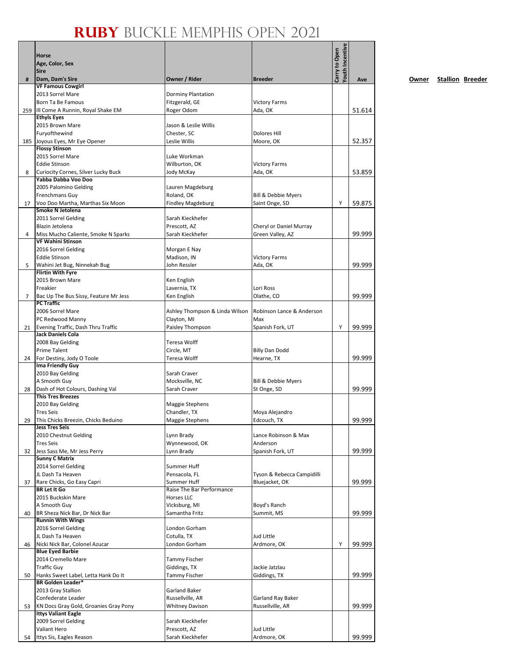|     | Horse                                                        |                                  |                            | Youth Incentive<br>Carry to Open |        |
|-----|--------------------------------------------------------------|----------------------------------|----------------------------|----------------------------------|--------|
|     | Age, Color, Sex                                              |                                  |                            |                                  |        |
|     | <b>Sire</b>                                                  |                                  |                            |                                  |        |
| #   | Dam, Dam's Sire<br><b>VF Famous Cowgirl</b>                  | Owner / Rider                    | <b>Breeder</b>             |                                  | Ave    |
|     | 2013 Sorrel Mare                                             | Dorminy Plantation               |                            |                                  |        |
|     | Born Ta Be Famous                                            | Fitzgerald, GE                   | <b>Victory Farms</b>       |                                  |        |
| 259 | Ill Come A Runnin, Royal Shake EM                            | Roger Odom                       | Ada, OK                    |                                  | 51.614 |
|     | <b>Ethyls Eyes</b>                                           |                                  |                            |                                  |        |
|     | 2015 Brown Mare                                              | Jason & Leslie Willis            |                            |                                  |        |
|     | Furyofthewind                                                | Chester, SC                      | <b>Dolores Hill</b>        |                                  |        |
|     | 185 Joyous Eyes, Mr Eye Opener                               | Leslie Willis                    | Moore, OK                  |                                  | 52.357 |
|     | <b>Flossy Stinson</b>                                        |                                  |                            |                                  |        |
|     | 2015 Sorrel Mare                                             | Luke Workman                     |                            |                                  |        |
|     | <b>Eddie Stinson</b>                                         | Wilburton, OK                    | <b>Victory Farms</b>       |                                  |        |
| 8   | Curiocity Cornes, Silver Lucky Buck                          | Jody McKay                       | Ada, OK                    |                                  | 53.859 |
|     | Yabba Dabba Voo Doo                                          |                                  |                            |                                  |        |
|     | 2005 Palomino Gelding<br>Frenchmans Guy                      | Lauren Magdeburg<br>Roland, OK   | Bill & Debbie Myers        |                                  |        |
| 17  | Voo Doo Martha, Marthas Six Moon                             | <b>Findley Magdeburg</b>         | Saint Onge, SD             | Υ                                | 59.875 |
|     | Smoke N Jetolena                                             |                                  |                            |                                  |        |
|     | 2011 Sorrel Gelding                                          | Sarah Kieckhefer                 |                            |                                  |        |
|     | Blazin Jetolena                                              | Prescott, AZ                     | Cheryl or Daniel Murray    |                                  |        |
| 4   | Miss Mucho Caliente, Smoke N Sparks                          | Sarah Kieckhefer                 | Green Valley, AZ           |                                  | 99.999 |
|     | <b>VF Wahini Stinson</b>                                     |                                  |                            |                                  |        |
|     | 2016 Sorrel Gelding                                          | Morgan E Nay                     |                            |                                  |        |
|     | <b>Eddie Stinson</b>                                         | Madison, IN                      | <b>Victory Farms</b>       |                                  |        |
| 5   | Wahini Jet Bug, Ninnekah Bug                                 | John Ressler                     | Ada, OK                    |                                  | 99.999 |
|     | <b>Flirtin With Fyre</b>                                     |                                  |                            |                                  |        |
|     | 2015 Brown Mare                                              | Ken English                      |                            |                                  |        |
|     | Freakier                                                     | Lavernia, TX                     | Lori Ross                  |                                  |        |
| 7   | Bac Up The Bus Sissy, Feature Mr Jess<br><b>PC Traffic</b>   | Ken English                      | Olathe, CO                 |                                  | 99.999 |
|     | 2006 Sorrel Mare                                             | Ashley Thompson & Linda Wilson   | Robinson Lance & Anderson  |                                  |        |
|     | PC Redwood Manny                                             | Clayton, MI                      | Max                        |                                  |        |
| 21  | Evening Traffic, Dash Thru Traffic                           | Paisley Thompson                 | Spanish Fork, UT           | Y                                | 99.999 |
|     | <b>Jack Daniels Cola</b>                                     |                                  |                            |                                  |        |
|     | 2008 Bay Gelding                                             | Teresa Wolff                     |                            |                                  |        |
|     | Prime Talent                                                 | Circle, MT                       | <b>Billy Dan Dodd</b>      |                                  |        |
| 24  | For Destiny, Jody O Toole                                    | Teresa Wolff                     | Hearne, TX                 |                                  | 99.999 |
|     | Ima Friendly Guy                                             |                                  |                            |                                  |        |
|     | 2010 Bay Gelding                                             | Sarah Craver                     |                            |                                  |        |
|     | A Smooth Guy                                                 | Mocksville, NC                   | Bill & Debbie Myers        |                                  |        |
| 28  | Dash of Hot Colours, Dashing Val                             | Sarah Craver                     | St Onge, SD                |                                  | 99.999 |
|     | <b>This Tres Breezes</b>                                     |                                  |                            |                                  |        |
|     | 2010 Bay Gelding                                             | Maggie Stephens                  |                            |                                  |        |
|     | <b>Tres Seis</b>                                             | Chandler, TX                     | Moya Alejandro             |                                  | 99.999 |
| 29  | This Chicks Breezin, Chicks Beduino<br><b>Jess Tres Seis</b> | Maggie Stephens                  | Edcouch, TX                |                                  |        |
|     | 2010 Chestnut Gelding                                        | Lynn Brady                       | Lance Robinson & Max       |                                  |        |
|     | <b>Tres Seis</b>                                             | Wynnewood, OK                    | Anderson                   |                                  |        |
| 32  | Jess Sass Me, Mr Jess Perry                                  | Lynn Brady                       | Spanish Fork, UT           |                                  | 99.999 |
|     | <b>Sunny C Matrix</b>                                        |                                  |                            |                                  |        |
|     | 2014 Sorrel Gelding                                          | Summer Huff                      |                            |                                  |        |
|     | JL Dash Ta Heaven                                            | Pensacola, FL                    | Tyson & Rebecca Campidilli |                                  |        |
| 37  | Rare Chicks, Go Easy Capri                                   | Summer Huff                      | Bluejacket, OK             |                                  | 99.999 |
|     | <b>BR Let It Go</b>                                          | Raise The Bar Performance        |                            |                                  |        |
|     | 2015 Buckskin Mare                                           | <b>Horses LLC</b>                |                            |                                  |        |
|     | A Smooth Guy                                                 | Vicksburg, MI                    | Boyd's Ranch               |                                  |        |
| 40  | BR Sheza Nick Bar, Dr Nick Bar<br><b>Runnin With Wings</b>   | Samantha Fritz                   | Summit, MS                 |                                  | 99.999 |
|     | 2016 Sorrel Gelding                                          | London Gorham                    |                            |                                  |        |
|     | JL Dash Ta Heaven                                            | Cotulla, TX                      | Jud Little                 |                                  |        |
| 46  | Nicki Nick Bar, Colonel Azucar                               | London Gorham                    | Ardmore, OK                | Υ                                | 99.999 |
|     | <b>Blue Eyed Barbie</b>                                      |                                  |                            |                                  |        |
|     | 2014 Cremello Mare                                           | <b>Tammy Fischer</b>             |                            |                                  |        |
|     | <b>Traffic Guy</b>                                           | Giddings, TX                     | Jackie Jatzlau             |                                  |        |
| 50  | Hanks Sweet Label, Letta Hank Do It                          | Tammy Fischer                    | Giddings, TX               |                                  | 99.999 |
|     | <b>BR Golden Leader*</b>                                     |                                  |                            |                                  |        |
|     | 2013 Gray Stallion                                           | Garland Baker                    |                            |                                  |        |
|     | Confederate Leader                                           | Russellville, AR                 | Garland Ray Baker          |                                  |        |
| 53  | KN Docs Gray Gold, Groanies Gray Pony                        | <b>Whitney Davison</b>           | Russellville, AR           |                                  | 99.999 |
|     | <b>Ittys Valiant Eagle</b>                                   |                                  |                            |                                  |        |
|     | 2009 Sorrel Gelding<br>Valiant Hero                          | Sarah Kieckhefer<br>Prescott, AZ | <b>Jud Little</b>          |                                  |        |
| 54  | Ittys Sis, Eagles Reason                                     | Sarah Kieckhefer                 | Ardmore, OK                |                                  | 99.999 |
|     |                                                              |                                  |                            |                                  |        |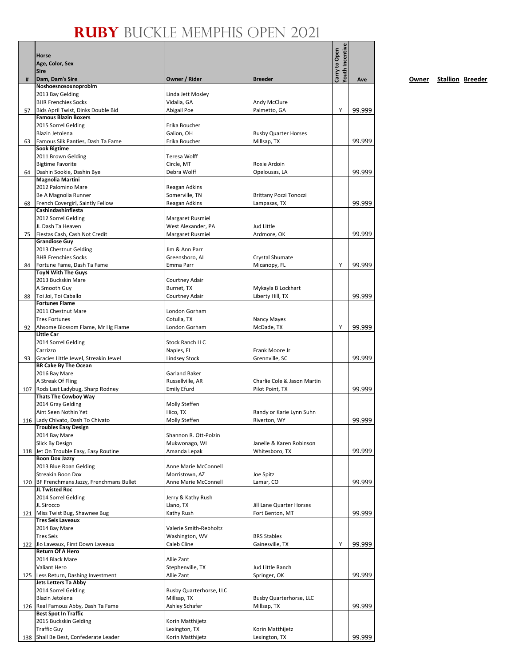|     | Horse                                                             |                                        |                                       | Youth Incentive<br>Carry to Open |        |
|-----|-------------------------------------------------------------------|----------------------------------------|---------------------------------------|----------------------------------|--------|
|     | Age, Color, Sex                                                   |                                        |                                       |                                  |        |
|     | <b>Sire</b>                                                       |                                        |                                       |                                  |        |
| #   | Dam, Dam's Sire<br>Noshoesnosoxnoproblm                           | Owner / Rider                          | <b>Breeder</b>                        |                                  | Ave    |
|     | 2013 Bay Gelding                                                  | Linda Jett Mosley                      |                                       |                                  |        |
|     | <b>BHR Frenchies Socks</b>                                        | Vidalia, GA                            | Andy McClure                          |                                  |        |
| 57  | Bids April Twist, Dinks Double Bid                                | Abigail Poe                            | Palmetto, GA                          | Y                                | 99.999 |
|     | <b>Famous Blazin Boxers</b>                                       |                                        |                                       |                                  |        |
|     | 2015 Sorrel Gelding                                               | Erika Boucher                          |                                       |                                  |        |
|     | Blazin Jetolena                                                   | Galion, OH                             | <b>Busby Quarter Horses</b>           |                                  |        |
| 63  | Famous Silk Panties, Dash Ta Fame<br><b>Sook Bigtime</b>          | Erika Boucher                          | Millsap, TX                           |                                  | 99.999 |
|     | 2011 Brown Gelding                                                | Teresa Wolff                           |                                       |                                  |        |
|     | <b>Bigtime Favorite</b>                                           | Circle, MT                             | Roxie Ardoin                          |                                  |        |
| 64  | Dashin Sookie, Dashin Bye                                         | Debra Wolff                            | Opelousas, LA                         |                                  | 99.999 |
|     | <b>Magnolia Martini</b>                                           |                                        |                                       |                                  |        |
|     | 2012 Palomino Mare                                                | Reagan Adkins                          |                                       |                                  |        |
|     | Be A Magnolia Runner                                              | Somerville, TN                         | Brittany Pozzi Tonozzi                |                                  |        |
| 68  | French Covergirl, Saintly Fellow<br>Cashindashinfiesta            | Reagan Adkins                          | Lampasas, TX                          |                                  | 99.999 |
|     | 2012 Sorrel Gelding                                               | Margaret Rusmiel                       |                                       |                                  |        |
|     | JL Dash Ta Heaven                                                 | West Alexander, PA                     | Jud Little                            |                                  |        |
| 75  | Fiestas Cash, Cash Not Credit                                     | Margaret Rusmiel                       | Ardmore, OK                           |                                  | 99.999 |
|     | <b>Grandiose Guy</b>                                              |                                        |                                       |                                  |        |
|     | 2013 Chestnut Gelding                                             | Jim & Ann Parr                         |                                       |                                  |        |
|     | <b>BHR Frenchies Socks</b>                                        | Greensboro, AL                         | Crystal Shumate                       |                                  |        |
| 84  | Fortune Fame, Dash Ta Fame                                        | Emma Parr                              | Micanopy, FL                          | Υ                                | 99.999 |
|     | <b>ToyN With The Guys</b><br>2013 Buckskin Mare                   | Courtney Adair                         |                                       |                                  |        |
|     | A Smooth Guy                                                      | Burnet, TX                             | Mykayla B Lockhart                    |                                  |        |
| 88  | Toi Joi, Toi Caballo                                              | Courtney Adair                         | Liberty Hill, TX                      |                                  | 99.999 |
|     | <b>Fortunes Flame</b>                                             |                                        |                                       |                                  |        |
|     | 2011 Chestnut Mare                                                | London Gorham                          |                                       |                                  |        |
|     | <b>Tres Fortunes</b>                                              | Cotulla, TX                            | Nancy Mayes                           |                                  |        |
| 92  | Ahsome Blossom Flame, Mr Hg Flame                                 | London Gorham                          | McDade, TX                            | Υ                                | 99.999 |
|     | <b>Little Car</b>                                                 | <b>Stock Ranch LLC</b>                 |                                       |                                  |        |
|     | 2014 Sorrel Gelding<br>Carrizzo                                   | Naples, FL                             | Frank Moore Jr                        |                                  |        |
| 93  | Gracies Little Jewel, Streakin Jewel                              | <b>Lindsey Stock</b>                   | Grennville, SC                        |                                  | 99.999 |
|     | <b>BR Cake By The Ocean</b>                                       |                                        |                                       |                                  |        |
|     | 2016 Bay Mare                                                     | Garland Baker                          |                                       |                                  |        |
|     | A Streak Of Fling                                                 | Russellville, AR                       | Charlie Cole & Jason Martin           |                                  |        |
| 107 | Rods Last Ladybug, Sharp Rodney                                   | <b>Emily Efurd</b>                     | Pilot Point, TX                       |                                  | 99.999 |
|     | <b>Thats The Cowboy Way</b>                                       |                                        |                                       |                                  |        |
|     | 2014 Gray Gelding<br>Aint Seen Nothin Yet                         | Molly Steffen<br>Hico, TX              | Randy or Karie Lynn Suhn              |                                  |        |
|     | 116 Lady Chivato, Dash To Chivato                                 | Molly Steffen                          | Riverton, WY                          |                                  | 99.999 |
|     | <b>Troubles Easy Design</b>                                       |                                        |                                       |                                  |        |
|     | 2014 Bay Mare                                                     | Shannon R. Ott-Polzin                  |                                       |                                  |        |
|     | Slick By Design                                                   | Mukwonago, WI                          | Janelle & Karen Robinson              |                                  |        |
|     | 118 Jet On Trouble Easy, Easy Routine                             | Amanda Lepak                           | Whitesboro, TX                        |                                  | 99.999 |
|     | <b>Boon Dox Jazzy</b>                                             |                                        |                                       |                                  |        |
|     | 2013 Blue Roan Gelding<br>Streakin Boon Dox                       | Anne Marie McConnell<br>Morristown, AZ |                                       |                                  |        |
| 120 | BF Frenchmans Jazzy, Frenchmans Bullet                            | Anne Marie McConnell                   | Joe Spitz<br>Lamar, CO                |                                  | 99.999 |
|     | JL Twisted Roc                                                    |                                        |                                       |                                  |        |
|     | 2014 Sorrel Gelding                                               | Jerry & Kathy Rush                     |                                       |                                  |        |
|     | JL Sirocco                                                        | Llano, TX                              | Jill Lane Quarter Horses              |                                  |        |
|     | 121 Miss Twist Bug, Shawnee Bug                                   | Kathy Rush                             | Fort Benton, MT                       |                                  | 99.999 |
|     | <b>Tres Seis Laveaux</b>                                          |                                        |                                       |                                  |        |
|     | 2014 Bay Mare                                                     | Valerie Smith-Rebholtz                 |                                       |                                  |        |
|     | <b>Tres Seis</b><br>122 Jlo Laveaux, First Down Laveaux           | Washington, WV<br>Caleb Cline          | <b>BRS Stables</b><br>Gainesville, TX | Υ                                | 99.999 |
|     | <b>Return Of A Hero</b>                                           |                                        |                                       |                                  |        |
|     | 2014 Black Mare                                                   | Allie Zant                             |                                       |                                  |        |
|     | Valiant Hero                                                      | Stephenville, TX                       | Jud Little Ranch                      |                                  |        |
|     | 125 Less Return, Dashing Investment                               | Allie Zant                             | Springer, OK                          |                                  | 99.999 |
|     | Jets Letters Ta Abby                                              |                                        |                                       |                                  |        |
|     | 2014 Sorrel Gelding                                               | <b>Busby Quarterhorse, LLC</b>         |                                       |                                  |        |
|     | Blazin Jetolena                                                   | Millsap, TX                            | <b>Busby Quarterhorse, LLC</b>        |                                  |        |
|     | 126 Real Famous Abby, Dash Ta Fame<br><b>Best Spot In Traffic</b> | Ashley Schafer                         | Millsap, TX                           |                                  | 99.999 |
|     | 2015 Buckskin Gelding                                             | Korin Matthijetz                       |                                       |                                  |        |
|     | <b>Traffic Guy</b>                                                | Lexington, TX                          | Korin Matthijetz                      |                                  |        |
| 138 | Shall Be Best, Confederate Leader                                 | Korin Matthijetz                       | Lexington, TX                         |                                  | 99.999 |
|     |                                                                   |                                        |                                       |                                  |        |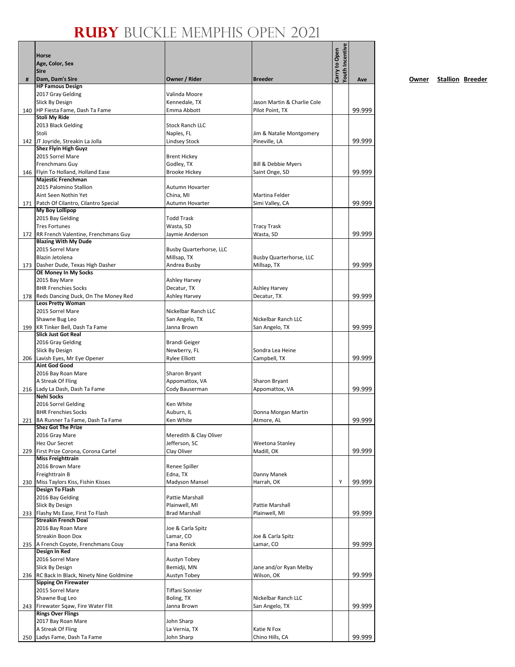|   | <b>Horse</b><br>Age, Color, Sex<br><b>Sire</b>                            |                                       |                                 | Youth Incentive<br>Carry to Open |        |
|---|---------------------------------------------------------------------------|---------------------------------------|---------------------------------|----------------------------------|--------|
| # | Dam, Dam's Sire                                                           | Owner / Rider                         | <b>Breeder</b>                  |                                  | Ave    |
|   | <b>HP Famous Design</b>                                                   |                                       |                                 |                                  |        |
|   | 2017 Gray Gelding<br>Slick By Design                                      | Valinda Moore<br>Kennedale, TX        | Jason Martin & Charlie Cole     |                                  |        |
|   | 140 HP Fiesta Fame, Dash Ta Fame                                          | Emma Abbott                           | Pilot Point, TX                 |                                  | 99.999 |
|   | <b>Stoli My Ride</b>                                                      |                                       |                                 |                                  |        |
|   | 2013 Black Gelding                                                        | <b>Stock Ranch LLC</b>                |                                 |                                  |        |
|   | Stoli                                                                     | Naples, FL                            | Jim & Natalie Montgomery        |                                  |        |
|   | 142 JT Joyride, Streakin La Jolla<br><b>Shez Flyin High Guyz</b>          | <b>Lindsey Stock</b>                  | Pineville, LA                   |                                  | 99.999 |
|   | 2015 Sorrel Mare                                                          | <b>Brent Hickey</b>                   |                                 |                                  |        |
|   | <b>Frenchmans Guy</b>                                                     | Godley, TX                            | Bill & Debbie Myers             |                                  |        |
|   | 146 Flyin To Holland, Holland Ease                                        | <b>Brooke Hickey</b>                  | Saint Onge, SD                  |                                  | 99.999 |
|   | Majestic Frenchman<br>2015 Palomino Stallion                              | Autumn Hovarter                       |                                 |                                  |        |
|   | Aint Seen Nothin Yet                                                      | China, MI                             | Martina Felder                  |                                  |        |
|   | 171 Patch Of Cilantro, Cilantro Special                                   | Autumn Hovarter                       | Simi Valley, CA                 |                                  | 99.999 |
|   | <b>My Boy Lollipop</b>                                                    |                                       |                                 |                                  |        |
|   | 2015 Bay Gelding                                                          | <b>Todd Trask</b>                     |                                 |                                  |        |
|   | <b>Tres Fortunes</b><br>172 RR French Valentine, Frenchmans Guy           | Wasta, SD<br>Jaymie Anderson          | <b>Tracy Trask</b><br>Wasta, SD |                                  | 99.999 |
|   | <b>Blazing With My Dude</b>                                               |                                       |                                 |                                  |        |
|   | 2015 Sorrel Mare                                                          | Busby Quarterhorse, LLC               |                                 |                                  |        |
|   | Blazin Jetolena                                                           | Millsap, TX                           | <b>Busby Quarterhorse, LLC</b>  |                                  |        |
|   | 173 Dasher Dude, Texas High Dasher<br>OE Money In My Socks                | Andrea Busby                          | Millsap, TX                     |                                  | 99.999 |
|   | 2015 Bay Mare                                                             | <b>Ashley Harvey</b>                  |                                 |                                  |        |
|   | <b>BHR Frenchies Socks</b>                                                | Decatur, TX                           | <b>Ashley Harvey</b>            |                                  |        |
|   | 178   Reds Dancing Duck, On The Money Red                                 | Ashley Harvey                         | Decatur, TX                     |                                  | 99.999 |
|   | <b>Leos Pretty Woman</b>                                                  |                                       |                                 |                                  |        |
|   | 2015 Sorrel Mare<br>Shawne Bug Leo                                        | Nickelbar Ranch LLC<br>San Angelo, TX | Nickelbar Ranch LLC             |                                  |        |
|   | 199 KR Tinker Bell, Dash Ta Fame                                          | Janna Brown                           | San Angelo, TX                  |                                  | 99.999 |
|   | <b>Slick Just Got Real</b>                                                |                                       |                                 |                                  |        |
|   | 2016 Gray Gelding                                                         | <b>Brandi Geiger</b>                  |                                 |                                  |        |
|   | Slick By Design                                                           | Newberry, FL                          | Sondra Lea Heine                |                                  |        |
|   | 206 Lavish Eyes, Mr Eye Opener<br><b>Aint God Good</b>                    | <b>Rylee Elliott</b>                  | Campbell, TX                    |                                  | 99.999 |
|   | 2016 Bay Roan Mare                                                        | Sharon Bryant                         |                                 |                                  |        |
|   | A Streak Of Fling                                                         | Appomattox, VA                        | Sharon Bryant                   |                                  |        |
|   | 216 Lady La Dash, Dash Ta Fame                                            | Cody Bauserman                        | Appomattox, VA                  |                                  | 99.999 |
|   | <b>Nehi Socks</b><br>2016 Sorrel Gelding                                  | Ken White                             |                                 |                                  |        |
|   | <b>BHR Frenchies Socks</b>                                                | Auburn, IL                            | Donna Morgan Martin             |                                  |        |
|   | 221   BA Runner Ta Fame, Dash Ta Fame                                     | Ken White                             | Atmore, AL                      |                                  | 99.999 |
|   | <b>Shez Got The Prize</b>                                                 |                                       |                                 |                                  |        |
|   | 2016 Gray Mare                                                            | Meredith & Clay Oliver                |                                 |                                  |        |
|   | Hez Our Secret<br>229 First Prize Corona, Corona Cartel                   | Jefferson, SC<br>Clay Oliver          | Weetona Stanley<br>Madill, OK   |                                  | 99.999 |
|   | <b>Miss Freighttrain</b>                                                  |                                       |                                 |                                  |        |
|   | 2016 Brown Mare                                                           | Renee Spiller                         |                                 |                                  |        |
|   | Freighttrain B                                                            | Edna, TX                              | Danny Manek                     |                                  |        |
|   | 230 Miss Taylors Kiss, Fishin Kisses<br><b>Design To Flash</b>            | Madyson Mansel                        | Harrah, OK                      | Υ                                | 99.999 |
|   | 2016 Bay Gelding                                                          | Pattie Marshall                       |                                 |                                  |        |
|   | Slick By Design                                                           | Plainwell, MI                         | Pattie Marshall                 |                                  |        |
|   | 233 Flashy Ms Ease, First To Flash                                        | <b>Brad Marshall</b>                  | Plainwell, MI                   |                                  | 99.999 |
|   | <b>Streakin French Doxi</b>                                               |                                       |                                 |                                  |        |
|   | 2016 Bay Roan Mare<br>Streakin Boon Dox                                   | Joe & Carla Spitz<br>Lamar, CO        | Joe & Carla Spitz               |                                  |        |
|   | 235 A French Coyote, Frenchmans Couy                                      | Tana Renick                           | Lamar, CO                       |                                  | 99.999 |
|   | Design In Red                                                             |                                       |                                 |                                  |        |
|   | 2016 Sorrel Mare                                                          | Austyn Tobey                          |                                 |                                  |        |
|   | Slick By Design                                                           | Bemidji, MN                           | Jane and/or Ryan Melby          |                                  |        |
|   | 236 RC Back In Black, Ninety Nine Goldmine<br><b>Sipping On Firewater</b> | Austyn Tobey                          | Wilson, OK                      |                                  | 99.999 |
|   | 2015 Sorrel Mare                                                          | Tiffani Sonnier                       |                                 |                                  |        |
|   | Shawne Bug Leo                                                            | Boling, TX                            | Nickelbar Ranch LLC             |                                  |        |
|   | 243 Firewater Sqaw, Fire Water Flit                                       | Janna Brown                           | San Angelo, TX                  |                                  | 99.999 |
|   | <b>Rings Over Flings</b>                                                  |                                       |                                 |                                  |        |
|   | 2017 Bay Roan Mare<br>A Streak Of Fling                                   | John Sharp<br>La Vernia, TX           | Katie N Fox                     |                                  |        |
|   | 250 Ladys Fame, Dash Ta Fame                                              | John Sharp                            | Chino Hills, CA                 |                                  | 99.999 |

**Owner Stallion Breeder**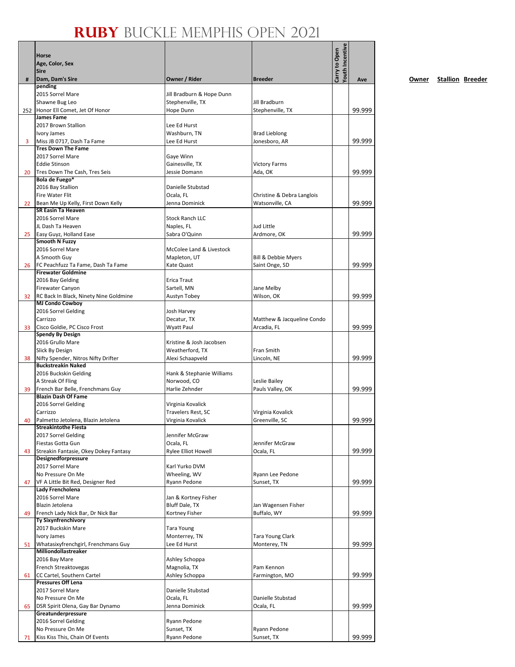|                 | Horse<br>Age, Color, Sex<br><b>Sire</b>                           |                                               |                                       | Youth Incentive<br>Carry to Open |        |
|-----------------|-------------------------------------------------------------------|-----------------------------------------------|---------------------------------------|----------------------------------|--------|
| #               | Dam, Dam's Sire                                                   | Owner / Rider                                 | <b>Breeder</b>                        |                                  | Ave    |
|                 | pending<br>2015 Sorrel Mare                                       | Jill Bradburn & Hope Dunn                     |                                       |                                  |        |
|                 | Shawne Bug Leo                                                    | Stephenville, TX                              | Jill Bradburn                         |                                  |        |
|                 | 252 Honor Ell Comet, Jet Of Honor                                 | Hope Dunn                                     | Stephenville, TX                      |                                  | 99.999 |
|                 | James Fame                                                        |                                               |                                       |                                  |        |
|                 | 2017 Brown Stallion                                               | Lee Ed Hurst                                  |                                       |                                  |        |
| 3               | Ivory James<br>Miss JB 0717, Dash Ta Fame                         | Washburn, TN<br>Lee Ed Hurst                  | <b>Brad Lieblong</b><br>Jonesboro, AR |                                  | 99.999 |
|                 | <b>Tres Down The Fame</b>                                         |                                               |                                       |                                  |        |
|                 | 2017 Sorrel Mare                                                  | Gaye Winn                                     |                                       |                                  |        |
|                 | <b>Eddie Stinson</b>                                              | Gainesville, TX                               | <b>Victory Farms</b>                  |                                  |        |
| 20              | Tres Down The Cash, Tres Seis<br>Bola de Fuego*                   | Jessie Domann                                 | Ada, OK                               |                                  | 99.999 |
|                 | 2016 Bay Stallion                                                 | Danielle Stubstad                             |                                       |                                  |        |
|                 | Fire Water Flit                                                   | Ocala, FL                                     | Christine & Debra Langlois            |                                  |        |
| 22 <sup>°</sup> | Bean Me Up Kelly, First Down Kelly                                | Jenna Dominick                                | Watsonville, CA                       |                                  | 99.999 |
|                 | <b>SR Easin Ta Heaven</b><br>2016 Sorrel Mare                     | <b>Stock Ranch LLC</b>                        |                                       |                                  |        |
|                 | JL Dash Ta Heaven                                                 | Naples, FL                                    | Jud Little                            |                                  |        |
| 25              | Easy Guyz, Holland Ease                                           | Sabra O'Quinn                                 | Ardmore, OK                           |                                  | 99.999 |
|                 | <b>Smooth N Fuzzy</b>                                             |                                               |                                       |                                  |        |
|                 | 2016 Sorrel Mare                                                  | McColee Land & Livestock                      |                                       |                                  |        |
| 26              | A Smooth Guy<br>FC Peachfuzz Ta Fame, Dash Ta Fame                | Mapleton, UT<br>Kate Quast                    | Bill & Debbie Myers<br>Saint Onge, SD |                                  | 99.999 |
|                 | <b>Firewater Goldmine</b>                                         |                                               |                                       |                                  |        |
|                 | 2016 Bay Gelding                                                  | Erica Traut                                   |                                       |                                  |        |
|                 | Firewater Canyon                                                  | Sartell, MN                                   | Jane Melby                            |                                  |        |
| 32              | RC Back In Black, Ninety Nine Goldmine<br><b>MJ Condo Cowboy</b>  | Austyn Tobey                                  | Wilson, OK                            |                                  | 99.999 |
|                 | 2016 Sorrel Gelding                                               | Josh Harvey                                   |                                       |                                  |        |
|                 | Carrizzo                                                          | Decatur, TX                                   | Matthew & Jacqueline Condo            |                                  |        |
| 33              | Cisco Goldie, PC Cisco Frost                                      | Wyatt Paul                                    | Arcadia, FL                           |                                  | 99.999 |
|                 | <b>Spendy By Design</b><br>2016 Grullo Mare                       | Kristine & Josh Jacobsen                      |                                       |                                  |        |
|                 | Slick By Design                                                   | Weatherford, TX                               | Fran Smith                            |                                  |        |
| 38              | Nifty Spender, Nitros Nifty Drifter                               | Alexi Schaapveld                              | Lincoln, NE                           |                                  | 99.999 |
|                 | <b>Buckstreakin Naked</b>                                         |                                               |                                       |                                  |        |
|                 | 2016 Buckskin Gelding                                             | Hank & Stephanie Williams                     |                                       |                                  |        |
| 39              | A Streak Of Fling<br>French Bar Belle, Frenchmans Guy             | Norwood, CO<br>Harlie Zehnder                 | Leslie Bailey<br>Pauls Valley, OK     |                                  | 99.999 |
|                 | <b>Blazin Dash Of Fame</b>                                        |                                               |                                       |                                  |        |
|                 | 2016 Sorrel Gelding                                               | Virginia Kovalick                             |                                       |                                  |        |
|                 | Carrizzo                                                          | Travelers Rest, SC                            | Virginia Kovalick                     |                                  |        |
| 40              | Palmetto Jetolena, Blazin Jetolena<br><b>Streakintothe Fiesta</b> | Virginia Kovalick                             | Greenville, SC                        |                                  | 99.999 |
|                 | 2017 Sorrel Gelding                                               | Jennifer McGraw                               |                                       |                                  |        |
|                 | Fiestas Gotta Gun                                                 | Ocala, FL                                     | Jennifer McGraw                       |                                  |        |
| 43              | Streakin Fantasie, Okey Dokey Fantasy                             | <b>Rylee Elliot Howell</b>                    | Ocala, FL                             |                                  | 99.999 |
|                 | <b>Designedforpressure</b><br>2017 Sorrel Mare                    | Karl Yurko DVM                                |                                       |                                  |        |
|                 | No Pressure On Me                                                 | Wheeling, WV                                  | Ryann Lee Pedone                      |                                  |        |
| 47              | VF A Little Bit Red, Designer Red                                 | Ryann Pedone                                  | Sunset, TX                            |                                  | 99.999 |
|                 | Lady Frencholena                                                  |                                               |                                       |                                  |        |
|                 | 2016 Sorrel Mare<br>Blazin Jetolena                               | Jan & Kortney Fisher<br><b>Bluff Dale, TX</b> | Jan Wagensen Fisher                   |                                  |        |
| 49              | French Lady Nick Bar, Dr Nick Bar                                 | Kortney Fisher                                | Buffalo, WY                           |                                  | 99.999 |
|                 | Ty Sixynfrenchivory                                               |                                               |                                       |                                  |        |
|                 | 2017 Buckskin Mare                                                | <b>Tara Young</b>                             |                                       |                                  |        |
|                 | Ivory James                                                       | Monterrey, TN                                 | Tara Young Clark                      |                                  |        |
| 51              | Whatasixyfrenchgirl, Frenchmans Guy<br>Milliondollastreaker       | Lee Ed Hurst                                  | Monterey, TN                          |                                  | 99.999 |
|                 | 2016 Bay Mare                                                     | Ashley Schoppa                                |                                       |                                  |        |
|                 | French Streaktovegas                                              | Magnolia, TX                                  | Pam Kennon                            |                                  |        |
| 61              | CC Cartel, Southern Cartel                                        | Ashley Schoppa                                | Farmington, MO                        |                                  | 99.999 |
|                 | <b>Pressures Off Lena</b><br>2017 Sorrel Mare                     | Danielle Stubstad                             |                                       |                                  |        |
|                 | No Pressure On Me                                                 | Ocala, FL                                     | Danielle Stubstad                     |                                  |        |
| 65              | DSR Spirit Olena, Gay Bar Dynamo                                  | Jenna Dominick                                | Ocala, FL                             |                                  | 99.999 |
|                 | Greatunderpressure                                                |                                               |                                       |                                  |        |
|                 | 2016 Sorrel Gelding<br>No Pressure On Me                          | Ryann Pedone<br>Sunset, TX                    | Ryann Pedone                          |                                  |        |
| 71              | Kiss Kiss This, Chain Of Events                                   | Ryann Pedone                                  | Sunset, TX                            |                                  | 99.999 |
|                 |                                                                   |                                               |                                       |                                  |        |